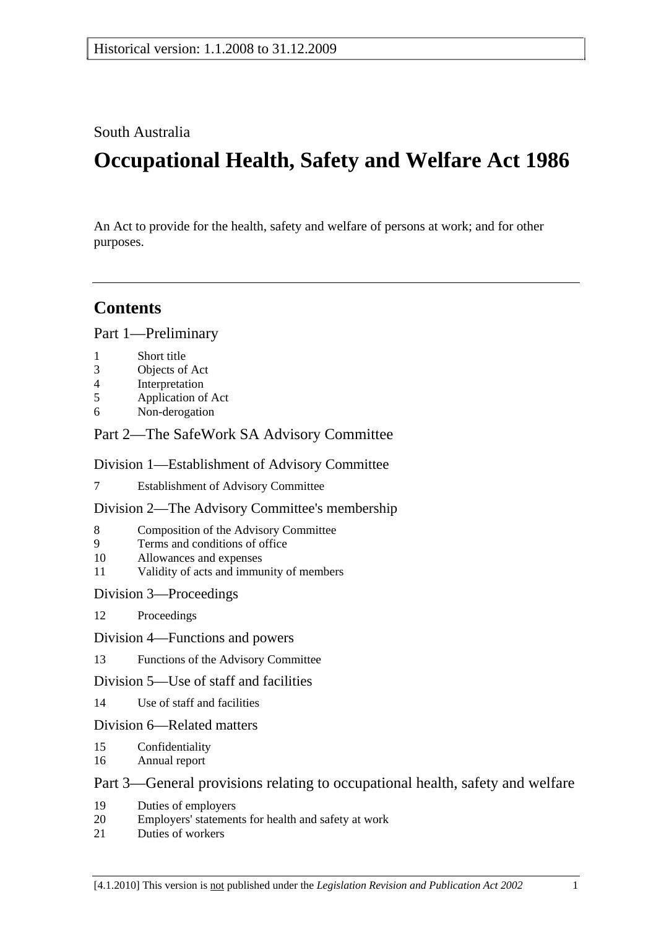## South Australia

# **Occupational Health, Safety and Welfare Act 1986**

An Act to provide for the health, safety and welfare of persons at work; and for other purposes.

## **Contents**

Part 1—Preliminary

- 1 Short title
- 3 Objects of Act
- 4 Interpretation
- 5 Application of Act
- 6 Non-derogation

## Part 2—The SafeWork SA Advisory Committee

## Division 1—Establishment of Advisory Committee

7 Establishment of Advisory Committee

## Division 2—The Advisory Committee's membership

- 8 Composition of the Advisory Committee
- 9 Terms and conditions of office
- 10 Allowances and expenses
- 11 Validity of acts and immunity of members

## Division 3—Proceedings

- 12 Proceedings
- Division 4—Functions and powers
- 13 Functions of the Advisory Committee

## Division 5—Use of staff and facilities

14 Use of staff and facilities

## Division 6—Related matters

- 15 Confidentiality
- 16 Annual report

## Part 3—General provisions relating to occupational health, safety and welfare

- 19 Duties of employers
- 20 Employers' statements for health and safety at work
- 21 Duties of workers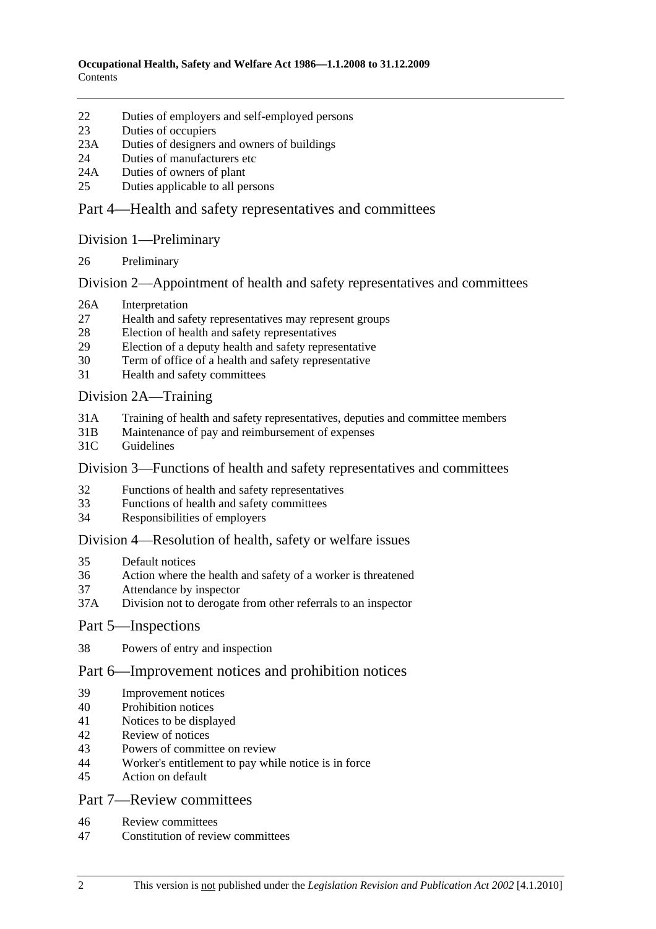- 22 Duties of employers and self-employed persons
- 23 Duties of occupiers
- 23A Duties of designers and owners of buildings
- 24 Duties of manufacturers etc
- 24A Duties of owners of plant
- 25 Duties applicable to all persons

## Part 4—Health and safety representatives and committees

#### Division 1—Preliminary

26 Preliminary

## Division 2—Appointment of health and safety representatives and committees

- 26A Interpretation
- 27 Health and safety representatives may represent groups
- 28 Election of health and safety representatives
- 29 Election of a deputy health and safety representative
- 30 Term of office of a health and safety representative
- 31 Health and safety committees

## Division 2A—Training

- 31A Training of health and safety representatives, deputies and committee members
- 31B Maintenance of pay and reimbursement of expenses
- 31C Guidelines

## Division 3—Functions of health and safety representatives and committees

- 32 Functions of health and safety representatives
- 33 Functions of health and safety committees
- 34 Responsibilities of employers

## Division 4—Resolution of health, safety or welfare issues

- 35 Default notices
- 36 Action where the health and safety of a worker is threatened
- 37 Attendance by inspector
- 37A Division not to derogate from other referrals to an inspector

## Part 5—Inspections

38 Powers of entry and inspection

## Part 6—Improvement notices and prohibition notices

- 39 Improvement notices
- 40 Prohibition notices
- 41 Notices to be displayed
- 42 Review of notices
- 43 Powers of committee on review
- 44 Worker's entitlement to pay while notice is in force
- 45 Action on default

## Part 7—Review committees

- 46 Review committees
- 47 Constitution of review committees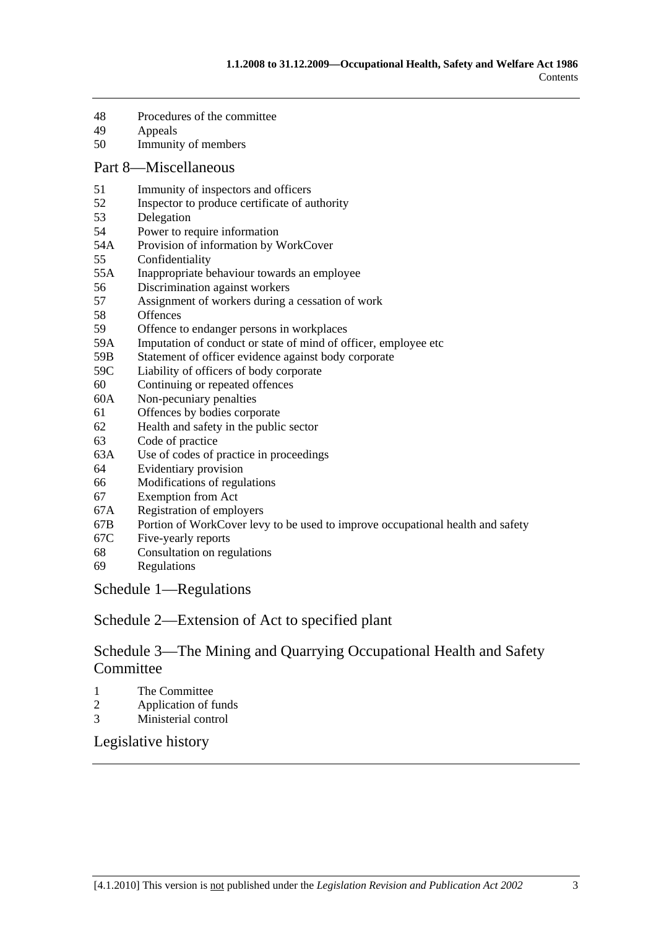- 48 Procedures of the committee
- 49 Appeals
- 50 Immunity of members

#### Part 8—Miscellaneous

- 51 Immunity of inspectors and officers
- 52 Inspector to produce certificate of authority
- 53 Delegation
- 54 Power to require information
- 54A Provision of information by WorkCover
- 55 Confidentiality
- 55A Inappropriate behaviour towards an employee
- 56 Discrimination against workers
- 57 Assignment of workers during a cessation of work
- 58 Offences
- 59 Offence to endanger persons in workplaces
- 59A Imputation of conduct or state of mind of officer, employee etc
- 59B Statement of officer evidence against body corporate<br>59C Liability of officers of body corporate
- Liability of officers of body corporate
- 60 Continuing or repeated offences
- 60A Non-pecuniary penalties
- 61 Offences by bodies corporate
- 62 Health and safety in the public sector
- 63 Code of practice
- 63A Use of codes of practice in proceedings
- 64 Evidentiary provision
- 66 Modifications of regulations
- 67 Exemption from Act
- 67A Registration of employers
- 67B Portion of WorkCover levy to be used to improve occupational health and safety
- 67C Five-yearly reports
- 68 Consultation on regulations
- 69 Regulations

Schedule 1—Regulations

Schedule 2—Extension of Act to specified plant

## Schedule 3—The Mining and Quarrying Occupational Health and Safety **Committee**

- 1 The Committee
- 2 Application of funds
- 3 Ministerial control

Legislative history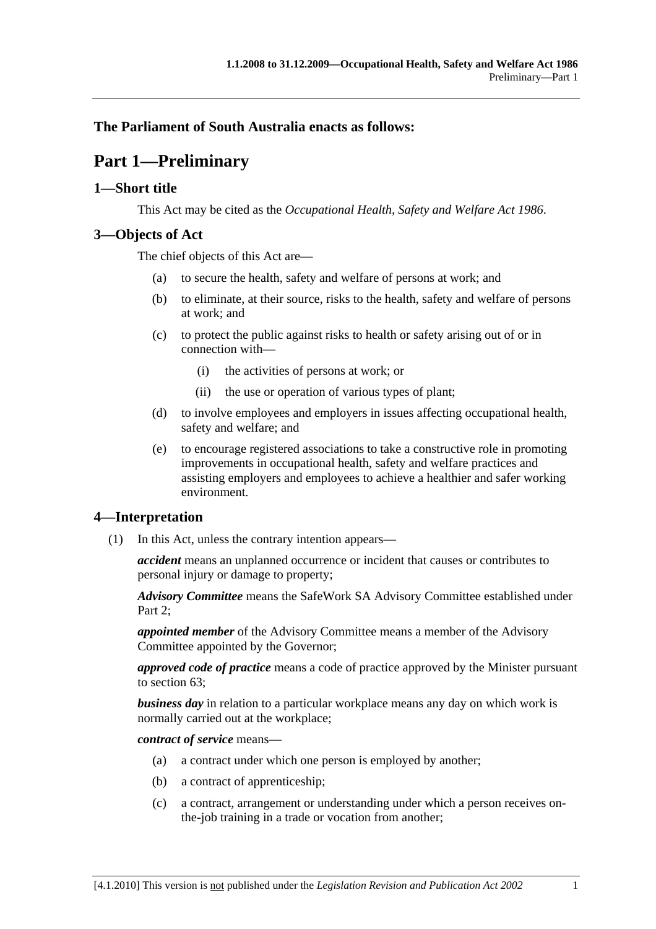## **The Parliament of South Australia enacts as follows:**

## **Part 1—Preliminary**

## **1—Short title**

This Act may be cited as the *Occupational Health, Safety and Welfare Act 1986*.

## **3—Objects of Act**

The chief objects of this Act are—

- (a) to secure the health, safety and welfare of persons at work; and
- (b) to eliminate, at their source, risks to the health, safety and welfare of persons at work; and
- (c) to protect the public against risks to health or safety arising out of or in connection with—
	- (i) the activities of persons at work; or
	- (ii) the use or operation of various types of plant;
- (d) to involve employees and employers in issues affecting occupational health, safety and welfare; and
- (e) to encourage registered associations to take a constructive role in promoting improvements in occupational health, safety and welfare practices and assisting employers and employees to achieve a healthier and safer working environment.

## **4—Interpretation**

(1) In this Act, unless the contrary intention appears—

*accident* means an unplanned occurrence or incident that causes or contributes to personal injury or damage to property;

*Advisory Committee* means the SafeWork SA Advisory Committee established under Part 2:

*appointed member* of the Advisory Committee means a member of the Advisory Committee appointed by the Governor;

*approved code of practice* means a code of practice approved by the Minister pursuant to section 63;

*business day* in relation to a particular workplace means any day on which work is normally carried out at the workplace;

*contract of service* means—

- (a) a contract under which one person is employed by another;
- (b) a contract of apprenticeship;
- (c) a contract, arrangement or understanding under which a person receives onthe-job training in a trade or vocation from another;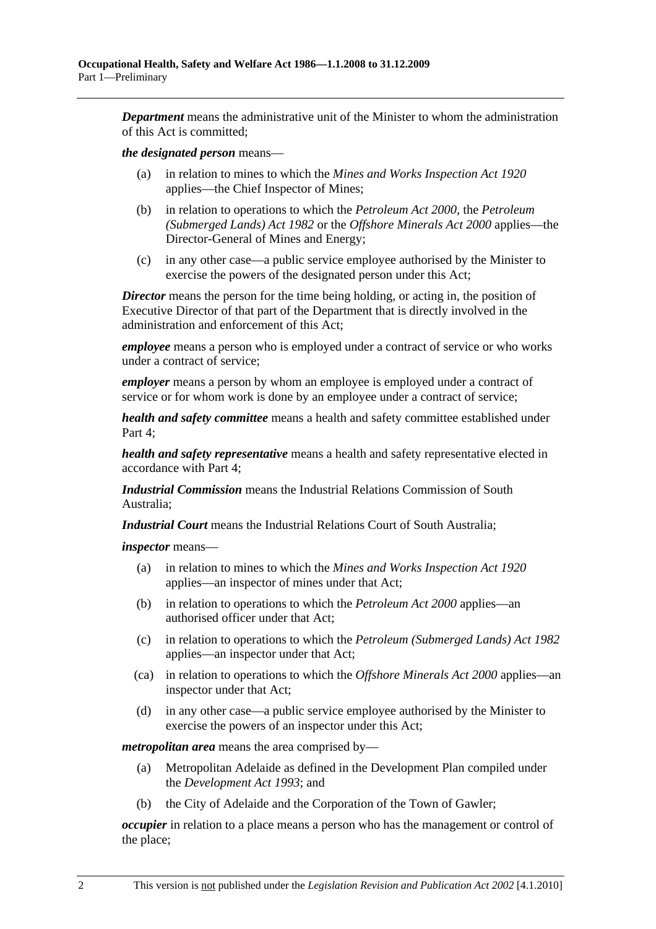*Department* means the administrative unit of the Minister to whom the administration of this Act is committed;

#### *the designated person* means—

- (a) in relation to mines to which the *Mines and Works Inspection Act 1920* applies—the Chief Inspector of Mines;
- (b) in relation to operations to which the *Petroleum Act 2000*, the *Petroleum (Submerged Lands) Act 1982* or the *Offshore Minerals Act 2000* applies—the Director-General of Mines and Energy;
- (c) in any other case—a public service employee authorised by the Minister to exercise the powers of the designated person under this Act;

*Director* means the person for the time being holding, or acting in, the position of Executive Director of that part of the Department that is directly involved in the administration and enforcement of this Act;

*employee* means a person who is employed under a contract of service or who works under a contract of service;

*employer* means a person by whom an employee is employed under a contract of service or for whom work is done by an employee under a contract of service;

*health and safety committee* means a health and safety committee established under Part 4;

*health and safety representative* means a health and safety representative elected in accordance with Part 4;

*Industrial Commission* means the Industrial Relations Commission of South Australia;

*Industrial Court* means the Industrial Relations Court of South Australia;

*inspector* means—

- (a) in relation to mines to which the *Mines and Works Inspection Act 1920* applies—an inspector of mines under that Act;
- (b) in relation to operations to which the *Petroleum Act 2000* applies—an authorised officer under that Act;
- (c) in relation to operations to which the *Petroleum (Submerged Lands) Act 1982* applies—an inspector under that Act;
- (ca) in relation to operations to which the *Offshore Minerals Act 2000* applies—an inspector under that Act;
- (d) in any other case—a public service employee authorised by the Minister to exercise the powers of an inspector under this Act;

*metropolitan area* means the area comprised by—

- (a) Metropolitan Adelaide as defined in the Development Plan compiled under the *Development Act 1993*; and
- (b) the City of Adelaide and the Corporation of the Town of Gawler;

*occupier* in relation to a place means a person who has the management or control of the place;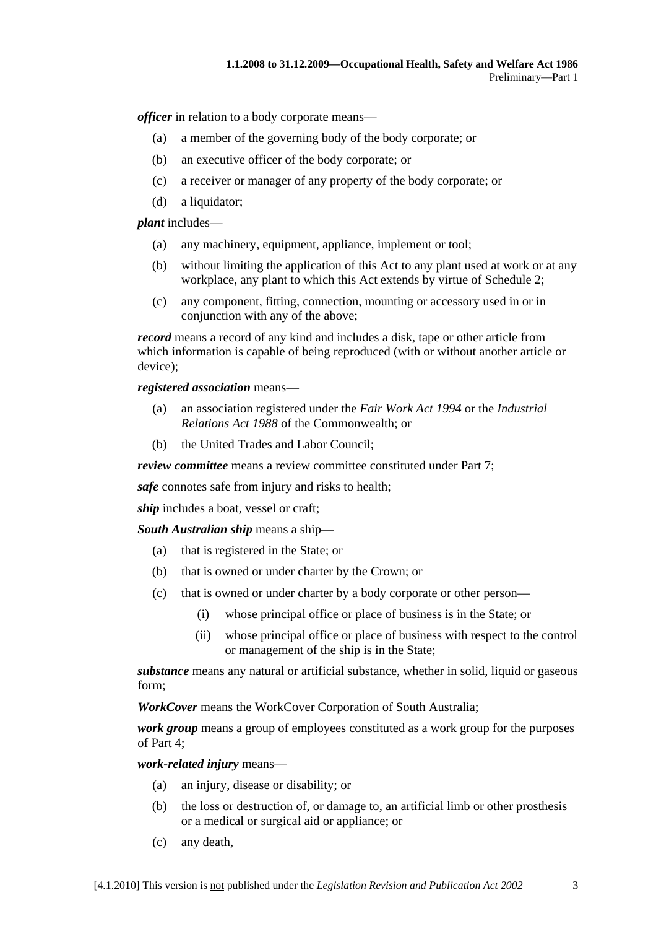*officer* in relation to a body corporate means—

- (a) a member of the governing body of the body corporate; or
- (b) an executive officer of the body corporate; or
- (c) a receiver or manager of any property of the body corporate; or
- (d) a liquidator;

*plant* includes—

- (a) any machinery, equipment, appliance, implement or tool;
- (b) without limiting the application of this Act to any plant used at work or at any workplace, any plant to which this Act extends by virtue of Schedule 2;
- (c) any component, fitting, connection, mounting or accessory used in or in conjunction with any of the above;

*record* means a record of any kind and includes a disk, tape or other article from which information is capable of being reproduced (with or without another article or device);

*registered association* means—

- (a) an association registered under the *Fair Work Act 1994* or the *Industrial Relations Act 1988* of the Commonwealth; or
- (b) the United Trades and Labor Council;

*review committee* means a review committee constituted under Part 7;

*safe* connotes safe from injury and risks to health;

*ship* includes a boat, vessel or craft;

*South Australian ship* means a ship—

- (a) that is registered in the State; or
- (b) that is owned or under charter by the Crown; or
- (c) that is owned or under charter by a body corporate or other person—
	- (i) whose principal office or place of business is in the State; or
	- (ii) whose principal office or place of business with respect to the control or management of the ship is in the State;

*substance* means any natural or artificial substance, whether in solid, liquid or gaseous form;

*WorkCover* means the WorkCover Corporation of South Australia;

*work group* means a group of employees constituted as a work group for the purposes of Part 4;

*work-related injury* means—

- (a) an injury, disease or disability; or
- (b) the loss or destruction of, or damage to, an artificial limb or other prosthesis or a medical or surgical aid or appliance; or
- (c) any death,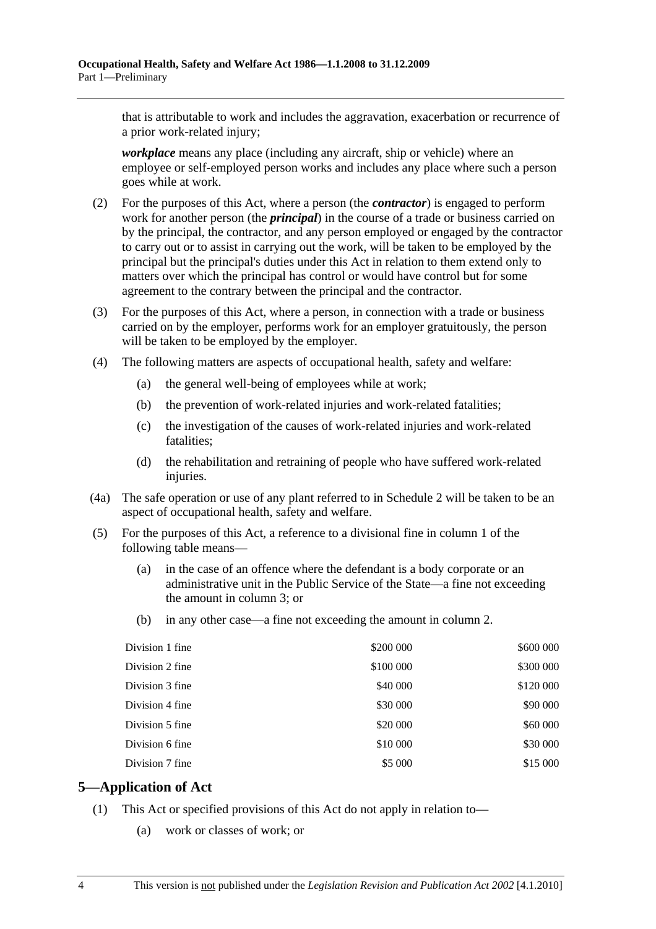that is attributable to work and includes the aggravation, exacerbation or recurrence of a prior work-related injury;

*workplace* means any place (including any aircraft, ship or vehicle) where an employee or self-employed person works and includes any place where such a person goes while at work.

- (2) For the purposes of this Act, where a person (the *contractor*) is engaged to perform work for another person (the *principal*) in the course of a trade or business carried on by the principal, the contractor, and any person employed or engaged by the contractor to carry out or to assist in carrying out the work, will be taken to be employed by the principal but the principal's duties under this Act in relation to them extend only to matters over which the principal has control or would have control but for some agreement to the contrary between the principal and the contractor.
- (3) For the purposes of this Act, where a person, in connection with a trade or business carried on by the employer, performs work for an employer gratuitously, the person will be taken to be employed by the employer.
- (4) The following matters are aspects of occupational health, safety and welfare:
	- (a) the general well-being of employees while at work;
	- (b) the prevention of work-related injuries and work-related fatalities;
	- (c) the investigation of the causes of work-related injuries and work-related fatalities;
	- (d) the rehabilitation and retraining of people who have suffered work-related injuries.
- (4a) The safe operation or use of any plant referred to in Schedule 2 will be taken to be an aspect of occupational health, safety and welfare.
- (5) For the purposes of this Act, a reference to a divisional fine in column 1 of the following table means—
	- (a) in the case of an offence where the defendant is a body corporate or an administrative unit in the Public Service of the State—a fine not exceeding the amount in column 3; or
	- (b) in any other case—a fine not exceeding the amount in column 2.

| Division 1 fine | \$200 000 | \$600 000 |
|-----------------|-----------|-----------|
| Division 2 fine | \$100 000 | \$300 000 |
| Division 3 fine | \$40 000  | \$120 000 |
| Division 4 fine | \$30 000  | \$90 000  |
| Division 5 fine | \$20 000  | \$60 000  |
| Division 6 fine | \$10 000  | \$30 000  |
| Division 7 fine | \$5 000   | \$15 000  |

## **5—Application of Act**

- (1) This Act or specified provisions of this Act do not apply in relation to—
	- (a) work or classes of work; or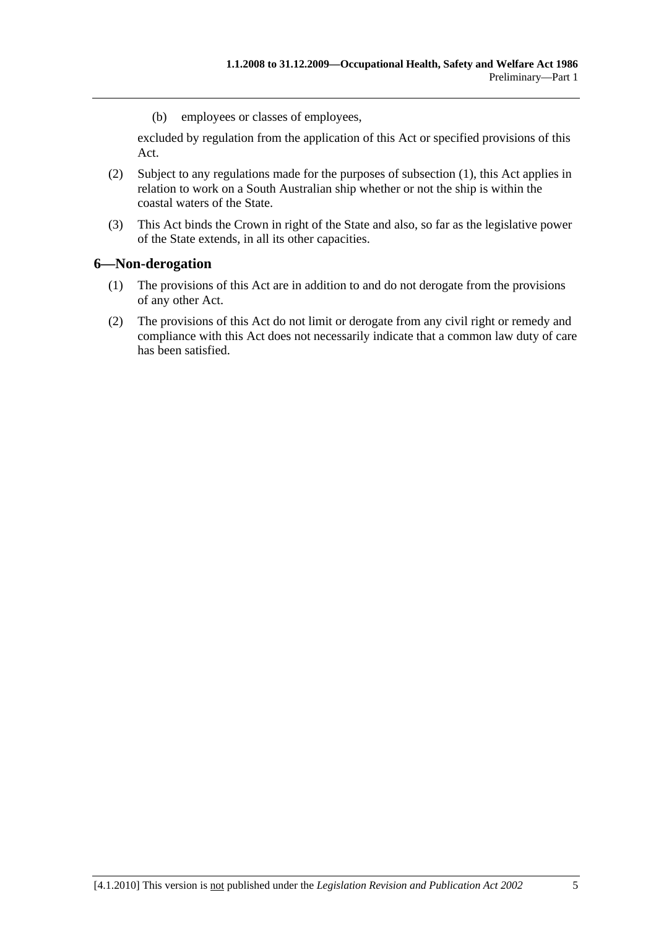(b) employees or classes of employees,

excluded by regulation from the application of this Act or specified provisions of this Act.

- (2) Subject to any regulations made for the purposes of subsection (1), this Act applies in relation to work on a South Australian ship whether or not the ship is within the coastal waters of the State.
- (3) This Act binds the Crown in right of the State and also, so far as the legislative power of the State extends, in all its other capacities.

## **6—Non-derogation**

- (1) The provisions of this Act are in addition to and do not derogate from the provisions of any other Act.
- (2) The provisions of this Act do not limit or derogate from any civil right or remedy and compliance with this Act does not necessarily indicate that a common law duty of care has been satisfied.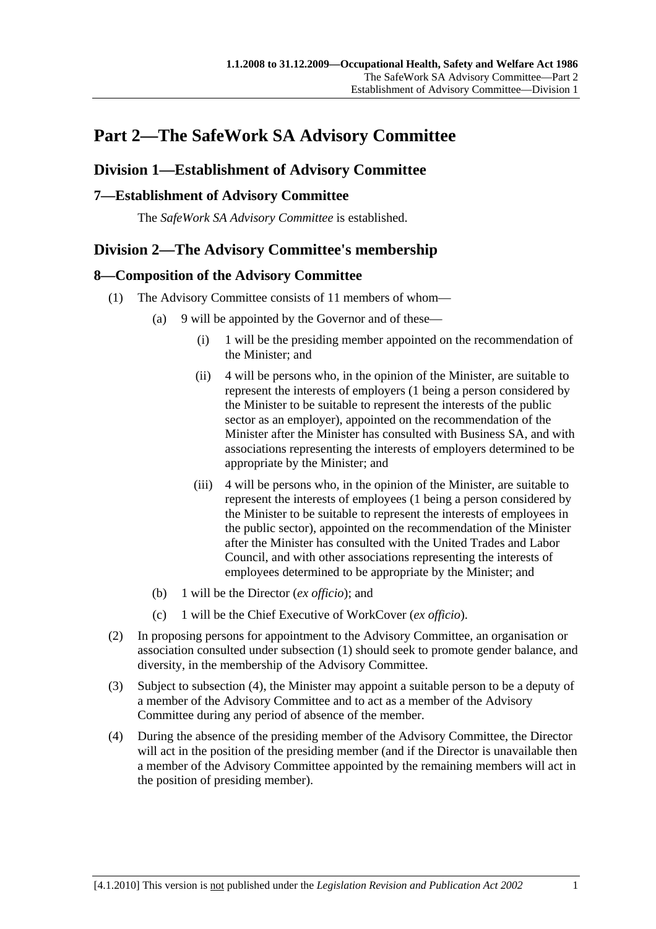## **Part 2—The SafeWork SA Advisory Committee**

## **Division 1—Establishment of Advisory Committee**

## **7—Establishment of Advisory Committee**

The *SafeWork SA Advisory Committee* is established.

## **Division 2—The Advisory Committee's membership**

## **8—Composition of the Advisory Committee**

- (1) The Advisory Committee consists of 11 members of whom—
	- (a) 9 will be appointed by the Governor and of these—
		- (i) 1 will be the presiding member appointed on the recommendation of the Minister; and
		- (ii) 4 will be persons who, in the opinion of the Minister, are suitable to represent the interests of employers (1 being a person considered by the Minister to be suitable to represent the interests of the public sector as an employer), appointed on the recommendation of the Minister after the Minister has consulted with Business SA, and with associations representing the interests of employers determined to be appropriate by the Minister; and
		- (iii) 4 will be persons who, in the opinion of the Minister, are suitable to represent the interests of employees (1 being a person considered by the Minister to be suitable to represent the interests of employees in the public sector), appointed on the recommendation of the Minister after the Minister has consulted with the United Trades and Labor Council, and with other associations representing the interests of employees determined to be appropriate by the Minister; and
	- (b) 1 will be the Director (*ex officio*); and
	- (c) 1 will be the Chief Executive of WorkCover (*ex officio*).
- (2) In proposing persons for appointment to the Advisory Committee, an organisation or association consulted under subsection (1) should seek to promote gender balance, and diversity, in the membership of the Advisory Committee.
- (3) Subject to subsection (4), the Minister may appoint a suitable person to be a deputy of a member of the Advisory Committee and to act as a member of the Advisory Committee during any period of absence of the member.
- (4) During the absence of the presiding member of the Advisory Committee, the Director will act in the position of the presiding member (and if the Director is unavailable then a member of the Advisory Committee appointed by the remaining members will act in the position of presiding member).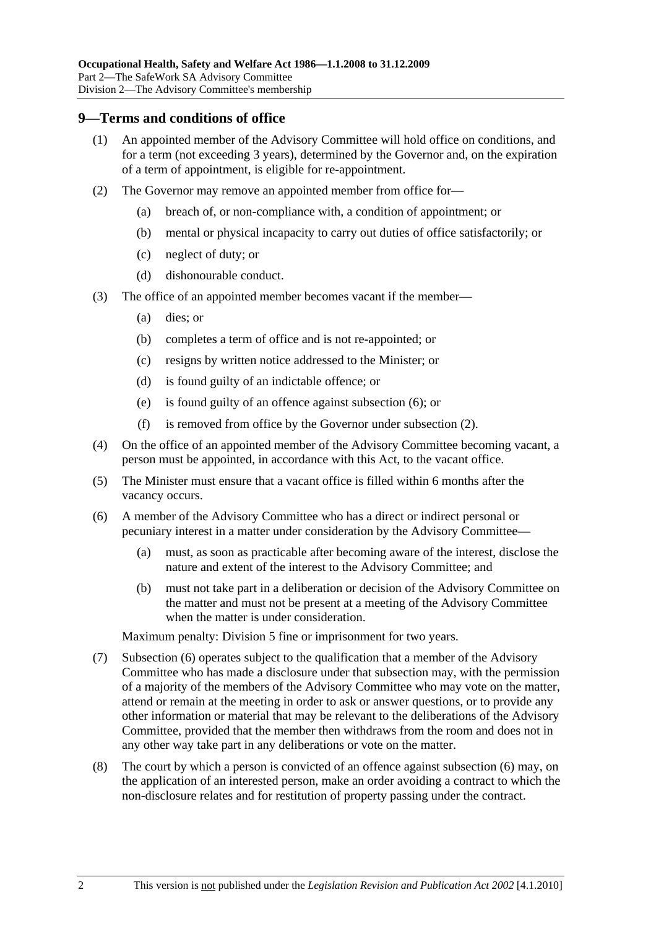#### **9—Terms and conditions of office**

- (1) An appointed member of the Advisory Committee will hold office on conditions, and for a term (not exceeding 3 years), determined by the Governor and, on the expiration of a term of appointment, is eligible for re-appointment.
- (2) The Governor may remove an appointed member from office for—
	- (a) breach of, or non-compliance with, a condition of appointment; or
	- (b) mental or physical incapacity to carry out duties of office satisfactorily; or
	- (c) neglect of duty; or
	- (d) dishonourable conduct.
- (3) The office of an appointed member becomes vacant if the member—
	- (a) dies; or
	- (b) completes a term of office and is not re-appointed; or
	- (c) resigns by written notice addressed to the Minister; or
	- (d) is found guilty of an indictable offence; or
	- (e) is found guilty of an offence against subsection (6); or
	- (f) is removed from office by the Governor under subsection (2).
- (4) On the office of an appointed member of the Advisory Committee becoming vacant, a person must be appointed, in accordance with this Act, to the vacant office.
- (5) The Minister must ensure that a vacant office is filled within 6 months after the vacancy occurs.
- (6) A member of the Advisory Committee who has a direct or indirect personal or pecuniary interest in a matter under consideration by the Advisory Committee—
	- (a) must, as soon as practicable after becoming aware of the interest, disclose the nature and extent of the interest to the Advisory Committee; and
	- (b) must not take part in a deliberation or decision of the Advisory Committee on the matter and must not be present at a meeting of the Advisory Committee when the matter is under consideration.

Maximum penalty: Division 5 fine or imprisonment for two years.

- (7) Subsection (6) operates subject to the qualification that a member of the Advisory Committee who has made a disclosure under that subsection may, with the permission of a majority of the members of the Advisory Committee who may vote on the matter, attend or remain at the meeting in order to ask or answer questions, or to provide any other information or material that may be relevant to the deliberations of the Advisory Committee, provided that the member then withdraws from the room and does not in any other way take part in any deliberations or vote on the matter.
- (8) The court by which a person is convicted of an offence against subsection (6) may, on the application of an interested person, make an order avoiding a contract to which the non-disclosure relates and for restitution of property passing under the contract.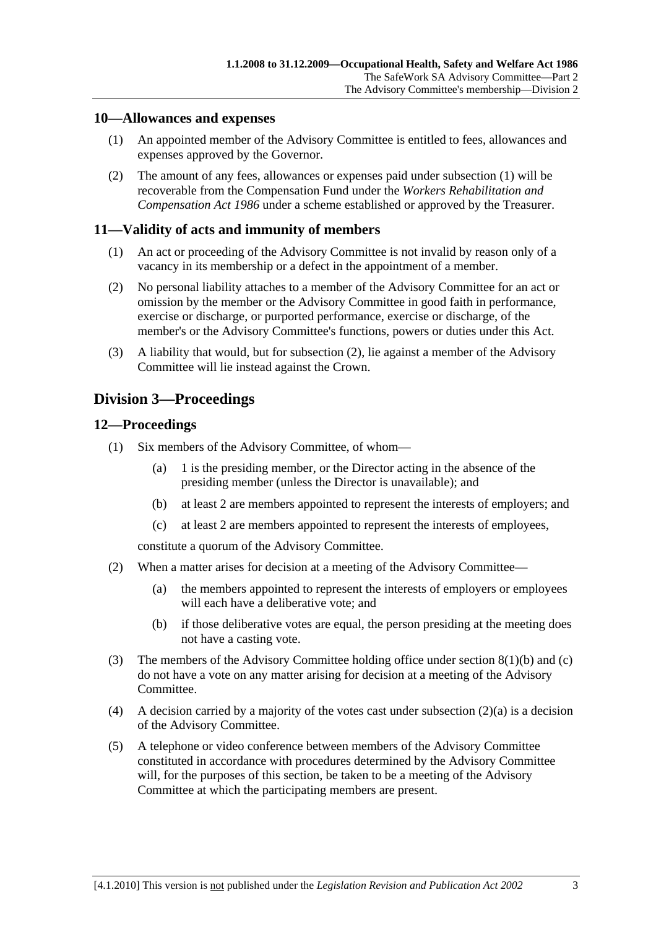#### **10—Allowances and expenses**

- (1) An appointed member of the Advisory Committee is entitled to fees, allowances and expenses approved by the Governor.
- (2) The amount of any fees, allowances or expenses paid under subsection (1) will be recoverable from the Compensation Fund under the *Workers Rehabilitation and Compensation Act 1986* under a scheme established or approved by the Treasurer.

### **11—Validity of acts and immunity of members**

- (1) An act or proceeding of the Advisory Committee is not invalid by reason only of a vacancy in its membership or a defect in the appointment of a member.
- (2) No personal liability attaches to a member of the Advisory Committee for an act or omission by the member or the Advisory Committee in good faith in performance, exercise or discharge, or purported performance, exercise or discharge, of the member's or the Advisory Committee's functions, powers or duties under this Act.
- (3) A liability that would, but for subsection (2), lie against a member of the Advisory Committee will lie instead against the Crown.

## **Division 3—Proceedings**

#### **12—Proceedings**

- (1) Six members of the Advisory Committee, of whom—
	- (a) 1 is the presiding member, or the Director acting in the absence of the presiding member (unless the Director is unavailable); and
	- (b) at least 2 are members appointed to represent the interests of employers; and
	- (c) at least 2 are members appointed to represent the interests of employees,

constitute a quorum of the Advisory Committee.

- (2) When a matter arises for decision at a meeting of the Advisory Committee—
	- (a) the members appointed to represent the interests of employers or employees will each have a deliberative vote; and
	- (b) if those deliberative votes are equal, the person presiding at the meeting does not have a casting vote.
- (3) The members of the Advisory Committee holding office under section 8(1)(b) and (c) do not have a vote on any matter arising for decision at a meeting of the Advisory Committee.
- (4) A decision carried by a majority of the votes cast under subsection  $(2)(a)$  is a decision of the Advisory Committee.
- (5) A telephone or video conference between members of the Advisory Committee constituted in accordance with procedures determined by the Advisory Committee will, for the purposes of this section, be taken to be a meeting of the Advisory Committee at which the participating members are present.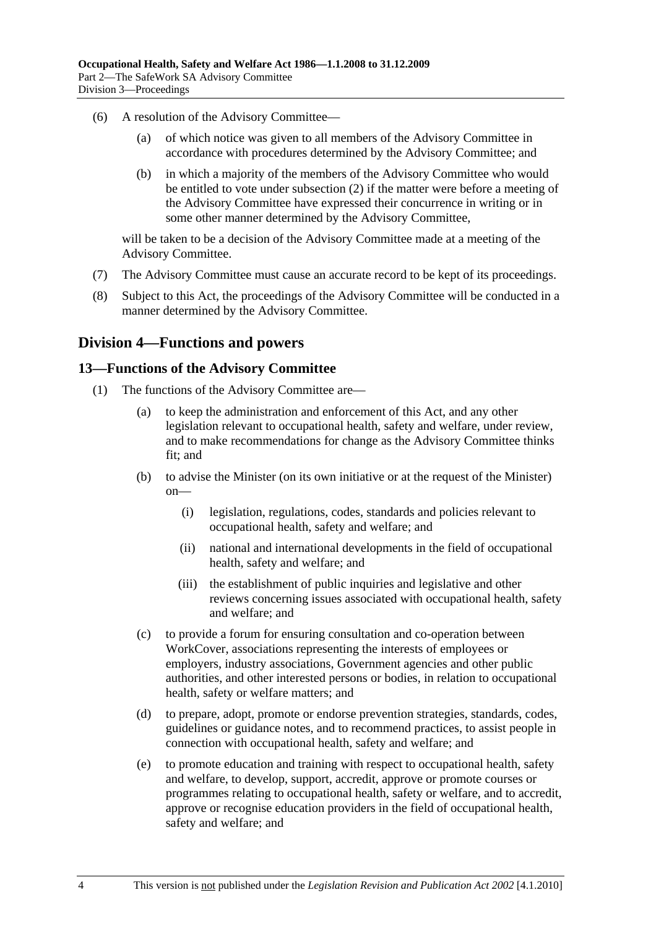- (6) A resolution of the Advisory Committee—
	- (a) of which notice was given to all members of the Advisory Committee in accordance with procedures determined by the Advisory Committee; and
	- (b) in which a majority of the members of the Advisory Committee who would be entitled to vote under subsection (2) if the matter were before a meeting of the Advisory Committee have expressed their concurrence in writing or in some other manner determined by the Advisory Committee,

will be taken to be a decision of the Advisory Committee made at a meeting of the Advisory Committee.

- (7) The Advisory Committee must cause an accurate record to be kept of its proceedings.
- (8) Subject to this Act, the proceedings of the Advisory Committee will be conducted in a manner determined by the Advisory Committee.

## **Division 4—Functions and powers**

#### **13—Functions of the Advisory Committee**

- (1) The functions of the Advisory Committee are—
	- (a) to keep the administration and enforcement of this Act, and any other legislation relevant to occupational health, safety and welfare, under review, and to make recommendations for change as the Advisory Committee thinks fit; and
	- (b) to advise the Minister (on its own initiative or at the request of the Minister) on—
		- (i) legislation, regulations, codes, standards and policies relevant to occupational health, safety and welfare; and
		- (ii) national and international developments in the field of occupational health, safety and welfare; and
		- (iii) the establishment of public inquiries and legislative and other reviews concerning issues associated with occupational health, safety and welfare; and
	- (c) to provide a forum for ensuring consultation and co-operation between WorkCover, associations representing the interests of employees or employers, industry associations, Government agencies and other public authorities, and other interested persons or bodies, in relation to occupational health, safety or welfare matters; and
	- (d) to prepare, adopt, promote or endorse prevention strategies, standards, codes, guidelines or guidance notes, and to recommend practices, to assist people in connection with occupational health, safety and welfare; and
	- (e) to promote education and training with respect to occupational health, safety and welfare, to develop, support, accredit, approve or promote courses or programmes relating to occupational health, safety or welfare, and to accredit, approve or recognise education providers in the field of occupational health, safety and welfare; and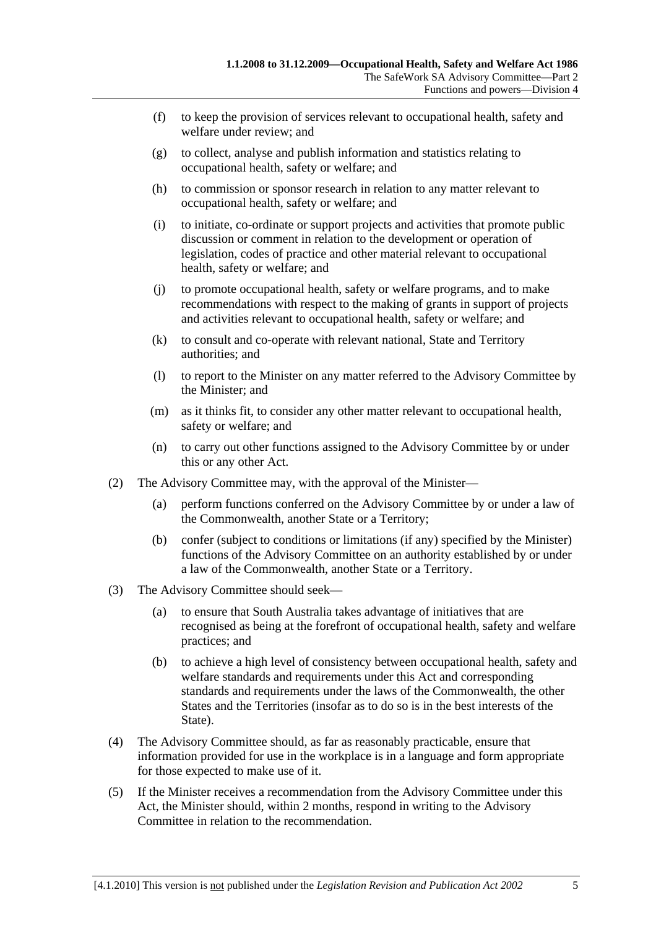- (f) to keep the provision of services relevant to occupational health, safety and welfare under review; and
- (g) to collect, analyse and publish information and statistics relating to occupational health, safety or welfare; and
- (h) to commission or sponsor research in relation to any matter relevant to occupational health, safety or welfare; and
- (i) to initiate, co-ordinate or support projects and activities that promote public discussion or comment in relation to the development or operation of legislation, codes of practice and other material relevant to occupational health, safety or welfare; and
- (j) to promote occupational health, safety or welfare programs, and to make recommendations with respect to the making of grants in support of projects and activities relevant to occupational health, safety or welfare; and
- (k) to consult and co-operate with relevant national, State and Territory authorities; and
- (l) to report to the Minister on any matter referred to the Advisory Committee by the Minister; and
- (m) as it thinks fit, to consider any other matter relevant to occupational health, safety or welfare; and
- (n) to carry out other functions assigned to the Advisory Committee by or under this or any other Act.
- (2) The Advisory Committee may, with the approval of the Minister—
	- (a) perform functions conferred on the Advisory Committee by or under a law of the Commonwealth, another State or a Territory;
	- (b) confer (subject to conditions or limitations (if any) specified by the Minister) functions of the Advisory Committee on an authority established by or under a law of the Commonwealth, another State or a Territory.
- (3) The Advisory Committee should seek—
	- (a) to ensure that South Australia takes advantage of initiatives that are recognised as being at the forefront of occupational health, safety and welfare practices; and
	- (b) to achieve a high level of consistency between occupational health, safety and welfare standards and requirements under this Act and corresponding standards and requirements under the laws of the Commonwealth, the other States and the Territories (insofar as to do so is in the best interests of the State).
- (4) The Advisory Committee should, as far as reasonably practicable, ensure that information provided for use in the workplace is in a language and form appropriate for those expected to make use of it.
- (5) If the Minister receives a recommendation from the Advisory Committee under this Act, the Minister should, within 2 months, respond in writing to the Advisory Committee in relation to the recommendation.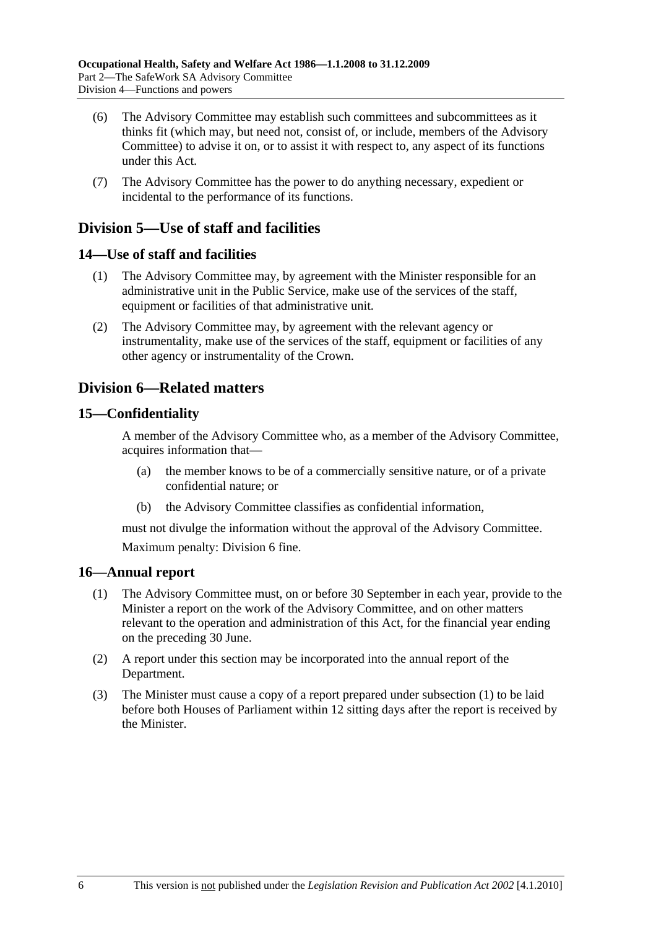- (6) The Advisory Committee may establish such committees and subcommittees as it thinks fit (which may, but need not, consist of, or include, members of the Advisory Committee) to advise it on, or to assist it with respect to, any aspect of its functions under this Act.
- (7) The Advisory Committee has the power to do anything necessary, expedient or incidental to the performance of its functions.

## **Division 5—Use of staff and facilities**

## **14—Use of staff and facilities**

- (1) The Advisory Committee may, by agreement with the Minister responsible for an administrative unit in the Public Service, make use of the services of the staff, equipment or facilities of that administrative unit.
- (2) The Advisory Committee may, by agreement with the relevant agency or instrumentality, make use of the services of the staff, equipment or facilities of any other agency or instrumentality of the Crown.

## **Division 6—Related matters**

#### **15—Confidentiality**

A member of the Advisory Committee who, as a member of the Advisory Committee, acquires information that—

- (a) the member knows to be of a commercially sensitive nature, or of a private confidential nature; or
- (b) the Advisory Committee classifies as confidential information,

must not divulge the information without the approval of the Advisory Committee. Maximum penalty: Division 6 fine.

#### **16—Annual report**

- (1) The Advisory Committee must, on or before 30 September in each year, provide to the Minister a report on the work of the Advisory Committee, and on other matters relevant to the operation and administration of this Act, for the financial year ending on the preceding 30 June.
- (2) A report under this section may be incorporated into the annual report of the Department.
- (3) The Minister must cause a copy of a report prepared under subsection (1) to be laid before both Houses of Parliament within 12 sitting days after the report is received by the Minister.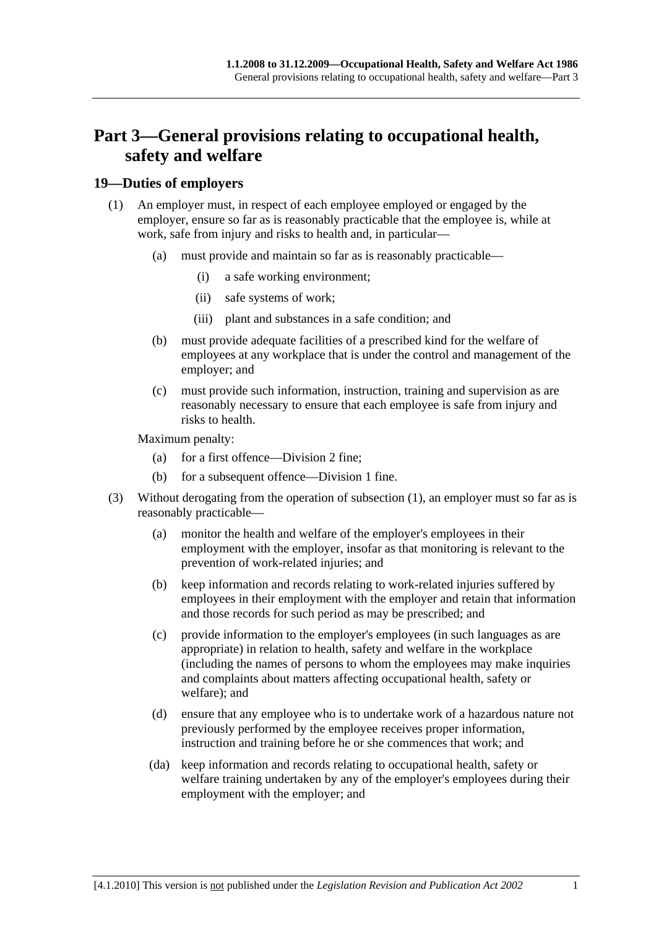## **Part 3—General provisions relating to occupational health, safety and welfare**

## **19—Duties of employers**

- (1) An employer must, in respect of each employee employed or engaged by the employer, ensure so far as is reasonably practicable that the employee is, while at work, safe from injury and risks to health and, in particular—
	- (a) must provide and maintain so far as is reasonably practicable—
		- (i) a safe working environment;
		- (ii) safe systems of work;
		- (iii) plant and substances in a safe condition; and
	- (b) must provide adequate facilities of a prescribed kind for the welfare of employees at any workplace that is under the control and management of the employer; and
	- (c) must provide such information, instruction, training and supervision as are reasonably necessary to ensure that each employee is safe from injury and risks to health.

Maximum penalty:

- (a) for a first offence—Division 2 fine;
- (b) for a subsequent offence—Division 1 fine.
- (3) Without derogating from the operation of subsection (1), an employer must so far as is reasonably practicable—
	- (a) monitor the health and welfare of the employer's employees in their employment with the employer, insofar as that monitoring is relevant to the prevention of work-related injuries; and
	- (b) keep information and records relating to work-related injuries suffered by employees in their employment with the employer and retain that information and those records for such period as may be prescribed; and
	- (c) provide information to the employer's employees (in such languages as are appropriate) in relation to health, safety and welfare in the workplace (including the names of persons to whom the employees may make inquiries and complaints about matters affecting occupational health, safety or welfare); and
	- (d) ensure that any employee who is to undertake work of a hazardous nature not previously performed by the employee receives proper information, instruction and training before he or she commences that work; and
	- (da) keep information and records relating to occupational health, safety or welfare training undertaken by any of the employer's employees during their employment with the employer; and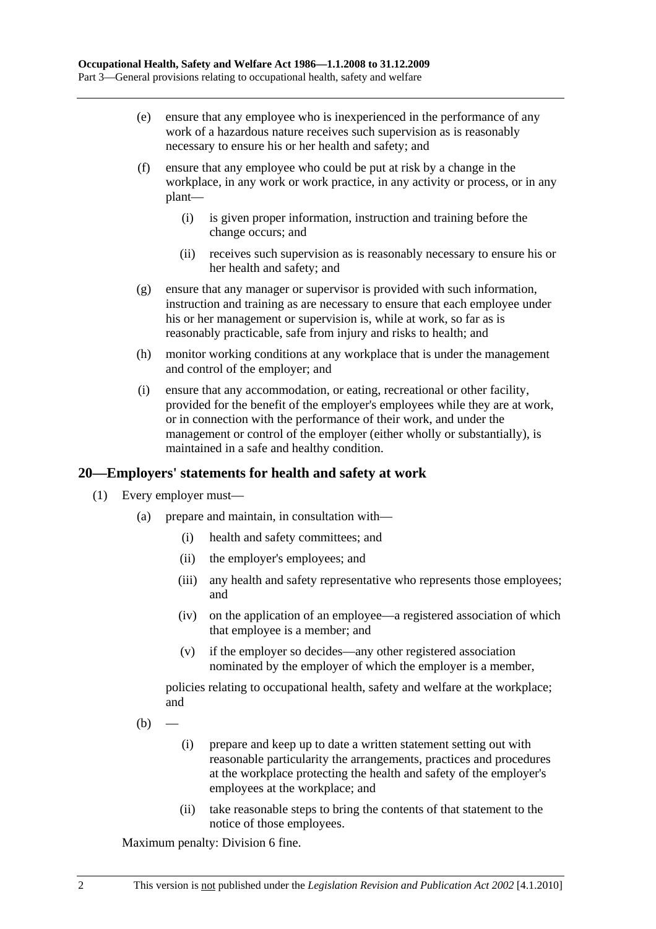- (e) ensure that any employee who is inexperienced in the performance of any work of a hazardous nature receives such supervision as is reasonably necessary to ensure his or her health and safety; and
- (f) ensure that any employee who could be put at risk by a change in the workplace, in any work or work practice, in any activity or process, or in any plant—
	- (i) is given proper information, instruction and training before the change occurs; and
	- (ii) receives such supervision as is reasonably necessary to ensure his or her health and safety; and
- (g) ensure that any manager or supervisor is provided with such information, instruction and training as are necessary to ensure that each employee under his or her management or supervision is, while at work, so far as is reasonably practicable, safe from injury and risks to health; and
- (h) monitor working conditions at any workplace that is under the management and control of the employer; and
- (i) ensure that any accommodation, or eating, recreational or other facility, provided for the benefit of the employer's employees while they are at work, or in connection with the performance of their work, and under the management or control of the employer (either wholly or substantially), is maintained in a safe and healthy condition.

## **20—Employers' statements for health and safety at work**

- (1) Every employer must—
	- (a) prepare and maintain, in consultation with—
		- (i) health and safety committees; and
		- (ii) the employer's employees; and
		- (iii) any health and safety representative who represents those employees; and
		- (iv) on the application of an employee—a registered association of which that employee is a member; and
		- (v) if the employer so decides—any other registered association nominated by the employer of which the employer is a member,

policies relating to occupational health, safety and welfare at the workplace; and

- $(b)$ 
	- (i) prepare and keep up to date a written statement setting out with reasonable particularity the arrangements, practices and procedures at the workplace protecting the health and safety of the employer's employees at the workplace; and
	- (ii) take reasonable steps to bring the contents of that statement to the notice of those employees.

Maximum penalty: Division 6 fine.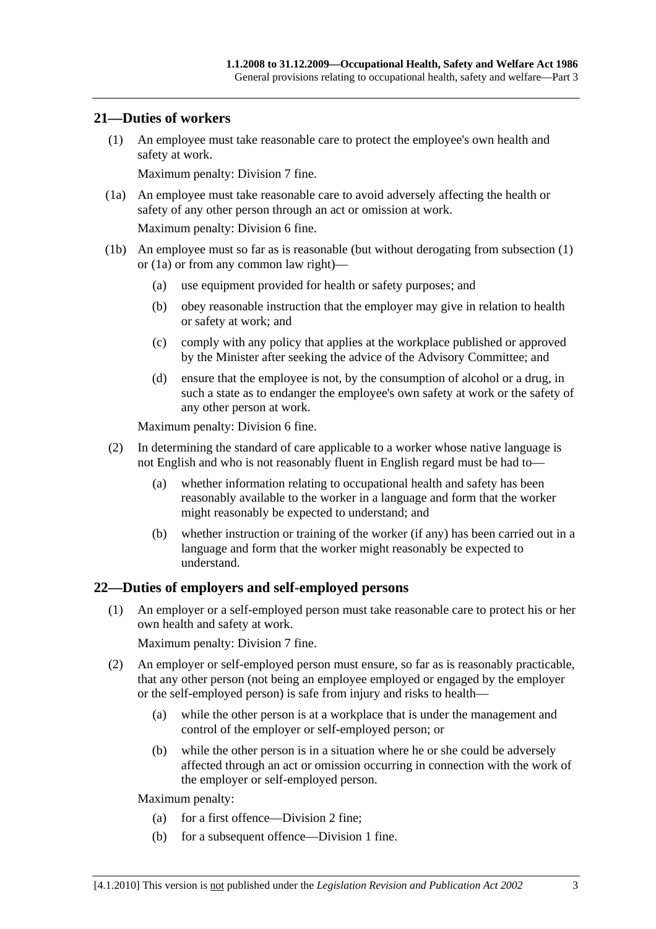#### **21—Duties of workers**

 (1) An employee must take reasonable care to protect the employee's own health and safety at work.

Maximum penalty: Division 7 fine.

 (1a) An employee must take reasonable care to avoid adversely affecting the health or safety of any other person through an act or omission at work.

Maximum penalty: Division 6 fine.

- (1b) An employee must so far as is reasonable (but without derogating from subsection (1) or (1a) or from any common law right)—
	- (a) use equipment provided for health or safety purposes; and
	- (b) obey reasonable instruction that the employer may give in relation to health or safety at work; and
	- (c) comply with any policy that applies at the workplace published or approved by the Minister after seeking the advice of the Advisory Committee; and
	- (d) ensure that the employee is not, by the consumption of alcohol or a drug, in such a state as to endanger the employee's own safety at work or the safety of any other person at work.

Maximum penalty: Division 6 fine.

- (2) In determining the standard of care applicable to a worker whose native language is not English and who is not reasonably fluent in English regard must be had to—
	- (a) whether information relating to occupational health and safety has been reasonably available to the worker in a language and form that the worker might reasonably be expected to understand; and
	- (b) whether instruction or training of the worker (if any) has been carried out in a language and form that the worker might reasonably be expected to understand.

#### **22—Duties of employers and self-employed persons**

 (1) An employer or a self-employed person must take reasonable care to protect his or her own health and safety at work.

Maximum penalty: Division 7 fine.

- (2) An employer or self-employed person must ensure, so far as is reasonably practicable, that any other person (not being an employee employed or engaged by the employer or the self-employed person) is safe from injury and risks to health—
	- (a) while the other person is at a workplace that is under the management and control of the employer or self-employed person; or
	- (b) while the other person is in a situation where he or she could be adversely affected through an act or omission occurring in connection with the work of the employer or self-employed person.

Maximum penalty:

- (a) for a first offence—Division 2 fine;
- (b) for a subsequent offence—Division 1 fine.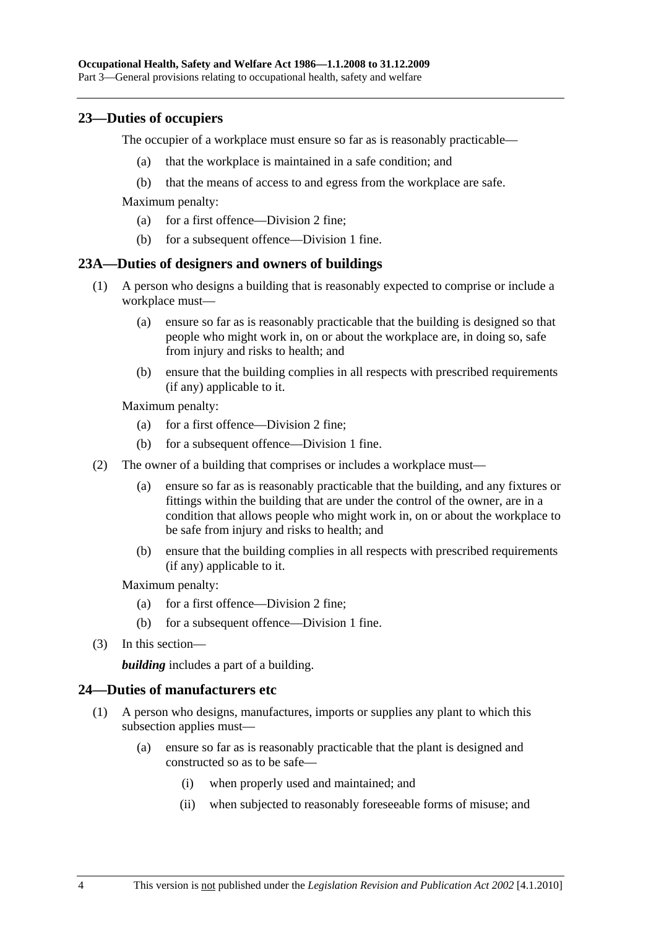#### **23—Duties of occupiers**

The occupier of a workplace must ensure so far as is reasonably practicable—

- (a) that the workplace is maintained in a safe condition; and
- (b) that the means of access to and egress from the workplace are safe.

Maximum penalty:

- (a) for a first offence—Division 2 fine;
- (b) for a subsequent offence—Division 1 fine.

#### **23A—Duties of designers and owners of buildings**

- (1) A person who designs a building that is reasonably expected to comprise or include a workplace must—
	- (a) ensure so far as is reasonably practicable that the building is designed so that people who might work in, on or about the workplace are, in doing so, safe from injury and risks to health; and
	- (b) ensure that the building complies in all respects with prescribed requirements (if any) applicable to it.

Maximum penalty:

- (a) for a first offence—Division 2 fine;
- (b) for a subsequent offence—Division 1 fine.
- (2) The owner of a building that comprises or includes a workplace must—
	- (a) ensure so far as is reasonably practicable that the building, and any fixtures or fittings within the building that are under the control of the owner, are in a condition that allows people who might work in, on or about the workplace to be safe from injury and risks to health; and
	- (b) ensure that the building complies in all respects with prescribed requirements (if any) applicable to it.

Maximum penalty:

- (a) for a first offence—Division 2 fine;
- (b) for a subsequent offence—Division 1 fine.
- (3) In this section—

*building* includes a part of a building.

#### **24—Duties of manufacturers etc**

- (1) A person who designs, manufactures, imports or supplies any plant to which this subsection applies must—
	- (a) ensure so far as is reasonably practicable that the plant is designed and constructed so as to be safe—
		- (i) when properly used and maintained; and
		- (ii) when subjected to reasonably foreseeable forms of misuse; and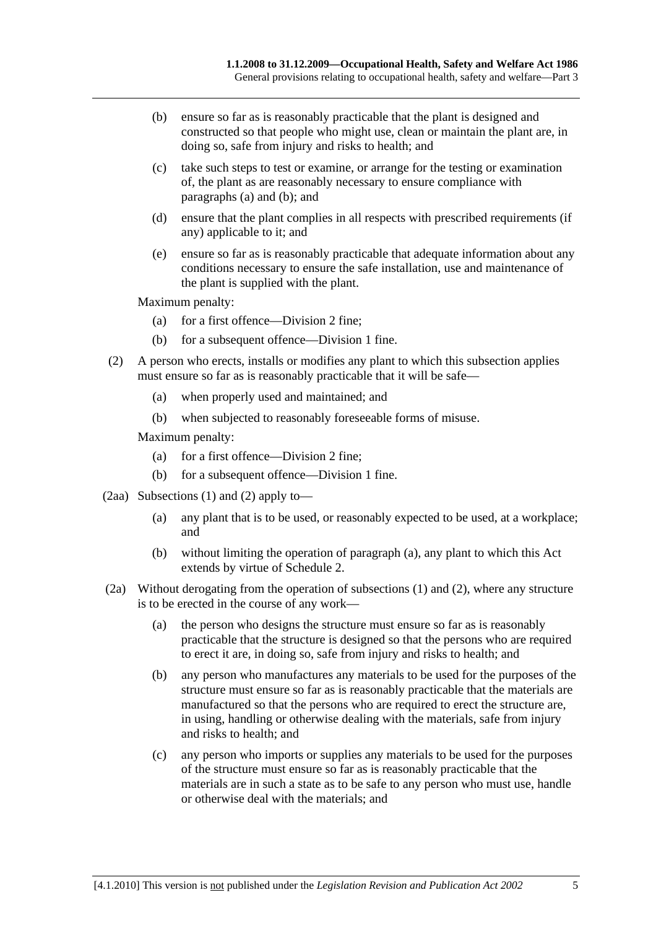- (b) ensure so far as is reasonably practicable that the plant is designed and constructed so that people who might use, clean or maintain the plant are, in doing so, safe from injury and risks to health; and
- (c) take such steps to test or examine, or arrange for the testing or examination of, the plant as are reasonably necessary to ensure compliance with paragraphs (a) and (b); and
- (d) ensure that the plant complies in all respects with prescribed requirements (if any) applicable to it; and
- (e) ensure so far as is reasonably practicable that adequate information about any conditions necessary to ensure the safe installation, use and maintenance of the plant is supplied with the plant.

Maximum penalty:

- (a) for a first offence—Division 2 fine;
- (b) for a subsequent offence—Division 1 fine.
- (2) A person who erects, installs or modifies any plant to which this subsection applies must ensure so far as is reasonably practicable that it will be safe—
	- (a) when properly used and maintained; and
	- (b) when subjected to reasonably foreseeable forms of misuse.

Maximum penalty:

- (a) for a first offence—Division 2 fine;
- (b) for a subsequent offence—Division 1 fine.
- (2aa) Subsections (1) and (2) apply to—
	- (a) any plant that is to be used, or reasonably expected to be used, at a workplace; and
	- (b) without limiting the operation of paragraph (a), any plant to which this Act extends by virtue of Schedule 2.
- (2a) Without derogating from the operation of subsections (1) and (2), where any structure is to be erected in the course of any work—
	- (a) the person who designs the structure must ensure so far as is reasonably practicable that the structure is designed so that the persons who are required to erect it are, in doing so, safe from injury and risks to health; and
	- (b) any person who manufactures any materials to be used for the purposes of the structure must ensure so far as is reasonably practicable that the materials are manufactured so that the persons who are required to erect the structure are, in using, handling or otherwise dealing with the materials, safe from injury and risks to health; and
	- (c) any person who imports or supplies any materials to be used for the purposes of the structure must ensure so far as is reasonably practicable that the materials are in such a state as to be safe to any person who must use, handle or otherwise deal with the materials; and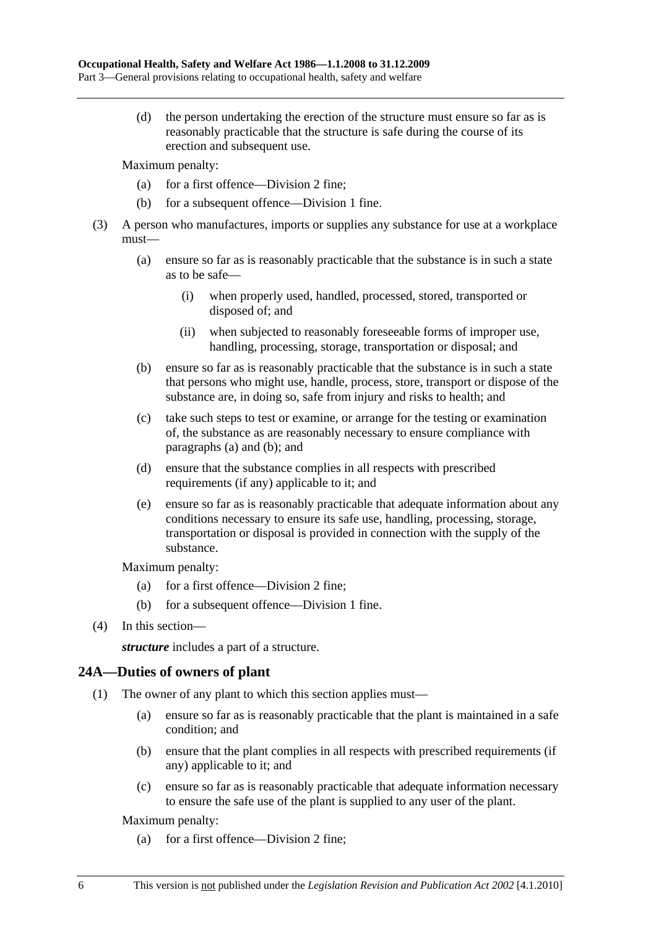(d) the person undertaking the erection of the structure must ensure so far as is reasonably practicable that the structure is safe during the course of its erection and subsequent use.

Maximum penalty:

- (a) for a first offence—Division 2 fine;
- (b) for a subsequent offence—Division 1 fine.
- (3) A person who manufactures, imports or supplies any substance for use at a workplace must—
	- (a) ensure so far as is reasonably practicable that the substance is in such a state as to be safe—
		- (i) when properly used, handled, processed, stored, transported or disposed of; and
		- (ii) when subjected to reasonably foreseeable forms of improper use, handling, processing, storage, transportation or disposal; and
	- (b) ensure so far as is reasonably practicable that the substance is in such a state that persons who might use, handle, process, store, transport or dispose of the substance are, in doing so, safe from injury and risks to health; and
	- (c) take such steps to test or examine, or arrange for the testing or examination of, the substance as are reasonably necessary to ensure compliance with paragraphs (a) and (b); and
	- (d) ensure that the substance complies in all respects with prescribed requirements (if any) applicable to it; and
	- (e) ensure so far as is reasonably practicable that adequate information about any conditions necessary to ensure its safe use, handling, processing, storage, transportation or disposal is provided in connection with the supply of the substance.

Maximum penalty:

- (a) for a first offence—Division 2 fine;
- (b) for a subsequent offence—Division 1 fine.
- (4) In this section—

*structure* includes a part of a structure.

## **24A—Duties of owners of plant**

- (1) The owner of any plant to which this section applies must—
	- (a) ensure so far as is reasonably practicable that the plant is maintained in a safe condition; and
	- (b) ensure that the plant complies in all respects with prescribed requirements (if any) applicable to it; and
	- (c) ensure so far as is reasonably practicable that adequate information necessary to ensure the safe use of the plant is supplied to any user of the plant.

Maximum penalty:

(a) for a first offence—Division 2 fine;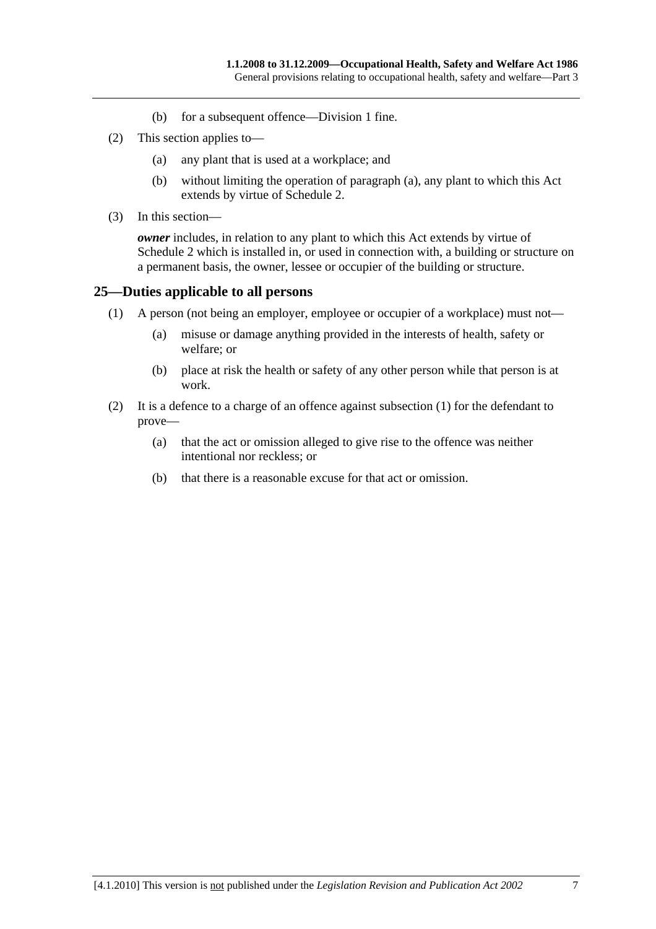- (b) for a subsequent offence—Division 1 fine.
- (2) This section applies to—
	- (a) any plant that is used at a workplace; and
	- (b) without limiting the operation of paragraph (a), any plant to which this Act extends by virtue of Schedule 2.
- (3) In this section—

*owner* includes, in relation to any plant to which this Act extends by virtue of Schedule 2 which is installed in, or used in connection with, a building or structure on a permanent basis, the owner, lessee or occupier of the building or structure.

#### **25—Duties applicable to all persons**

- (1) A person (not being an employer, employee or occupier of a workplace) must not—
	- (a) misuse or damage anything provided in the interests of health, safety or welfare; or
	- (b) place at risk the health or safety of any other person while that person is at work.
- (2) It is a defence to a charge of an offence against subsection (1) for the defendant to prove—
	- (a) that the act or omission alleged to give rise to the offence was neither intentional nor reckless; or
	- (b) that there is a reasonable excuse for that act or omission.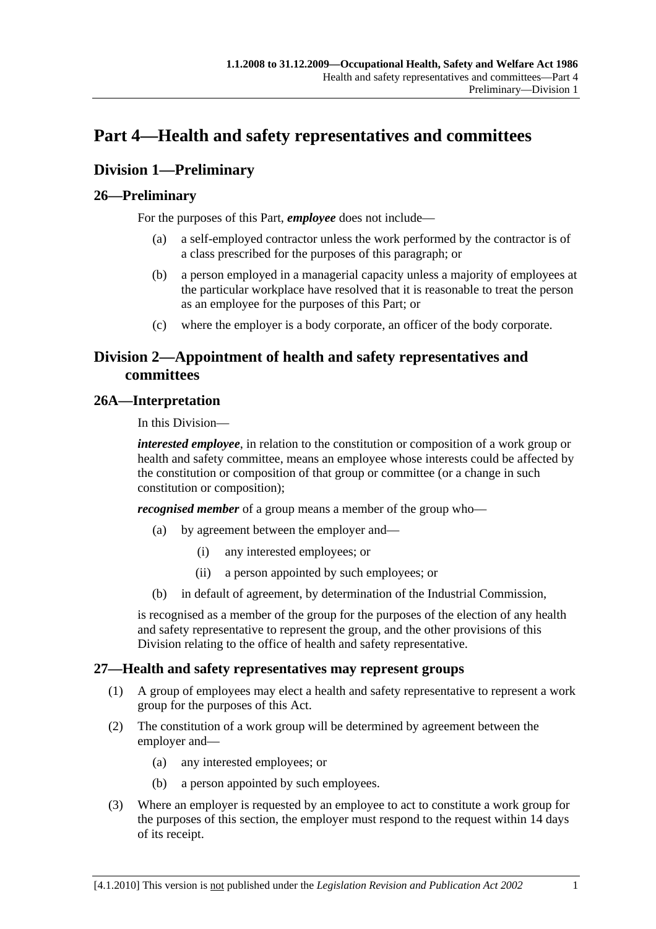## **Part 4—Health and safety representatives and committees**

## **Division 1—Preliminary**

## **26—Preliminary**

For the purposes of this Part, *employee* does not include—

- (a) a self-employed contractor unless the work performed by the contractor is of a class prescribed for the purposes of this paragraph; or
- (b) a person employed in a managerial capacity unless a majority of employees at the particular workplace have resolved that it is reasonable to treat the person as an employee for the purposes of this Part; or
- (c) where the employer is a body corporate, an officer of the body corporate.

## **Division 2—Appointment of health and safety representatives and committees**

## **26A—Interpretation**

In this Division—

*interested employee*, in relation to the constitution or composition of a work group or health and safety committee, means an employee whose interests could be affected by the constitution or composition of that group or committee (or a change in such constitution or composition);

*recognised member* of a group means a member of the group who—

- (a) by agreement between the employer and—
	- (i) any interested employees; or
	- (ii) a person appointed by such employees; or
- (b) in default of agreement, by determination of the Industrial Commission,

is recognised as a member of the group for the purposes of the election of any health and safety representative to represent the group, and the other provisions of this Division relating to the office of health and safety representative.

## **27—Health and safety representatives may represent groups**

- (1) A group of employees may elect a health and safety representative to represent a work group for the purposes of this Act.
- (2) The constitution of a work group will be determined by agreement between the employer and—
	- (a) any interested employees; or
	- (b) a person appointed by such employees.
- (3) Where an employer is requested by an employee to act to constitute a work group for the purposes of this section, the employer must respond to the request within 14 days of its receipt.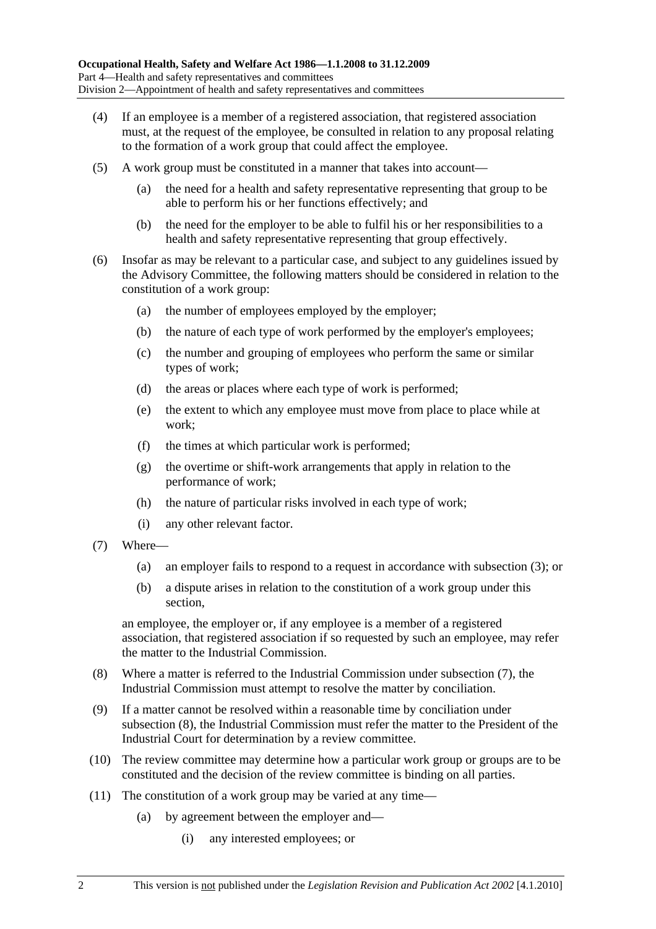- (4) If an employee is a member of a registered association, that registered association must, at the request of the employee, be consulted in relation to any proposal relating to the formation of a work group that could affect the employee.
- (5) A work group must be constituted in a manner that takes into account—
	- (a) the need for a health and safety representative representing that group to be able to perform his or her functions effectively; and
	- (b) the need for the employer to be able to fulfil his or her responsibilities to a health and safety representative representing that group effectively.
- (6) Insofar as may be relevant to a particular case, and subject to any guidelines issued by the Advisory Committee, the following matters should be considered in relation to the constitution of a work group:
	- (a) the number of employees employed by the employer;
	- (b) the nature of each type of work performed by the employer's employees;
	- (c) the number and grouping of employees who perform the same or similar types of work;
	- (d) the areas or places where each type of work is performed;
	- (e) the extent to which any employee must move from place to place while at work;
	- (f) the times at which particular work is performed;
	- (g) the overtime or shift-work arrangements that apply in relation to the performance of work;
	- (h) the nature of particular risks involved in each type of work;
	- (i) any other relevant factor.
- (7) Where—
	- (a) an employer fails to respond to a request in accordance with subsection (3); or
	- (b) a dispute arises in relation to the constitution of a work group under this section,

an employee, the employer or, if any employee is a member of a registered association, that registered association if so requested by such an employee, may refer the matter to the Industrial Commission.

- (8) Where a matter is referred to the Industrial Commission under subsection (7), the Industrial Commission must attempt to resolve the matter by conciliation.
- (9) If a matter cannot be resolved within a reasonable time by conciliation under subsection (8), the Industrial Commission must refer the matter to the President of the Industrial Court for determination by a review committee.
- (10) The review committee may determine how a particular work group or groups are to be constituted and the decision of the review committee is binding on all parties.
- (11) The constitution of a work group may be varied at any time—
	- (a) by agreement between the employer and—
		- (i) any interested employees; or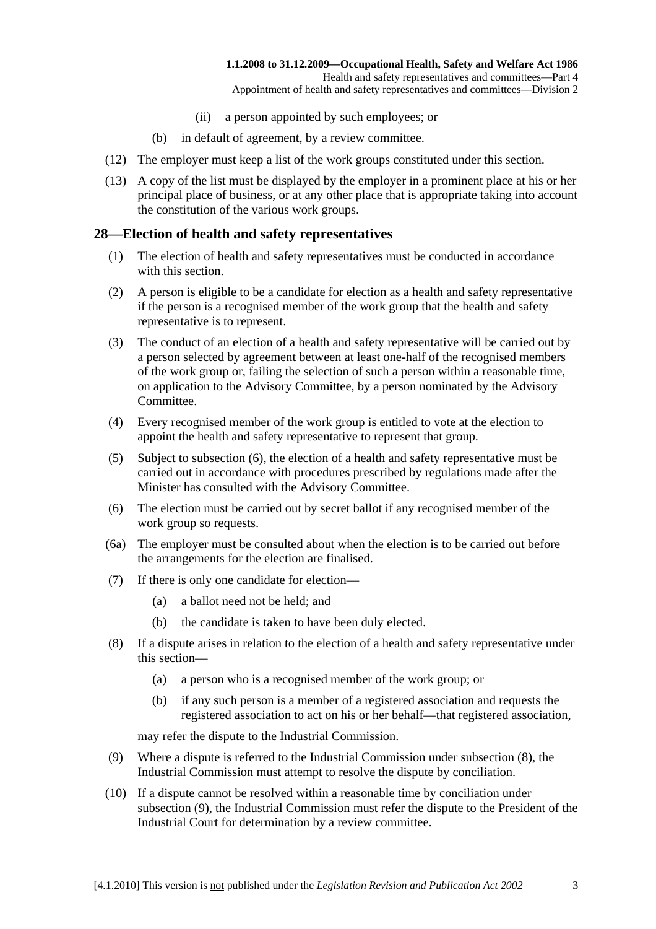- (ii) a person appointed by such employees; or
- (b) in default of agreement, by a review committee.
- (12) The employer must keep a list of the work groups constituted under this section.
- (13) A copy of the list must be displayed by the employer in a prominent place at his or her principal place of business, or at any other place that is appropriate taking into account the constitution of the various work groups.

#### **28—Election of health and safety representatives**

- (1) The election of health and safety representatives must be conducted in accordance with this section.
- (2) A person is eligible to be a candidate for election as a health and safety representative if the person is a recognised member of the work group that the health and safety representative is to represent.
- (3) The conduct of an election of a health and safety representative will be carried out by a person selected by agreement between at least one-half of the recognised members of the work group or, failing the selection of such a person within a reasonable time, on application to the Advisory Committee, by a person nominated by the Advisory Committee.
- (4) Every recognised member of the work group is entitled to vote at the election to appoint the health and safety representative to represent that group.
- (5) Subject to subsection (6), the election of a health and safety representative must be carried out in accordance with procedures prescribed by regulations made after the Minister has consulted with the Advisory Committee.
- (6) The election must be carried out by secret ballot if any recognised member of the work group so requests.
- (6a) The employer must be consulted about when the election is to be carried out before the arrangements for the election are finalised.
- (7) If there is only one candidate for election—
	- (a) a ballot need not be held; and
	- (b) the candidate is taken to have been duly elected.
- (8) If a dispute arises in relation to the election of a health and safety representative under this section—
	- (a) a person who is a recognised member of the work group; or
	- (b) if any such person is a member of a registered association and requests the registered association to act on his or her behalf—that registered association,

may refer the dispute to the Industrial Commission.

- (9) Where a dispute is referred to the Industrial Commission under subsection (8), the Industrial Commission must attempt to resolve the dispute by conciliation.
- (10) If a dispute cannot be resolved within a reasonable time by conciliation under subsection (9), the Industrial Commission must refer the dispute to the President of the Industrial Court for determination by a review committee.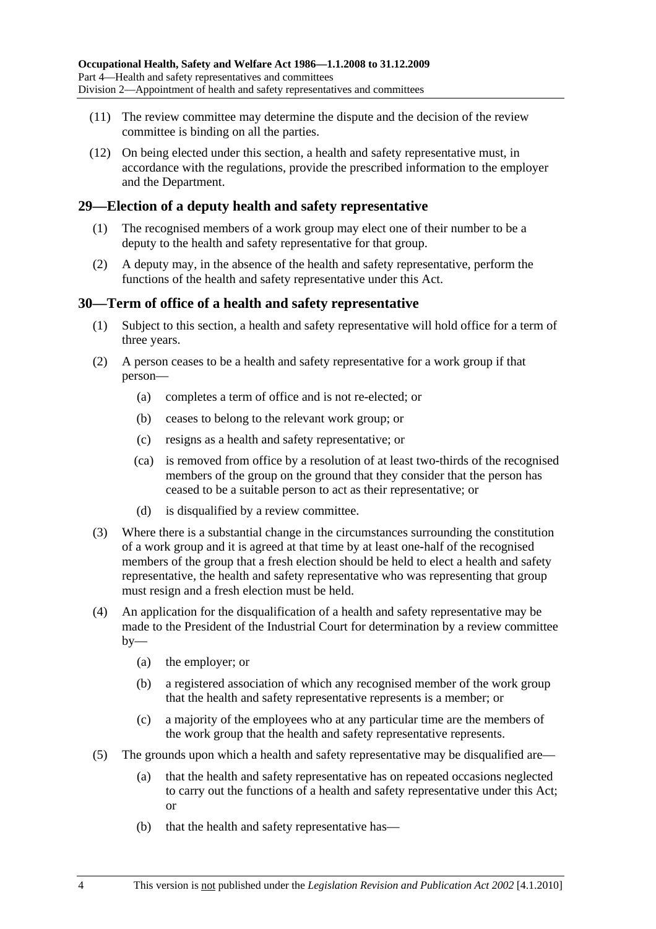- (11) The review committee may determine the dispute and the decision of the review committee is binding on all the parties.
- (12) On being elected under this section, a health and safety representative must, in accordance with the regulations, provide the prescribed information to the employer and the Department.

#### **29—Election of a deputy health and safety representative**

- (1) The recognised members of a work group may elect one of their number to be a deputy to the health and safety representative for that group.
- (2) A deputy may, in the absence of the health and safety representative, perform the functions of the health and safety representative under this Act.

#### **30—Term of office of a health and safety representative**

- (1) Subject to this section, a health and safety representative will hold office for a term of three years.
- (2) A person ceases to be a health and safety representative for a work group if that person—
	- (a) completes a term of office and is not re-elected; or
	- (b) ceases to belong to the relevant work group; or
	- (c) resigns as a health and safety representative; or
	- (ca) is removed from office by a resolution of at least two-thirds of the recognised members of the group on the ground that they consider that the person has ceased to be a suitable person to act as their representative; or
	- (d) is disqualified by a review committee.
- (3) Where there is a substantial change in the circumstances surrounding the constitution of a work group and it is agreed at that time by at least one-half of the recognised members of the group that a fresh election should be held to elect a health and safety representative, the health and safety representative who was representing that group must resign and a fresh election must be held.
- (4) An application for the disqualification of a health and safety representative may be made to the President of the Industrial Court for determination by a review committee  $by-$ 
	- (a) the employer; or
	- (b) a registered association of which any recognised member of the work group that the health and safety representative represents is a member; or
	- (c) a majority of the employees who at any particular time are the members of the work group that the health and safety representative represents.
- (5) The grounds upon which a health and safety representative may be disqualified are—
	- (a) that the health and safety representative has on repeated occasions neglected to carry out the functions of a health and safety representative under this Act; or
	- (b) that the health and safety representative has—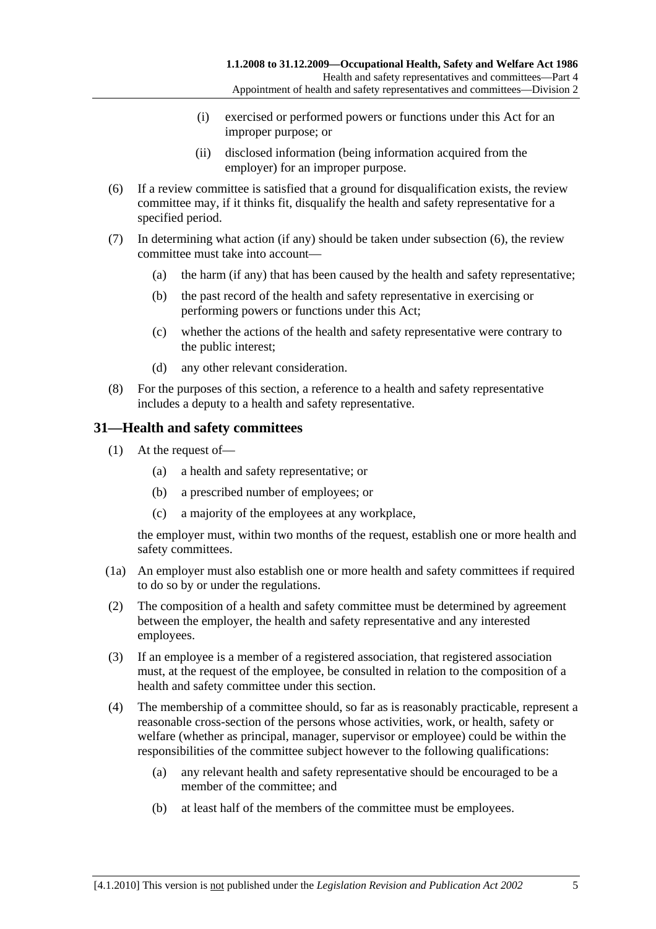- (i) exercised or performed powers or functions under this Act for an improper purpose; or
- (ii) disclosed information (being information acquired from the employer) for an improper purpose.
- (6) If a review committee is satisfied that a ground for disqualification exists, the review committee may, if it thinks fit, disqualify the health and safety representative for a specified period.
- (7) In determining what action (if any) should be taken under subsection (6), the review committee must take into account—
	- (a) the harm (if any) that has been caused by the health and safety representative;
	- (b) the past record of the health and safety representative in exercising or performing powers or functions under this Act;
	- (c) whether the actions of the health and safety representative were contrary to the public interest;
	- (d) any other relevant consideration.
- (8) For the purposes of this section, a reference to a health and safety representative includes a deputy to a health and safety representative.

## **31—Health and safety committees**

- (1) At the request of—
	- (a) a health and safety representative; or
	- (b) a prescribed number of employees; or
	- (c) a majority of the employees at any workplace,

the employer must, within two months of the request, establish one or more health and safety committees.

- (1a) An employer must also establish one or more health and safety committees if required to do so by or under the regulations.
- (2) The composition of a health and safety committee must be determined by agreement between the employer, the health and safety representative and any interested employees.
- (3) If an employee is a member of a registered association, that registered association must, at the request of the employee, be consulted in relation to the composition of a health and safety committee under this section.
- (4) The membership of a committee should, so far as is reasonably practicable, represent a reasonable cross-section of the persons whose activities, work, or health, safety or welfare (whether as principal, manager, supervisor or employee) could be within the responsibilities of the committee subject however to the following qualifications:
	- (a) any relevant health and safety representative should be encouraged to be a member of the committee; and
	- (b) at least half of the members of the committee must be employees.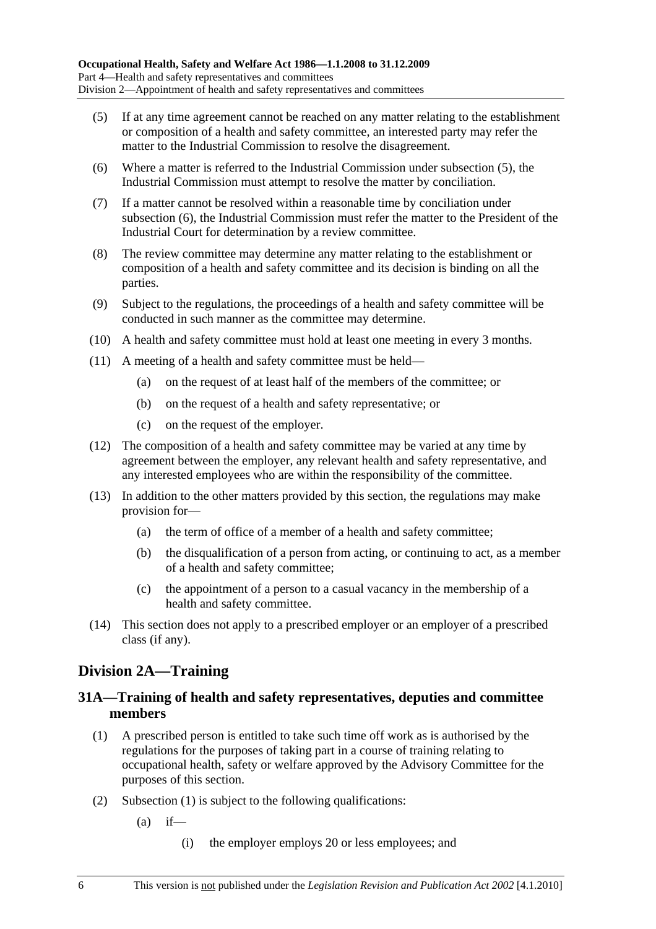- (5) If at any time agreement cannot be reached on any matter relating to the establishment or composition of a health and safety committee, an interested party may refer the matter to the Industrial Commission to resolve the disagreement.
- (6) Where a matter is referred to the Industrial Commission under subsection (5), the Industrial Commission must attempt to resolve the matter by conciliation.
- (7) If a matter cannot be resolved within a reasonable time by conciliation under subsection (6), the Industrial Commission must refer the matter to the President of the Industrial Court for determination by a review committee.
- (8) The review committee may determine any matter relating to the establishment or composition of a health and safety committee and its decision is binding on all the parties.
- (9) Subject to the regulations, the proceedings of a health and safety committee will be conducted in such manner as the committee may determine.
- (10) A health and safety committee must hold at least one meeting in every 3 months.
- (11) A meeting of a health and safety committee must be held—
	- (a) on the request of at least half of the members of the committee; or
	- (b) on the request of a health and safety representative; or
	- (c) on the request of the employer.
- (12) The composition of a health and safety committee may be varied at any time by agreement between the employer, any relevant health and safety representative, and any interested employees who are within the responsibility of the committee.
- (13) In addition to the other matters provided by this section, the regulations may make provision for—
	- (a) the term of office of a member of a health and safety committee;
	- (b) the disqualification of a person from acting, or continuing to act, as a member of a health and safety committee;
	- (c) the appointment of a person to a casual vacancy in the membership of a health and safety committee.
- (14) This section does not apply to a prescribed employer or an employer of a prescribed class (if any).

## **Division 2A—Training**

## **31A—Training of health and safety representatives, deputies and committee members**

- (1) A prescribed person is entitled to take such time off work as is authorised by the regulations for the purposes of taking part in a course of training relating to occupational health, safety or welfare approved by the Advisory Committee for the purposes of this section.
- (2) Subsection (1) is subject to the following qualifications:
	- $(a)$  if—
		- (i) the employer employs 20 or less employees; and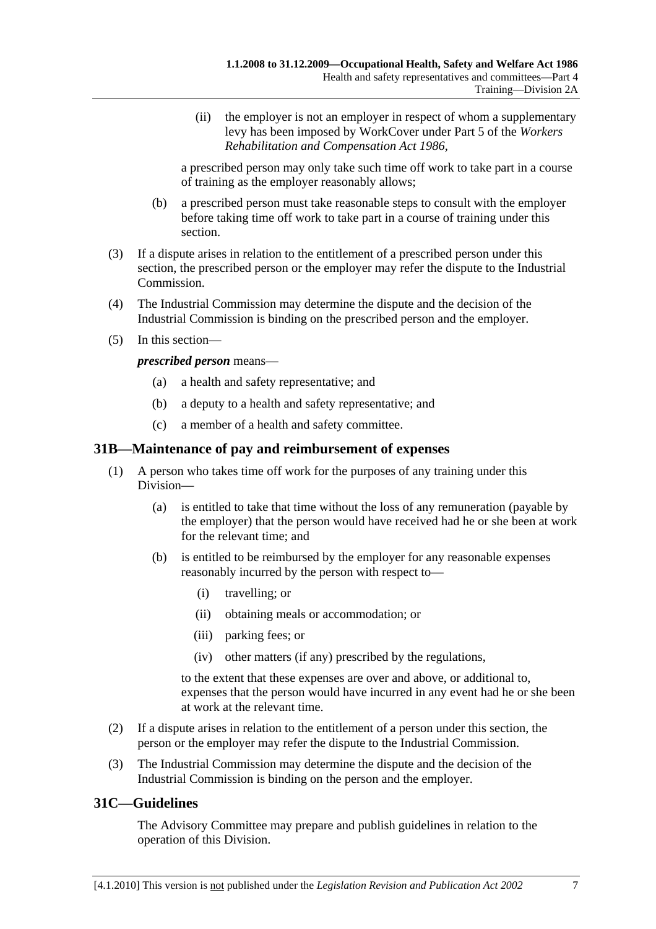(ii) the employer is not an employer in respect of whom a supplementary levy has been imposed by WorkCover under Part 5 of the *Workers Rehabilitation and Compensation Act 1986*,

a prescribed person may only take such time off work to take part in a course of training as the employer reasonably allows;

- (b) a prescribed person must take reasonable steps to consult with the employer before taking time off work to take part in a course of training under this section.
- (3) If a dispute arises in relation to the entitlement of a prescribed person under this section, the prescribed person or the employer may refer the dispute to the Industrial Commission.
- (4) The Industrial Commission may determine the dispute and the decision of the Industrial Commission is binding on the prescribed person and the employer.
- (5) In this section—

*prescribed person* means—

- (a) a health and safety representative; and
- (b) a deputy to a health and safety representative; and
- (c) a member of a health and safety committee.

#### **31B—Maintenance of pay and reimbursement of expenses**

- (1) A person who takes time off work for the purposes of any training under this Division—
	- (a) is entitled to take that time without the loss of any remuneration (payable by the employer) that the person would have received had he or she been at work for the relevant time; and
	- (b) is entitled to be reimbursed by the employer for any reasonable expenses reasonably incurred by the person with respect to—
		- (i) travelling; or
		- (ii) obtaining meals or accommodation; or
		- (iii) parking fees; or
		- (iv) other matters (if any) prescribed by the regulations,

to the extent that these expenses are over and above, or additional to, expenses that the person would have incurred in any event had he or she been at work at the relevant time.

- (2) If a dispute arises in relation to the entitlement of a person under this section, the person or the employer may refer the dispute to the Industrial Commission.
- (3) The Industrial Commission may determine the dispute and the decision of the Industrial Commission is binding on the person and the employer.

## **31C—Guidelines**

The Advisory Committee may prepare and publish guidelines in relation to the operation of this Division.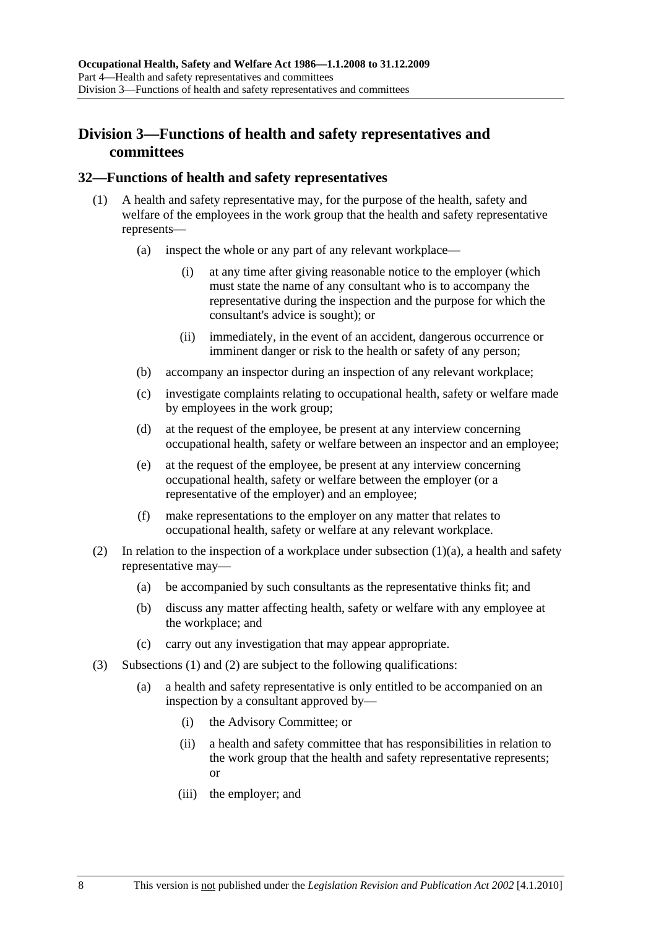## **Division 3—Functions of health and safety representatives and committees**

#### **32—Functions of health and safety representatives**

- (1) A health and safety representative may, for the purpose of the health, safety and welfare of the employees in the work group that the health and safety representative represents—
	- (a) inspect the whole or any part of any relevant workplace—
		- (i) at any time after giving reasonable notice to the employer (which must state the name of any consultant who is to accompany the representative during the inspection and the purpose for which the consultant's advice is sought); or
		- (ii) immediately, in the event of an accident, dangerous occurrence or imminent danger or risk to the health or safety of any person;
	- (b) accompany an inspector during an inspection of any relevant workplace;
	- (c) investigate complaints relating to occupational health, safety or welfare made by employees in the work group;
	- (d) at the request of the employee, be present at any interview concerning occupational health, safety or welfare between an inspector and an employee;
	- (e) at the request of the employee, be present at any interview concerning occupational health, safety or welfare between the employer (or a representative of the employer) and an employee;
	- (f) make representations to the employer on any matter that relates to occupational health, safety or welfare at any relevant workplace.
- (2) In relation to the inspection of a workplace under subsection  $(1)(a)$ , a health and safety representative may—
	- (a) be accompanied by such consultants as the representative thinks fit; and
	- (b) discuss any matter affecting health, safety or welfare with any employee at the workplace; and
	- (c) carry out any investigation that may appear appropriate.
- (3) Subsections (1) and (2) are subject to the following qualifications:
	- (a) a health and safety representative is only entitled to be accompanied on an inspection by a consultant approved by—
		- (i) the Advisory Committee; or
		- (ii) a health and safety committee that has responsibilities in relation to the work group that the health and safety representative represents; or
		- (iii) the employer; and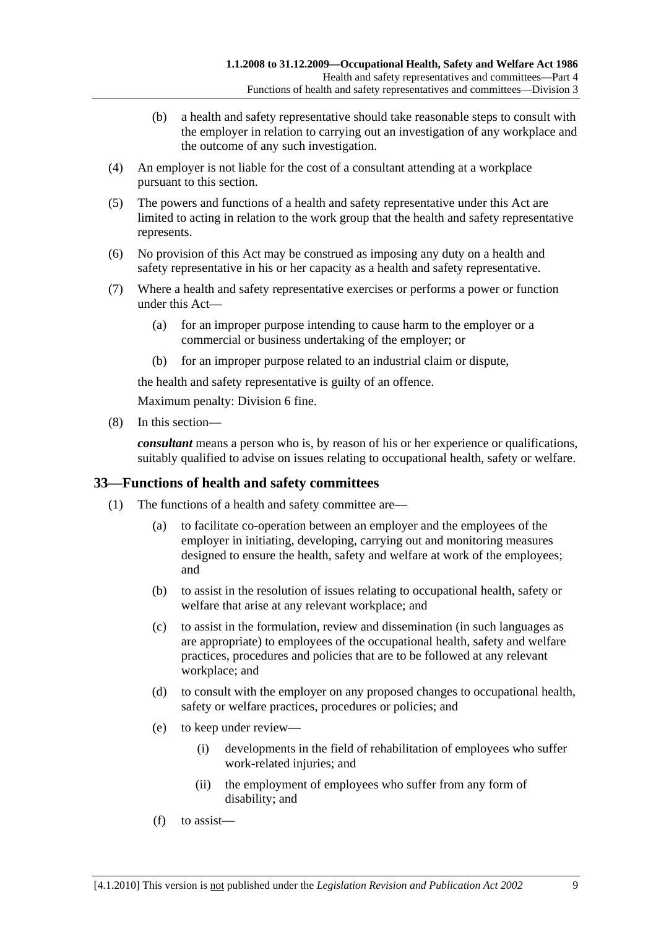- (b) a health and safety representative should take reasonable steps to consult with the employer in relation to carrying out an investigation of any workplace and the outcome of any such investigation.
- (4) An employer is not liable for the cost of a consultant attending at a workplace pursuant to this section.
- (5) The powers and functions of a health and safety representative under this Act are limited to acting in relation to the work group that the health and safety representative represents.
- (6) No provision of this Act may be construed as imposing any duty on a health and safety representative in his or her capacity as a health and safety representative.
- (7) Where a health and safety representative exercises or performs a power or function under this Act—
	- (a) for an improper purpose intending to cause harm to the employer or a commercial or business undertaking of the employer; or
	- (b) for an improper purpose related to an industrial claim or dispute,

the health and safety representative is guilty of an offence.

Maximum penalty: Division 6 fine.

(8) In this section—

*consultant* means a person who is, by reason of his or her experience or qualifications, suitably qualified to advise on issues relating to occupational health, safety or welfare.

## **33—Functions of health and safety committees**

- (1) The functions of a health and safety committee are—
	- (a) to facilitate co-operation between an employer and the employees of the employer in initiating, developing, carrying out and monitoring measures designed to ensure the health, safety and welfare at work of the employees; and
	- (b) to assist in the resolution of issues relating to occupational health, safety or welfare that arise at any relevant workplace; and
	- (c) to assist in the formulation, review and dissemination (in such languages as are appropriate) to employees of the occupational health, safety and welfare practices, procedures and policies that are to be followed at any relevant workplace; and
	- (d) to consult with the employer on any proposed changes to occupational health, safety or welfare practices, procedures or policies; and
	- (e) to keep under review—
		- (i) developments in the field of rehabilitation of employees who suffer work-related injuries; and
		- (ii) the employment of employees who suffer from any form of disability; and
	- (f) to assist—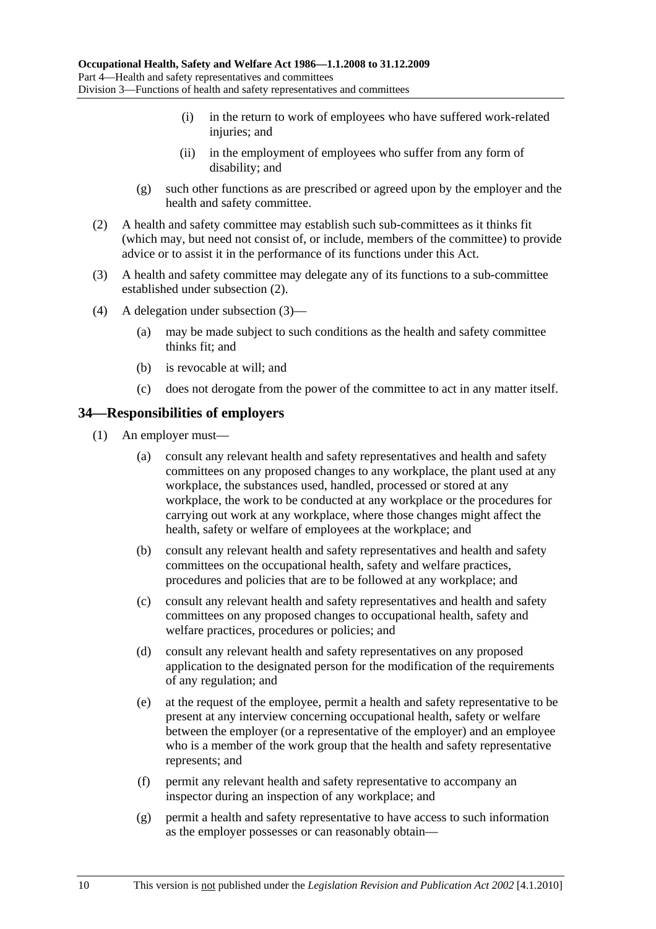- (i) in the return to work of employees who have suffered work-related injuries; and
- (ii) in the employment of employees who suffer from any form of disability; and
- (g) such other functions as are prescribed or agreed upon by the employer and the health and safety committee.
- (2) A health and safety committee may establish such sub-committees as it thinks fit (which may, but need not consist of, or include, members of the committee) to provide advice or to assist it in the performance of its functions under this Act.
- (3) A health and safety committee may delegate any of its functions to a sub-committee established under subsection (2).
- (4) A delegation under subsection (3)—
	- (a) may be made subject to such conditions as the health and safety committee thinks fit; and
	- (b) is revocable at will; and
	- (c) does not derogate from the power of the committee to act in any matter itself.

#### **34—Responsibilities of employers**

- (1) An employer must—
	- (a) consult any relevant health and safety representatives and health and safety committees on any proposed changes to any workplace, the plant used at any workplace, the substances used, handled, processed or stored at any workplace, the work to be conducted at any workplace or the procedures for carrying out work at any workplace, where those changes might affect the health, safety or welfare of employees at the workplace; and
	- (b) consult any relevant health and safety representatives and health and safety committees on the occupational health, safety and welfare practices, procedures and policies that are to be followed at any workplace; and
	- (c) consult any relevant health and safety representatives and health and safety committees on any proposed changes to occupational health, safety and welfare practices, procedures or policies; and
	- (d) consult any relevant health and safety representatives on any proposed application to the designated person for the modification of the requirements of any regulation; and
	- (e) at the request of the employee, permit a health and safety representative to be present at any interview concerning occupational health, safety or welfare between the employer (or a representative of the employer) and an employee who is a member of the work group that the health and safety representative represents; and
	- (f) permit any relevant health and safety representative to accompany an inspector during an inspection of any workplace; and
	- (g) permit a health and safety representative to have access to such information as the employer possesses or can reasonably obtain—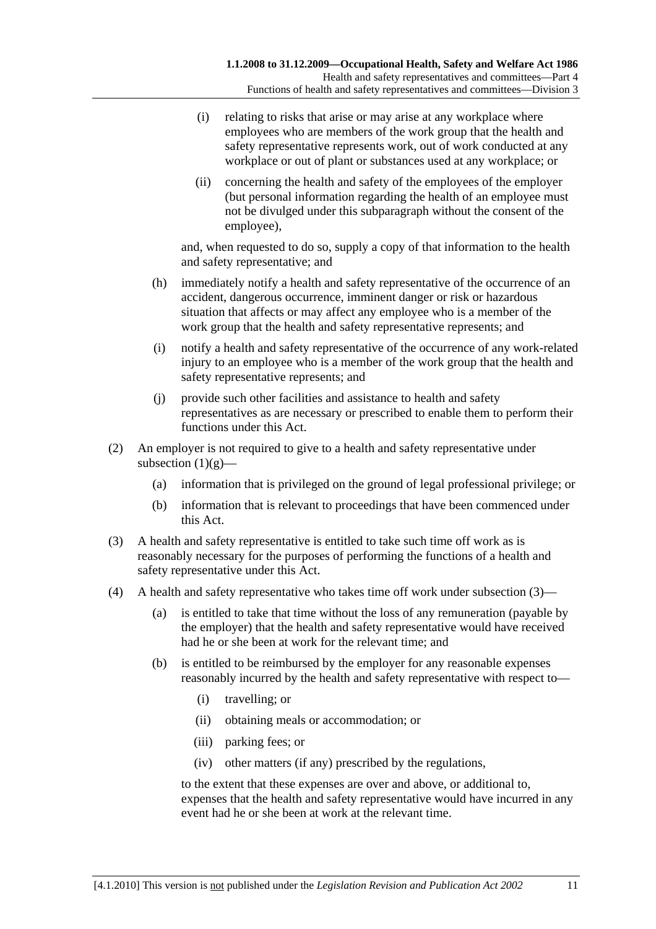- (i) relating to risks that arise or may arise at any workplace where employees who are members of the work group that the health and safety representative represents work, out of work conducted at any workplace or out of plant or substances used at any workplace; or
- (ii) concerning the health and safety of the employees of the employer (but personal information regarding the health of an employee must not be divulged under this subparagraph without the consent of the employee),

and, when requested to do so, supply a copy of that information to the health and safety representative; and

- (h) immediately notify a health and safety representative of the occurrence of an accident, dangerous occurrence, imminent danger or risk or hazardous situation that affects or may affect any employee who is a member of the work group that the health and safety representative represents; and
- (i) notify a health and safety representative of the occurrence of any work-related injury to an employee who is a member of the work group that the health and safety representative represents; and
- (j) provide such other facilities and assistance to health and safety representatives as are necessary or prescribed to enable them to perform their functions under this Act.
- (2) An employer is not required to give to a health and safety representative under subsection  $(1)(g)$ —
	- (a) information that is privileged on the ground of legal professional privilege; or
	- (b) information that is relevant to proceedings that have been commenced under this Act.
- (3) A health and safety representative is entitled to take such time off work as is reasonably necessary for the purposes of performing the functions of a health and safety representative under this Act.
- (4) A health and safety representative who takes time off work under subsection (3)—
	- (a) is entitled to take that time without the loss of any remuneration (payable by the employer) that the health and safety representative would have received had he or she been at work for the relevant time; and
	- (b) is entitled to be reimbursed by the employer for any reasonable expenses reasonably incurred by the health and safety representative with respect to—
		- (i) travelling; or
		- (ii) obtaining meals or accommodation; or
		- (iii) parking fees; or
		- (iv) other matters (if any) prescribed by the regulations,

to the extent that these expenses are over and above, or additional to, expenses that the health and safety representative would have incurred in any event had he or she been at work at the relevant time.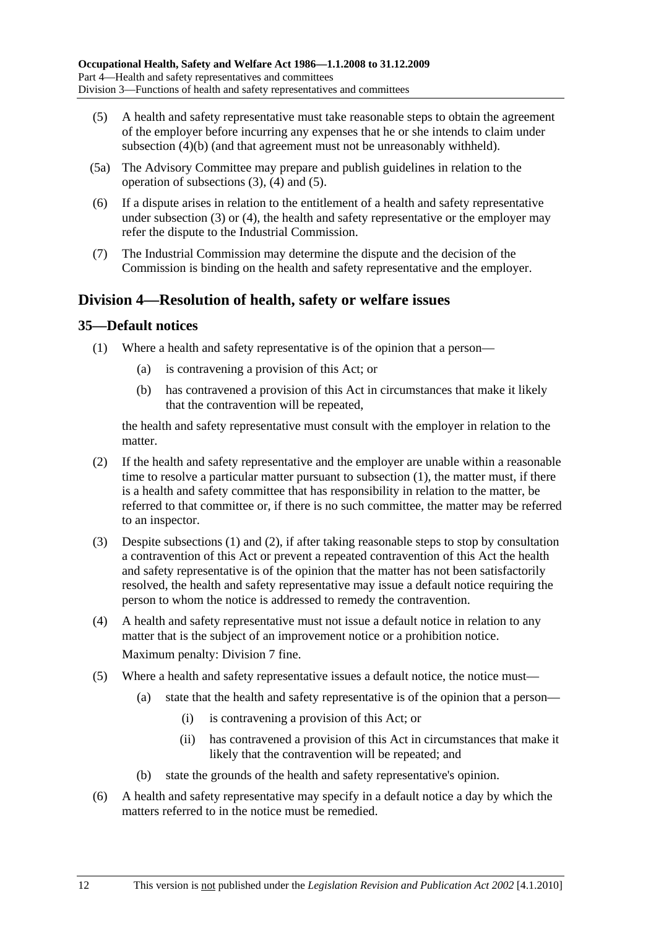- (5) A health and safety representative must take reasonable steps to obtain the agreement of the employer before incurring any expenses that he or she intends to claim under subsection (4)(b) (and that agreement must not be unreasonably withheld).
- (5a) The Advisory Committee may prepare and publish guidelines in relation to the operation of subsections (3), (4) and (5).
- (6) If a dispute arises in relation to the entitlement of a health and safety representative under subsection (3) or (4), the health and safety representative or the employer may refer the dispute to the Industrial Commission.
- (7) The Industrial Commission may determine the dispute and the decision of the Commission is binding on the health and safety representative and the employer.

## **Division 4—Resolution of health, safety or welfare issues**

## **35—Default notices**

- (1) Where a health and safety representative is of the opinion that a person—
	- (a) is contravening a provision of this Act; or
	- (b) has contravened a provision of this Act in circumstances that make it likely that the contravention will be repeated,

the health and safety representative must consult with the employer in relation to the matter.

- (2) If the health and safety representative and the employer are unable within a reasonable time to resolve a particular matter pursuant to subsection (1), the matter must, if there is a health and safety committee that has responsibility in relation to the matter, be referred to that committee or, if there is no such committee, the matter may be referred to an inspector.
- (3) Despite subsections (1) and (2), if after taking reasonable steps to stop by consultation a contravention of this Act or prevent a repeated contravention of this Act the health and safety representative is of the opinion that the matter has not been satisfactorily resolved, the health and safety representative may issue a default notice requiring the person to whom the notice is addressed to remedy the contravention.
- (4) A health and safety representative must not issue a default notice in relation to any matter that is the subject of an improvement notice or a prohibition notice. Maximum penalty: Division 7 fine.
- (5) Where a health and safety representative issues a default notice, the notice must—
	- (a) state that the health and safety representative is of the opinion that a person—
		- (i) is contravening a provision of this Act; or
		- (ii) has contravened a provision of this Act in circumstances that make it likely that the contravention will be repeated; and
	- (b) state the grounds of the health and safety representative's opinion.
- (6) A health and safety representative may specify in a default notice a day by which the matters referred to in the notice must be remedied.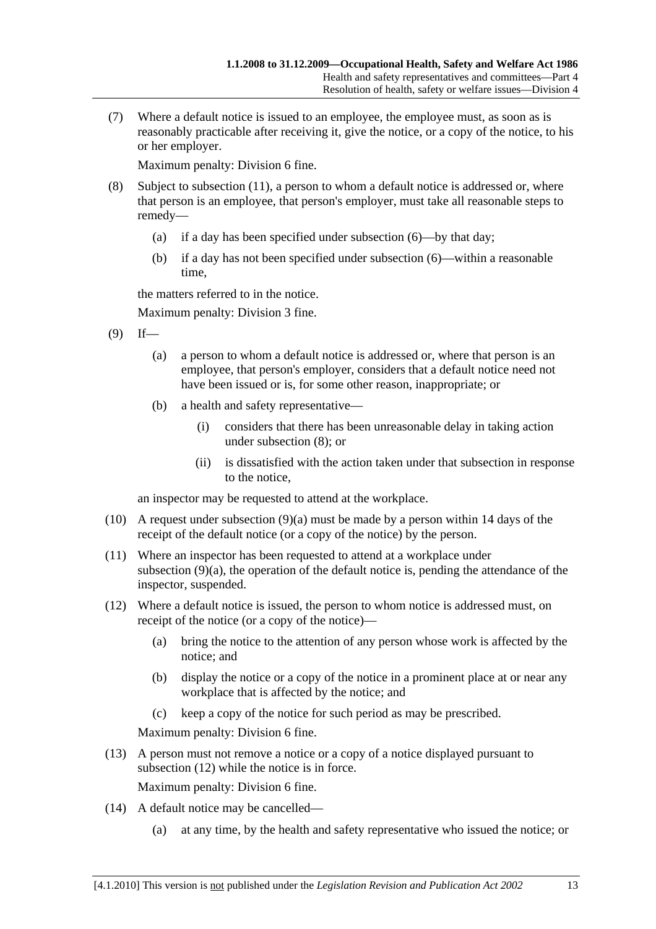(7) Where a default notice is issued to an employee, the employee must, as soon as is reasonably practicable after receiving it, give the notice, or a copy of the notice, to his or her employer.

Maximum penalty: Division 6 fine.

- (8) Subject to subsection (11), a person to whom a default notice is addressed or, where that person is an employee, that person's employer, must take all reasonable steps to remedy—
	- (a) if a day has been specified under subsection (6)—by that day;
	- (b) if a day has not been specified under subsection (6)—within a reasonable time,

the matters referred to in the notice.

Maximum penalty: Division 3 fine.

- $(9)$  If—
	- (a) a person to whom a default notice is addressed or, where that person is an employee, that person's employer, considers that a default notice need not have been issued or is, for some other reason, inappropriate; or
	- (b) a health and safety representative—
		- (i) considers that there has been unreasonable delay in taking action under subsection (8); or
		- (ii) is dissatisfied with the action taken under that subsection in response to the notice,

an inspector may be requested to attend at the workplace.

- (10) A request under subsection (9)(a) must be made by a person within 14 days of the receipt of the default notice (or a copy of the notice) by the person.
- (11) Where an inspector has been requested to attend at a workplace under subsection (9)(a), the operation of the default notice is, pending the attendance of the inspector, suspended.
- (12) Where a default notice is issued, the person to whom notice is addressed must, on receipt of the notice (or a copy of the notice)—
	- (a) bring the notice to the attention of any person whose work is affected by the notice; and
	- (b) display the notice or a copy of the notice in a prominent place at or near any workplace that is affected by the notice; and
	- (c) keep a copy of the notice for such period as may be prescribed.

Maximum penalty: Division 6 fine.

 (13) A person must not remove a notice or a copy of a notice displayed pursuant to subsection (12) while the notice is in force.

Maximum penalty: Division 6 fine.

- (14) A default notice may be cancelled—
	- (a) at any time, by the health and safety representative who issued the notice; or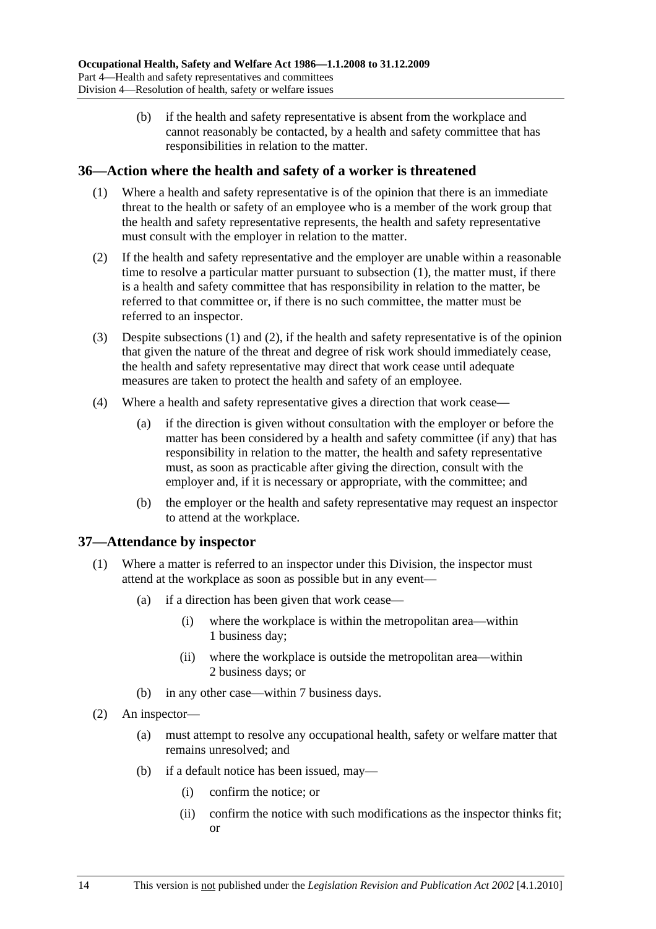(b) if the health and safety representative is absent from the workplace and cannot reasonably be contacted, by a health and safety committee that has responsibilities in relation to the matter.

### **36—Action where the health and safety of a worker is threatened**

- (1) Where a health and safety representative is of the opinion that there is an immediate threat to the health or safety of an employee who is a member of the work group that the health and safety representative represents, the health and safety representative must consult with the employer in relation to the matter.
- (2) If the health and safety representative and the employer are unable within a reasonable time to resolve a particular matter pursuant to subsection (1), the matter must, if there is a health and safety committee that has responsibility in relation to the matter, be referred to that committee or, if there is no such committee, the matter must be referred to an inspector.
- (3) Despite subsections (1) and (2), if the health and safety representative is of the opinion that given the nature of the threat and degree of risk work should immediately cease, the health and safety representative may direct that work cease until adequate measures are taken to protect the health and safety of an employee.
- (4) Where a health and safety representative gives a direction that work cease—
	- (a) if the direction is given without consultation with the employer or before the matter has been considered by a health and safety committee (if any) that has responsibility in relation to the matter, the health and safety representative must, as soon as practicable after giving the direction, consult with the employer and, if it is necessary or appropriate, with the committee; and
	- (b) the employer or the health and safety representative may request an inspector to attend at the workplace.

### **37—Attendance by inspector**

- (1) Where a matter is referred to an inspector under this Division, the inspector must attend at the workplace as soon as possible but in any event—
	- (a) if a direction has been given that work cease—
		- (i) where the workplace is within the metropolitan area—within 1 business day;
		- (ii) where the workplace is outside the metropolitan area—within 2 business days; or
	- (b) in any other case—within 7 business days.
- (2) An inspector—
	- (a) must attempt to resolve any occupational health, safety or welfare matter that remains unresolved; and
	- (b) if a default notice has been issued, may—
		- (i) confirm the notice; or
		- (ii) confirm the notice with such modifications as the inspector thinks fit; or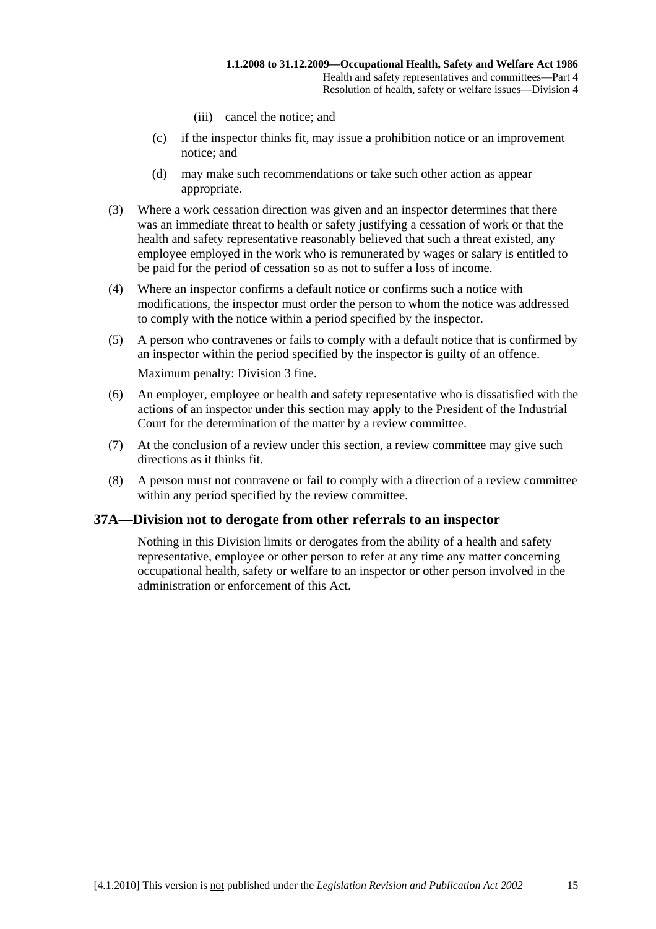- (iii) cancel the notice; and
- (c) if the inspector thinks fit, may issue a prohibition notice or an improvement notice; and
- (d) may make such recommendations or take such other action as appear appropriate.
- (3) Where a work cessation direction was given and an inspector determines that there was an immediate threat to health or safety justifying a cessation of work or that the health and safety representative reasonably believed that such a threat existed, any employee employed in the work who is remunerated by wages or salary is entitled to be paid for the period of cessation so as not to suffer a loss of income.
- (4) Where an inspector confirms a default notice or confirms such a notice with modifications, the inspector must order the person to whom the notice was addressed to comply with the notice within a period specified by the inspector.
- (5) A person who contravenes or fails to comply with a default notice that is confirmed by an inspector within the period specified by the inspector is guilty of an offence. Maximum penalty: Division 3 fine.
- (6) An employer, employee or health and safety representative who is dissatisfied with the actions of an inspector under this section may apply to the President of the Industrial Court for the determination of the matter by a review committee.
- (7) At the conclusion of a review under this section, a review committee may give such directions as it thinks fit.
- (8) A person must not contravene or fail to comply with a direction of a review committee within any period specified by the review committee.

# **37A—Division not to derogate from other referrals to an inspector**

Nothing in this Division limits or derogates from the ability of a health and safety representative, employee or other person to refer at any time any matter concerning occupational health, safety or welfare to an inspector or other person involved in the administration or enforcement of this Act.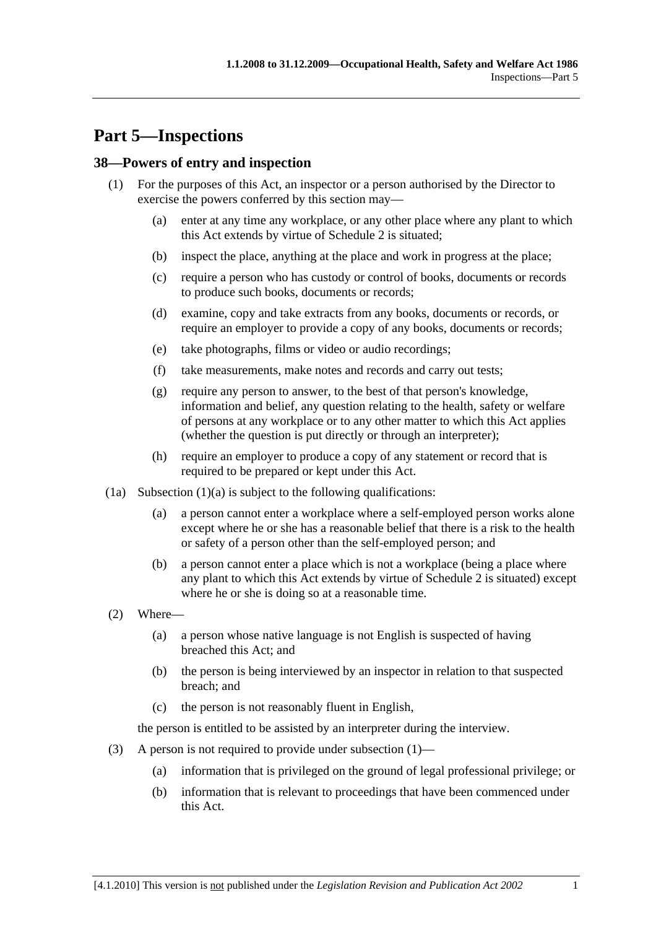# **Part 5—Inspections**

# **38—Powers of entry and inspection**

- (1) For the purposes of this Act, an inspector or a person authorised by the Director to exercise the powers conferred by this section may—
	- (a) enter at any time any workplace, or any other place where any plant to which this Act extends by virtue of Schedule 2 is situated;
	- (b) inspect the place, anything at the place and work in progress at the place;
	- (c) require a person who has custody or control of books, documents or records to produce such books, documents or records;
	- (d) examine, copy and take extracts from any books, documents or records, or require an employer to provide a copy of any books, documents or records;
	- (e) take photographs, films or video or audio recordings;
	- (f) take measurements, make notes and records and carry out tests;
	- (g) require any person to answer, to the best of that person's knowledge, information and belief, any question relating to the health, safety or welfare of persons at any workplace or to any other matter to which this Act applies (whether the question is put directly or through an interpreter);
	- (h) require an employer to produce a copy of any statement or record that is required to be prepared or kept under this Act.
- $(1a)$  Subsection  $(1)(a)$  is subject to the following qualifications:
	- (a) a person cannot enter a workplace where a self-employed person works alone except where he or she has a reasonable belief that there is a risk to the health or safety of a person other than the self-employed person; and
	- (b) a person cannot enter a place which is not a workplace (being a place where any plant to which this Act extends by virtue of Schedule 2 is situated) except where he or she is doing so at a reasonable time.
- (2) Where—
	- (a) a person whose native language is not English is suspected of having breached this Act; and
	- (b) the person is being interviewed by an inspector in relation to that suspected breach; and
	- (c) the person is not reasonably fluent in English,

the person is entitled to be assisted by an interpreter during the interview.

- (3) A person is not required to provide under subsection (1)—
	- (a) information that is privileged on the ground of legal professional privilege; or
	- (b) information that is relevant to proceedings that have been commenced under this Act.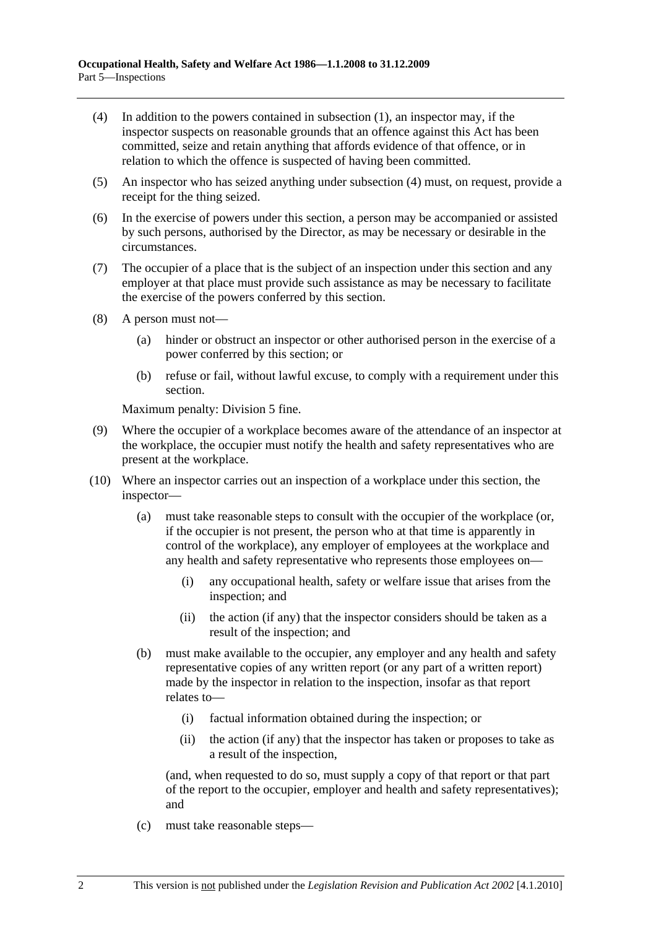- (4) In addition to the powers contained in subsection (1), an inspector may, if the inspector suspects on reasonable grounds that an offence against this Act has been committed, seize and retain anything that affords evidence of that offence, or in relation to which the offence is suspected of having been committed.
- (5) An inspector who has seized anything under subsection (4) must, on request, provide a receipt for the thing seized.
- (6) In the exercise of powers under this section, a person may be accompanied or assisted by such persons, authorised by the Director, as may be necessary or desirable in the circumstances.
- (7) The occupier of a place that is the subject of an inspection under this section and any employer at that place must provide such assistance as may be necessary to facilitate the exercise of the powers conferred by this section.
- (8) A person must not—
	- (a) hinder or obstruct an inspector or other authorised person in the exercise of a power conferred by this section; or
	- (b) refuse or fail, without lawful excuse, to comply with a requirement under this section.

Maximum penalty: Division 5 fine.

- (9) Where the occupier of a workplace becomes aware of the attendance of an inspector at the workplace, the occupier must notify the health and safety representatives who are present at the workplace.
- (10) Where an inspector carries out an inspection of a workplace under this section, the inspector—
	- (a) must take reasonable steps to consult with the occupier of the workplace (or, if the occupier is not present, the person who at that time is apparently in control of the workplace), any employer of employees at the workplace and any health and safety representative who represents those employees on—
		- (i) any occupational health, safety or welfare issue that arises from the inspection; and
		- (ii) the action (if any) that the inspector considers should be taken as a result of the inspection; and
	- (b) must make available to the occupier, any employer and any health and safety representative copies of any written report (or any part of a written report) made by the inspector in relation to the inspection, insofar as that report relates to—
		- (i) factual information obtained during the inspection; or
		- (ii) the action (if any) that the inspector has taken or proposes to take as a result of the inspection,

(and, when requested to do so, must supply a copy of that report or that part of the report to the occupier, employer and health and safety representatives); and

(c) must take reasonable steps—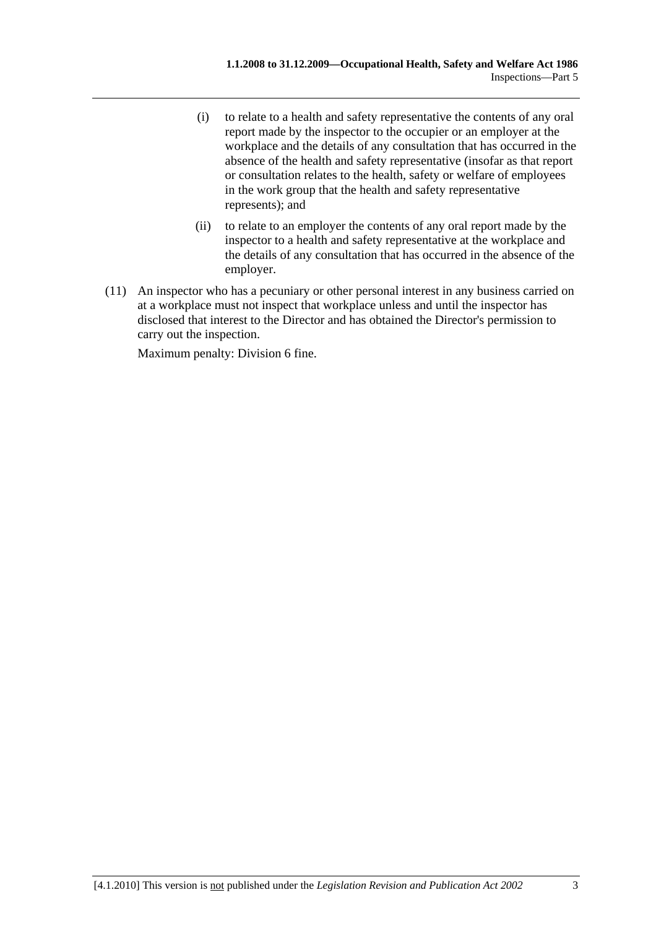- (i) to relate to a health and safety representative the contents of any oral report made by the inspector to the occupier or an employer at the workplace and the details of any consultation that has occurred in the absence of the health and safety representative (insofar as that report or consultation relates to the health, safety or welfare of employees in the work group that the health and safety representative represents); and
- (ii) to relate to an employer the contents of any oral report made by the inspector to a health and safety representative at the workplace and the details of any consultation that has occurred in the absence of the employer.
- (11) An inspector who has a pecuniary or other personal interest in any business carried on at a workplace must not inspect that workplace unless and until the inspector has disclosed that interest to the Director and has obtained the Director's permission to carry out the inspection.

Maximum penalty: Division 6 fine.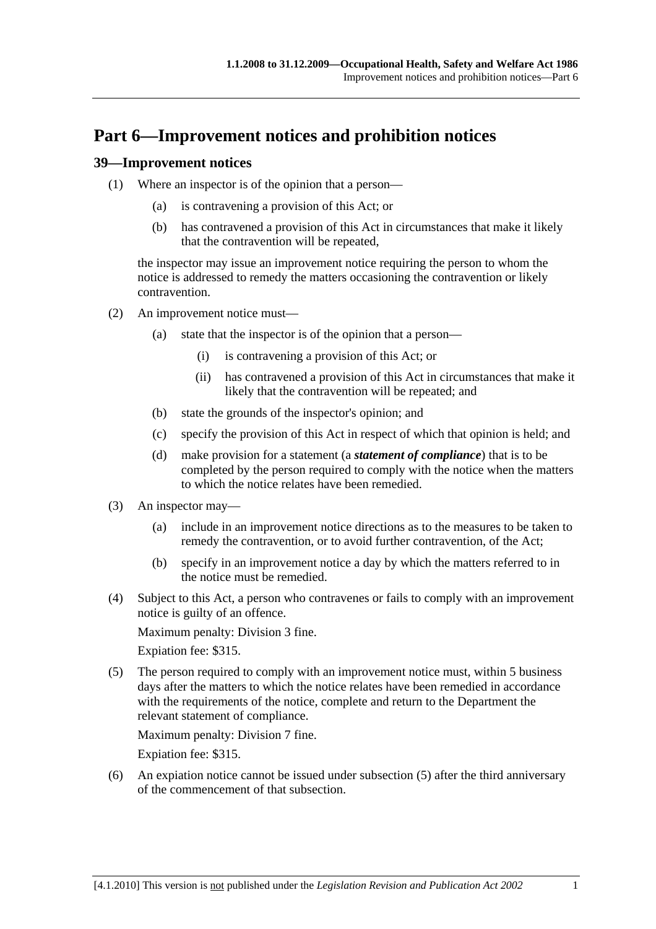# **Part 6—Improvement notices and prohibition notices**

### **39—Improvement notices**

- (1) Where an inspector is of the opinion that a person—
	- (a) is contravening a provision of this Act; or
	- (b) has contravened a provision of this Act in circumstances that make it likely that the contravention will be repeated,

the inspector may issue an improvement notice requiring the person to whom the notice is addressed to remedy the matters occasioning the contravention or likely contravention.

- (2) An improvement notice must—
	- (a) state that the inspector is of the opinion that a person—
		- (i) is contravening a provision of this Act; or
		- (ii) has contravened a provision of this Act in circumstances that make it likely that the contravention will be repeated; and
	- (b) state the grounds of the inspector's opinion; and
	- (c) specify the provision of this Act in respect of which that opinion is held; and
	- (d) make provision for a statement (a *statement of compliance*) that is to be completed by the person required to comply with the notice when the matters to which the notice relates have been remedied.
- (3) An inspector may—
	- (a) include in an improvement notice directions as to the measures to be taken to remedy the contravention, or to avoid further contravention, of the Act;
	- (b) specify in an improvement notice a day by which the matters referred to in the notice must be remedied.
- (4) Subject to this Act, a person who contravenes or fails to comply with an improvement notice is guilty of an offence.

Maximum penalty: Division 3 fine.

Expiation fee: \$315.

 (5) The person required to comply with an improvement notice must, within 5 business days after the matters to which the notice relates have been remedied in accordance with the requirements of the notice, complete and return to the Department the relevant statement of compliance.

Maximum penalty: Division 7 fine.

Expiation fee: \$315.

 (6) An expiation notice cannot be issued under subsection (5) after the third anniversary of the commencement of that subsection.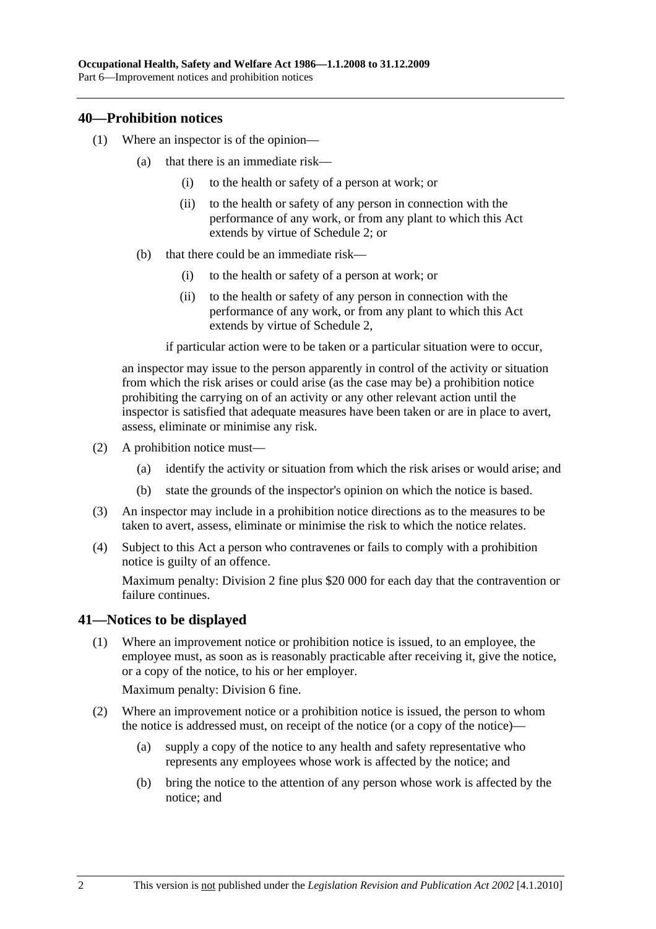### **40—Prohibition notices**

- (1) Where an inspector is of the opinion—
	- (a) that there is an immediate risk—
		- (i) to the health or safety of a person at work; or
		- (ii) to the health or safety of any person in connection with the performance of any work, or from any plant to which this Act extends by virtue of Schedule 2; or
	- (b) that there could be an immediate risk—
		- (i) to the health or safety of a person at work; or
		- (ii) to the health or safety of any person in connection with the performance of any work, or from any plant to which this Act extends by virtue of Schedule 2,

if particular action were to be taken or a particular situation were to occur,

an inspector may issue to the person apparently in control of the activity or situation from which the risk arises or could arise (as the case may be) a prohibition notice prohibiting the carrying on of an activity or any other relevant action until the inspector is satisfied that adequate measures have been taken or are in place to avert, assess, eliminate or minimise any risk.

- (2) A prohibition notice must—
	- (a) identify the activity or situation from which the risk arises or would arise; and
	- (b) state the grounds of the inspector's opinion on which the notice is based.
- (3) An inspector may include in a prohibition notice directions as to the measures to be taken to avert, assess, eliminate or minimise the risk to which the notice relates.
- (4) Subject to this Act a person who contravenes or fails to comply with a prohibition notice is guilty of an offence.

Maximum penalty: Division 2 fine plus \$20 000 for each day that the contravention or failure continues.

# **41—Notices to be displayed**

 (1) Where an improvement notice or prohibition notice is issued, to an employee, the employee must, as soon as is reasonably practicable after receiving it, give the notice, or a copy of the notice, to his or her employer.

Maximum penalty: Division 6 fine.

- (2) Where an improvement notice or a prohibition notice is issued, the person to whom the notice is addressed must, on receipt of the notice (or a copy of the notice)—
	- (a) supply a copy of the notice to any health and safety representative who represents any employees whose work is affected by the notice; and
	- (b) bring the notice to the attention of any person whose work is affected by the notice; and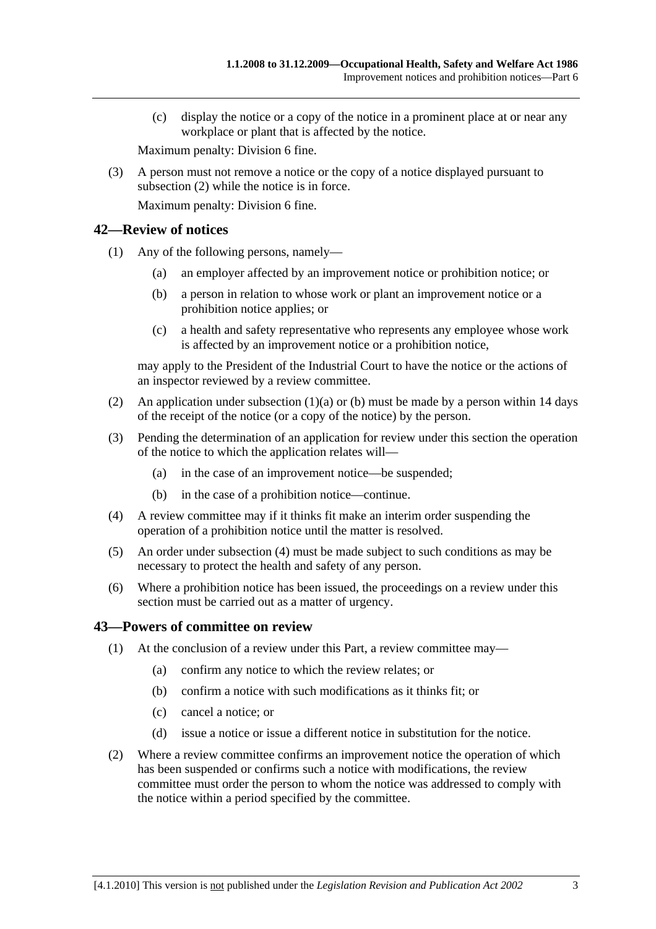(c) display the notice or a copy of the notice in a prominent place at or near any workplace or plant that is affected by the notice.

Maximum penalty: Division 6 fine.

 (3) A person must not remove a notice or the copy of a notice displayed pursuant to subsection (2) while the notice is in force.

Maximum penalty: Division 6 fine.

### **42—Review of notices**

- (1) Any of the following persons, namely—
	- (a) an employer affected by an improvement notice or prohibition notice; or
	- (b) a person in relation to whose work or plant an improvement notice or a prohibition notice applies; or
	- (c) a health and safety representative who represents any employee whose work is affected by an improvement notice or a prohibition notice,

may apply to the President of the Industrial Court to have the notice or the actions of an inspector reviewed by a review committee.

- (2) An application under subsection  $(1)(a)$  or (b) must be made by a person within 14 days of the receipt of the notice (or a copy of the notice) by the person.
- (3) Pending the determination of an application for review under this section the operation of the notice to which the application relates will—
	- (a) in the case of an improvement notice—be suspended;
	- (b) in the case of a prohibition notice—continue.
- (4) A review committee may if it thinks fit make an interim order suspending the operation of a prohibition notice until the matter is resolved.
- (5) An order under subsection (4) must be made subject to such conditions as may be necessary to protect the health and safety of any person.
- (6) Where a prohibition notice has been issued, the proceedings on a review under this section must be carried out as a matter of urgency.

### **43—Powers of committee on review**

- (1) At the conclusion of a review under this Part, a review committee may—
	- (a) confirm any notice to which the review relates; or
	- (b) confirm a notice with such modifications as it thinks fit; or
	- (c) cancel a notice; or
	- (d) issue a notice or issue a different notice in substitution for the notice.
- (2) Where a review committee confirms an improvement notice the operation of which has been suspended or confirms such a notice with modifications, the review committee must order the person to whom the notice was addressed to comply with the notice within a period specified by the committee.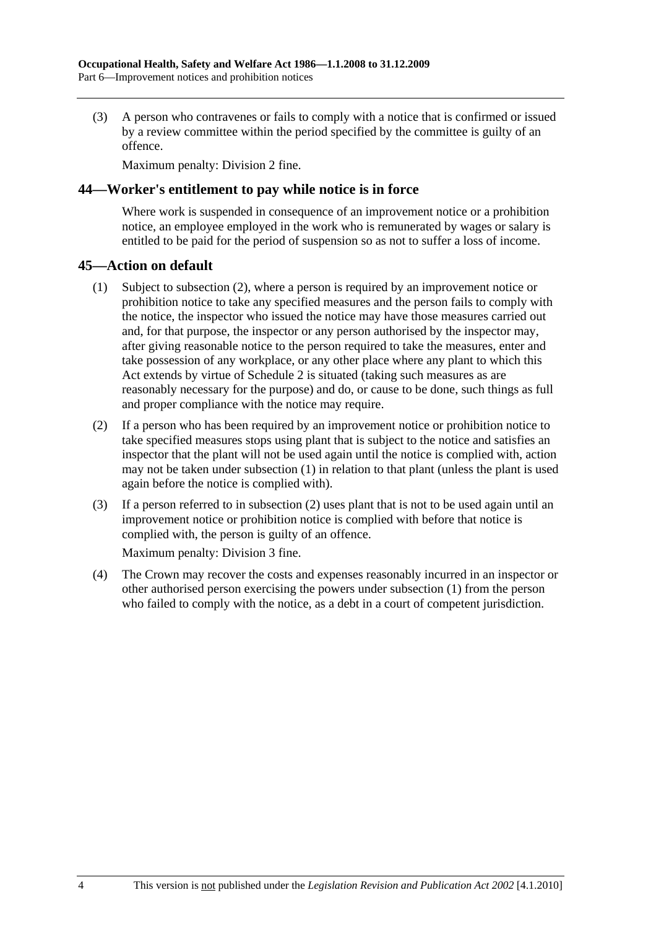(3) A person who contravenes or fails to comply with a notice that is confirmed or issued by a review committee within the period specified by the committee is guilty of an offence.

Maximum penalty: Division 2 fine.

### **44—Worker's entitlement to pay while notice is in force**

Where work is suspended in consequence of an improvement notice or a prohibition notice, an employee employed in the work who is remunerated by wages or salary is entitled to be paid for the period of suspension so as not to suffer a loss of income.

### **45—Action on default**

- (1) Subject to subsection (2), where a person is required by an improvement notice or prohibition notice to take any specified measures and the person fails to comply with the notice, the inspector who issued the notice may have those measures carried out and, for that purpose, the inspector or any person authorised by the inspector may, after giving reasonable notice to the person required to take the measures, enter and take possession of any workplace, or any other place where any plant to which this Act extends by virtue of Schedule 2 is situated (taking such measures as are reasonably necessary for the purpose) and do, or cause to be done, such things as full and proper compliance with the notice may require.
- (2) If a person who has been required by an improvement notice or prohibition notice to take specified measures stops using plant that is subject to the notice and satisfies an inspector that the plant will not be used again until the notice is complied with, action may not be taken under subsection (1) in relation to that plant (unless the plant is used again before the notice is complied with).
- (3) If a person referred to in subsection (2) uses plant that is not to be used again until an improvement notice or prohibition notice is complied with before that notice is complied with, the person is guilty of an offence.

Maximum penalty: Division 3 fine.

 (4) The Crown may recover the costs and expenses reasonably incurred in an inspector or other authorised person exercising the powers under subsection (1) from the person who failed to comply with the notice, as a debt in a court of competent jurisdiction.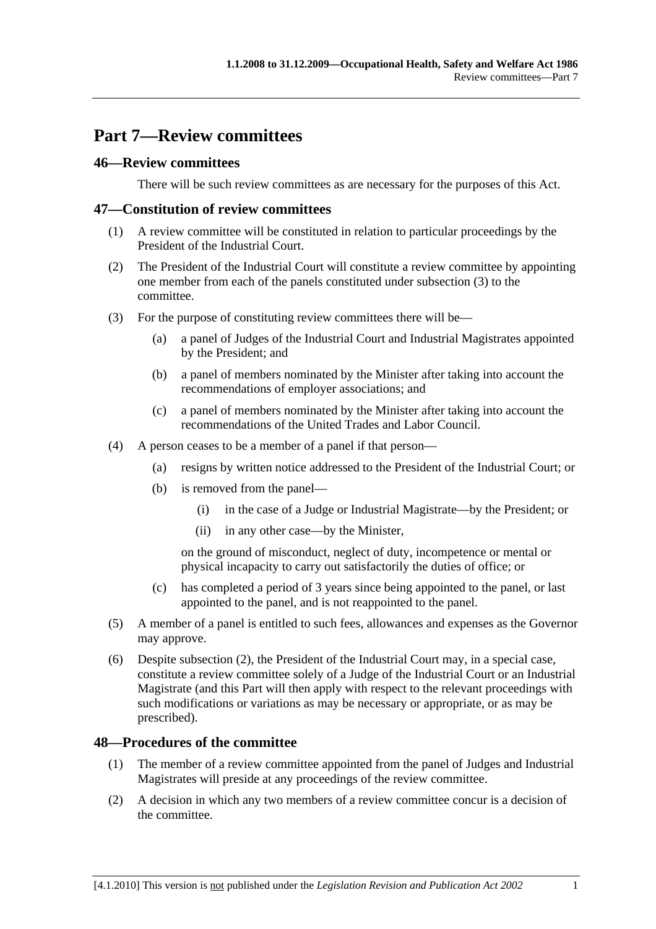# **Part 7—Review committees**

# **46—Review committees**

There will be such review committees as are necessary for the purposes of this Act.

### **47—Constitution of review committees**

- (1) A review committee will be constituted in relation to particular proceedings by the President of the Industrial Court.
- (2) The President of the Industrial Court will constitute a review committee by appointing one member from each of the panels constituted under subsection (3) to the committee.
- (3) For the purpose of constituting review committees there will be—
	- (a) a panel of Judges of the Industrial Court and Industrial Magistrates appointed by the President; and
	- (b) a panel of members nominated by the Minister after taking into account the recommendations of employer associations; and
	- (c) a panel of members nominated by the Minister after taking into account the recommendations of the United Trades and Labor Council.
- (4) A person ceases to be a member of a panel if that person—
	- (a) resigns by written notice addressed to the President of the Industrial Court; or
	- (b) is removed from the panel—
		- (i) in the case of a Judge or Industrial Magistrate—by the President; or
		- (ii) in any other case—by the Minister,

on the ground of misconduct, neglect of duty, incompetence or mental or physical incapacity to carry out satisfactorily the duties of office; or

- (c) has completed a period of 3 years since being appointed to the panel, or last appointed to the panel, and is not reappointed to the panel.
- (5) A member of a panel is entitled to such fees, allowances and expenses as the Governor may approve.
- (6) Despite subsection (2), the President of the Industrial Court may, in a special case, constitute a review committee solely of a Judge of the Industrial Court or an Industrial Magistrate (and this Part will then apply with respect to the relevant proceedings with such modifications or variations as may be necessary or appropriate, or as may be prescribed).

### **48—Procedures of the committee**

- (1) The member of a review committee appointed from the panel of Judges and Industrial Magistrates will preside at any proceedings of the review committee.
- (2) A decision in which any two members of a review committee concur is a decision of the committee.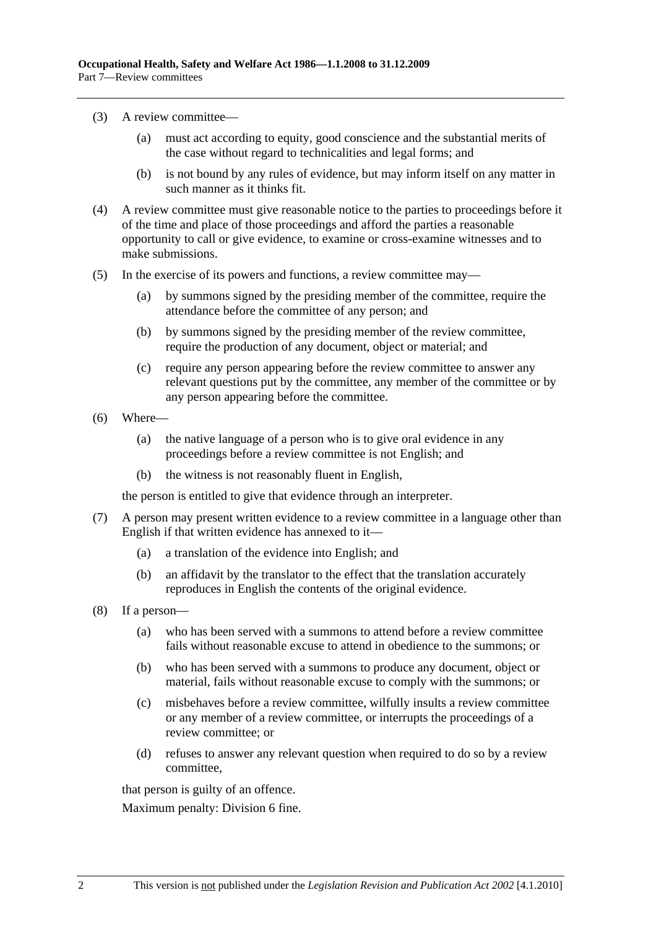- (3) A review committee—
	- (a) must act according to equity, good conscience and the substantial merits of the case without regard to technicalities and legal forms; and
	- (b) is not bound by any rules of evidence, but may inform itself on any matter in such manner as it thinks fit.
- (4) A review committee must give reasonable notice to the parties to proceedings before it of the time and place of those proceedings and afford the parties a reasonable opportunity to call or give evidence, to examine or cross-examine witnesses and to make submissions.
- (5) In the exercise of its powers and functions, a review committee may—
	- (a) by summons signed by the presiding member of the committee, require the attendance before the committee of any person; and
	- (b) by summons signed by the presiding member of the review committee, require the production of any document, object or material; and
	- (c) require any person appearing before the review committee to answer any relevant questions put by the committee, any member of the committee or by any person appearing before the committee.
- (6) Where—
	- (a) the native language of a person who is to give oral evidence in any proceedings before a review committee is not English; and
	- (b) the witness is not reasonably fluent in English,

the person is entitled to give that evidence through an interpreter.

- (7) A person may present written evidence to a review committee in a language other than English if that written evidence has annexed to it—
	- (a) a translation of the evidence into English; and
	- (b) an affidavit by the translator to the effect that the translation accurately reproduces in English the contents of the original evidence.
- (8) If a person—
	- (a) who has been served with a summons to attend before a review committee fails without reasonable excuse to attend in obedience to the summons; or
	- (b) who has been served with a summons to produce any document, object or material, fails without reasonable excuse to comply with the summons; or
	- (c) misbehaves before a review committee, wilfully insults a review committee or any member of a review committee, or interrupts the proceedings of a review committee; or
	- (d) refuses to answer any relevant question when required to do so by a review committee,

that person is guilty of an offence.

Maximum penalty: Division 6 fine.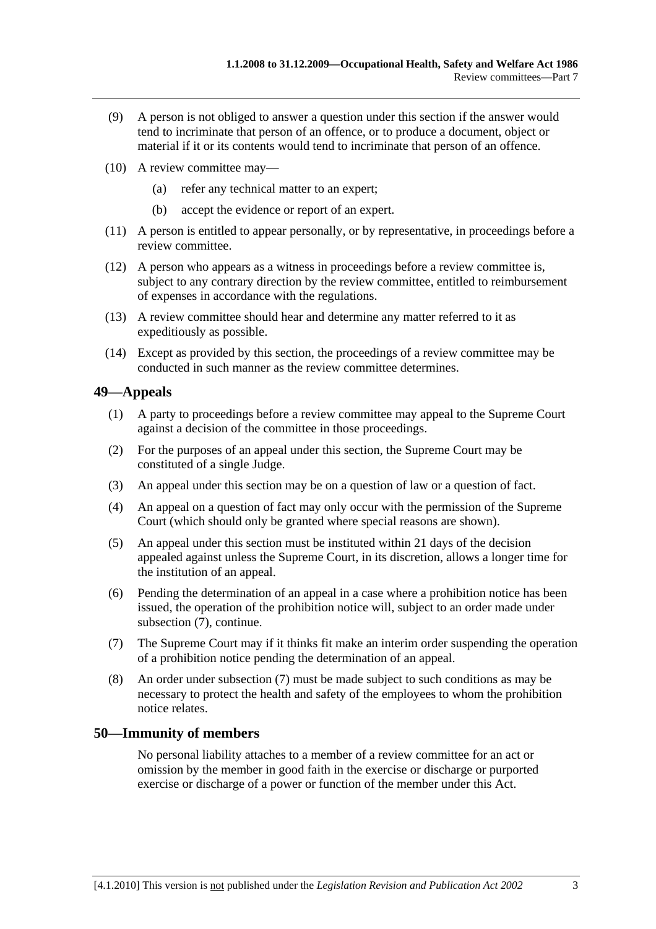- (9) A person is not obliged to answer a question under this section if the answer would tend to incriminate that person of an offence, or to produce a document, object or material if it or its contents would tend to incriminate that person of an offence.
- (10) A review committee may—
	- (a) refer any technical matter to an expert;
	- (b) accept the evidence or report of an expert.
- (11) A person is entitled to appear personally, or by representative, in proceedings before a review committee.
- (12) A person who appears as a witness in proceedings before a review committee is, subject to any contrary direction by the review committee, entitled to reimbursement of expenses in accordance with the regulations.
- (13) A review committee should hear and determine any matter referred to it as expeditiously as possible.
- (14) Except as provided by this section, the proceedings of a review committee may be conducted in such manner as the review committee determines.

# **49—Appeals**

- (1) A party to proceedings before a review committee may appeal to the Supreme Court against a decision of the committee in those proceedings.
- (2) For the purposes of an appeal under this section, the Supreme Court may be constituted of a single Judge.
- (3) An appeal under this section may be on a question of law or a question of fact.
- (4) An appeal on a question of fact may only occur with the permission of the Supreme Court (which should only be granted where special reasons are shown).
- (5) An appeal under this section must be instituted within 21 days of the decision appealed against unless the Supreme Court, in its discretion, allows a longer time for the institution of an appeal.
- (6) Pending the determination of an appeal in a case where a prohibition notice has been issued, the operation of the prohibition notice will, subject to an order made under subsection (7), continue.
- (7) The Supreme Court may if it thinks fit make an interim order suspending the operation of a prohibition notice pending the determination of an appeal.
- (8) An order under subsection (7) must be made subject to such conditions as may be necessary to protect the health and safety of the employees to whom the prohibition notice relates.

# **50—Immunity of members**

No personal liability attaches to a member of a review committee for an act or omission by the member in good faith in the exercise or discharge or purported exercise or discharge of a power or function of the member under this Act.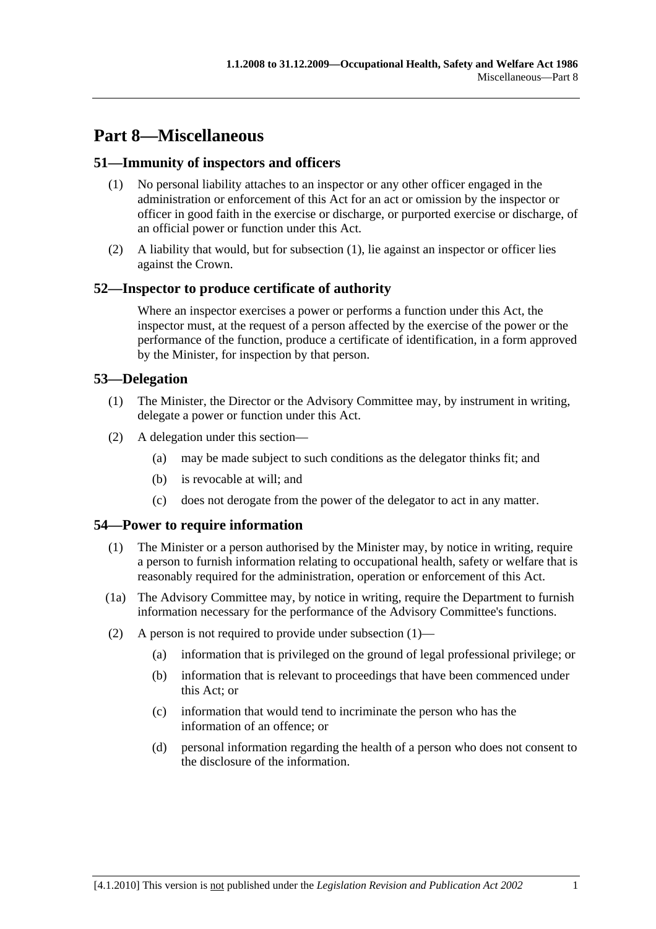# **Part 8—Miscellaneous**

# **51—Immunity of inspectors and officers**

- (1) No personal liability attaches to an inspector or any other officer engaged in the administration or enforcement of this Act for an act or omission by the inspector or officer in good faith in the exercise or discharge, or purported exercise or discharge, of an official power or function under this Act.
- (2) A liability that would, but for subsection (1), lie against an inspector or officer lies against the Crown.

# **52—Inspector to produce certificate of authority**

Where an inspector exercises a power or performs a function under this Act, the inspector must, at the request of a person affected by the exercise of the power or the performance of the function, produce a certificate of identification, in a form approved by the Minister, for inspection by that person.

# **53—Delegation**

- (1) The Minister, the Director or the Advisory Committee may, by instrument in writing, delegate a power or function under this Act.
- (2) A delegation under this section—
	- (a) may be made subject to such conditions as the delegator thinks fit; and
	- (b) is revocable at will; and
	- (c) does not derogate from the power of the delegator to act in any matter.

# **54—Power to require information**

- (1) The Minister or a person authorised by the Minister may, by notice in writing, require a person to furnish information relating to occupational health, safety or welfare that is reasonably required for the administration, operation or enforcement of this Act.
- (1a) The Advisory Committee may, by notice in writing, require the Department to furnish information necessary for the performance of the Advisory Committee's functions.
- (2) A person is not required to provide under subsection  $(1)$ 
	- (a) information that is privileged on the ground of legal professional privilege; or
	- (b) information that is relevant to proceedings that have been commenced under this Act; or
	- (c) information that would tend to incriminate the person who has the information of an offence; or
	- (d) personal information regarding the health of a person who does not consent to the disclosure of the information.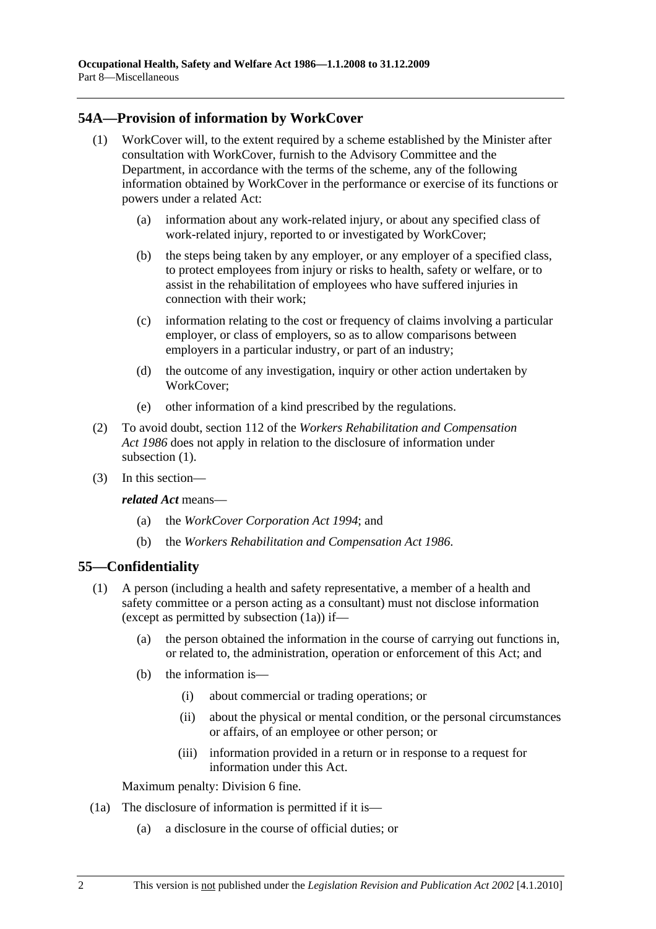# **54A—Provision of information by WorkCover**

- (1) WorkCover will, to the extent required by a scheme established by the Minister after consultation with WorkCover, furnish to the Advisory Committee and the Department, in accordance with the terms of the scheme, any of the following information obtained by WorkCover in the performance or exercise of its functions or powers under a related Act:
	- (a) information about any work-related injury, or about any specified class of work-related injury, reported to or investigated by WorkCover;
	- (b) the steps being taken by any employer, or any employer of a specified class, to protect employees from injury or risks to health, safety or welfare, or to assist in the rehabilitation of employees who have suffered injuries in connection with their work;
	- (c) information relating to the cost or frequency of claims involving a particular employer, or class of employers, so as to allow comparisons between employers in a particular industry, or part of an industry;
	- (d) the outcome of any investigation, inquiry or other action undertaken by WorkCover;
	- (e) other information of a kind prescribed by the regulations.
- (2) To avoid doubt, section 112 of the *Workers Rehabilitation and Compensation Act 1986* does not apply in relation to the disclosure of information under subsection  $(1)$ .
- (3) In this section—

*related Act* means—

- (a) the *WorkCover Corporation Act 1994*; and
- (b) the *Workers Rehabilitation and Compensation Act 1986*.

# **55—Confidentiality**

- (1) A person (including a health and safety representative, a member of a health and safety committee or a person acting as a consultant) must not disclose information (except as permitted by subsection (1a)) if—
	- (a) the person obtained the information in the course of carrying out functions in, or related to, the administration, operation or enforcement of this Act; and
	- (b) the information is—
		- (i) about commercial or trading operations; or
		- (ii) about the physical or mental condition, or the personal circumstances or affairs, of an employee or other person; or
		- (iii) information provided in a return or in response to a request for information under this Act.

Maximum penalty: Division 6 fine.

- (1a) The disclosure of information is permitted if it is—
	- (a) a disclosure in the course of official duties; or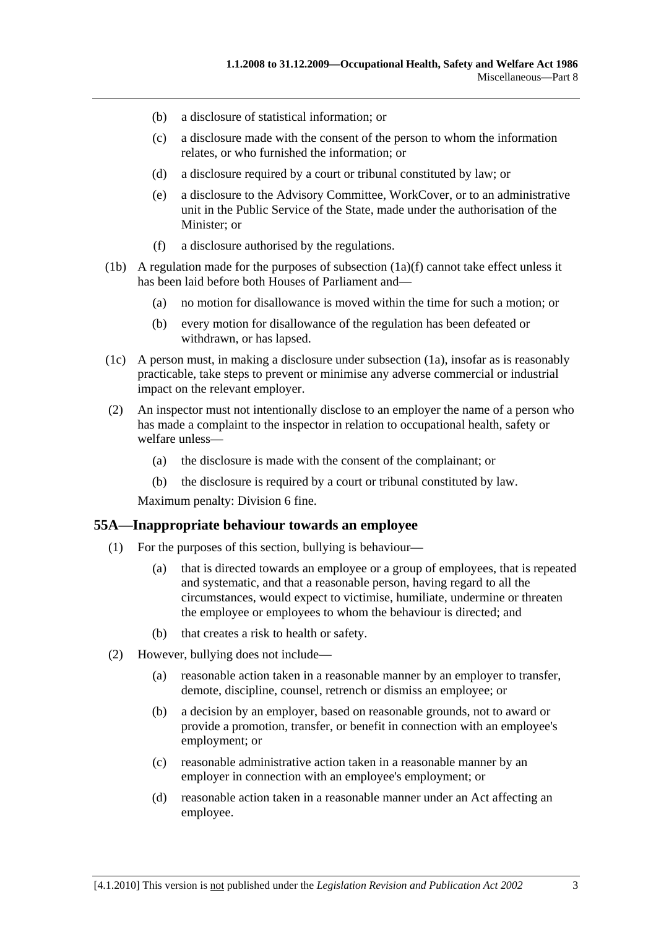- (b) a disclosure of statistical information; or
- (c) a disclosure made with the consent of the person to whom the information relates, or who furnished the information; or
- (d) a disclosure required by a court or tribunal constituted by law; or
- (e) a disclosure to the Advisory Committee, WorkCover, or to an administrative unit in the Public Service of the State, made under the authorisation of the Minister; or
- (f) a disclosure authorised by the regulations.
- (1b) A regulation made for the purposes of subsection  $(1a)(f)$  cannot take effect unless it has been laid before both Houses of Parliament and—
	- (a) no motion for disallowance is moved within the time for such a motion; or
	- (b) every motion for disallowance of the regulation has been defeated or withdrawn, or has lapsed.
- (1c) A person must, in making a disclosure under subsection (1a), insofar as is reasonably practicable, take steps to prevent or minimise any adverse commercial or industrial impact on the relevant employer.
- (2) An inspector must not intentionally disclose to an employer the name of a person who has made a complaint to the inspector in relation to occupational health, safety or welfare unless—
	- (a) the disclosure is made with the consent of the complainant; or
	- (b) the disclosure is required by a court or tribunal constituted by law.

Maximum penalty: Division 6 fine.

#### **55A—Inappropriate behaviour towards an employee**

- (1) For the purposes of this section, bullying is behaviour—
	- (a) that is directed towards an employee or a group of employees, that is repeated and systematic, and that a reasonable person, having regard to all the circumstances, would expect to victimise, humiliate, undermine or threaten the employee or employees to whom the behaviour is directed; and
	- (b) that creates a risk to health or safety.
- (2) However, bullying does not include—
	- (a) reasonable action taken in a reasonable manner by an employer to transfer, demote, discipline, counsel, retrench or dismiss an employee; or
	- (b) a decision by an employer, based on reasonable grounds, not to award or provide a promotion, transfer, or benefit in connection with an employee's employment; or
	- (c) reasonable administrative action taken in a reasonable manner by an employer in connection with an employee's employment; or
	- (d) reasonable action taken in a reasonable manner under an Act affecting an employee.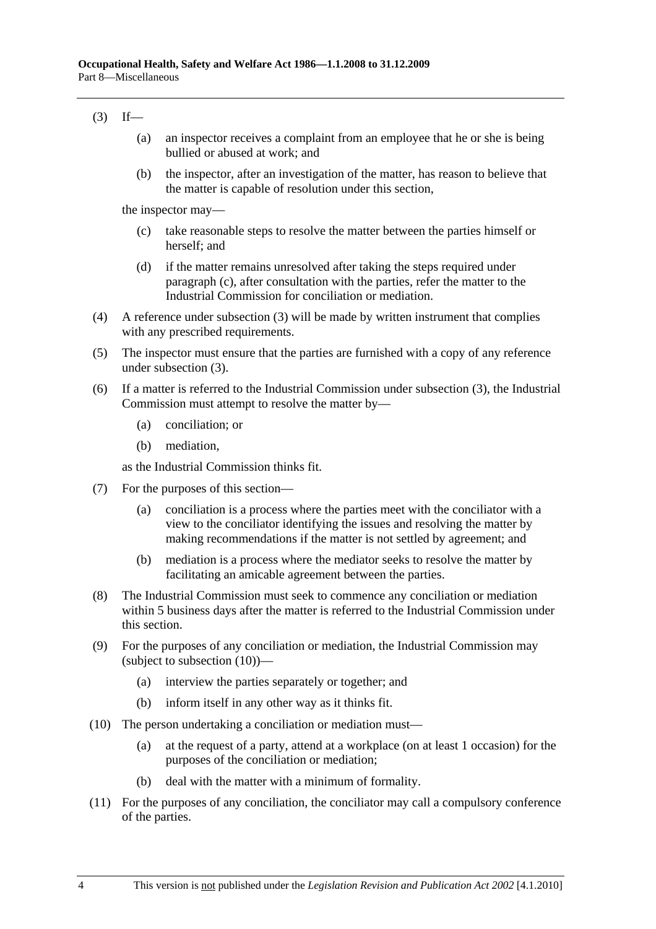### $(3)$  If—

- (a) an inspector receives a complaint from an employee that he or she is being bullied or abused at work; and
- (b) the inspector, after an investigation of the matter, has reason to believe that the matter is capable of resolution under this section,

the inspector may—

- (c) take reasonable steps to resolve the matter between the parties himself or herself; and
- (d) if the matter remains unresolved after taking the steps required under paragraph (c), after consultation with the parties, refer the matter to the Industrial Commission for conciliation or mediation.
- (4) A reference under subsection (3) will be made by written instrument that complies with any prescribed requirements.
- (5) The inspector must ensure that the parties are furnished with a copy of any reference under subsection (3).
- (6) If a matter is referred to the Industrial Commission under subsection (3), the Industrial Commission must attempt to resolve the matter by—
	- (a) conciliation; or
	- (b) mediation,

as the Industrial Commission thinks fit.

- (7) For the purposes of this section—
	- (a) conciliation is a process where the parties meet with the conciliator with a view to the conciliator identifying the issues and resolving the matter by making recommendations if the matter is not settled by agreement; and
	- (b) mediation is a process where the mediator seeks to resolve the matter by facilitating an amicable agreement between the parties.
- (8) The Industrial Commission must seek to commence any conciliation or mediation within 5 business days after the matter is referred to the Industrial Commission under this section.
- (9) For the purposes of any conciliation or mediation, the Industrial Commission may (subject to subsection (10))—
	- (a) interview the parties separately or together; and
	- (b) inform itself in any other way as it thinks fit.
- (10) The person undertaking a conciliation or mediation must—
	- (a) at the request of a party, attend at a workplace (on at least 1 occasion) for the purposes of the conciliation or mediation;
	- (b) deal with the matter with a minimum of formality.
- (11) For the purposes of any conciliation, the conciliator may call a compulsory conference of the parties.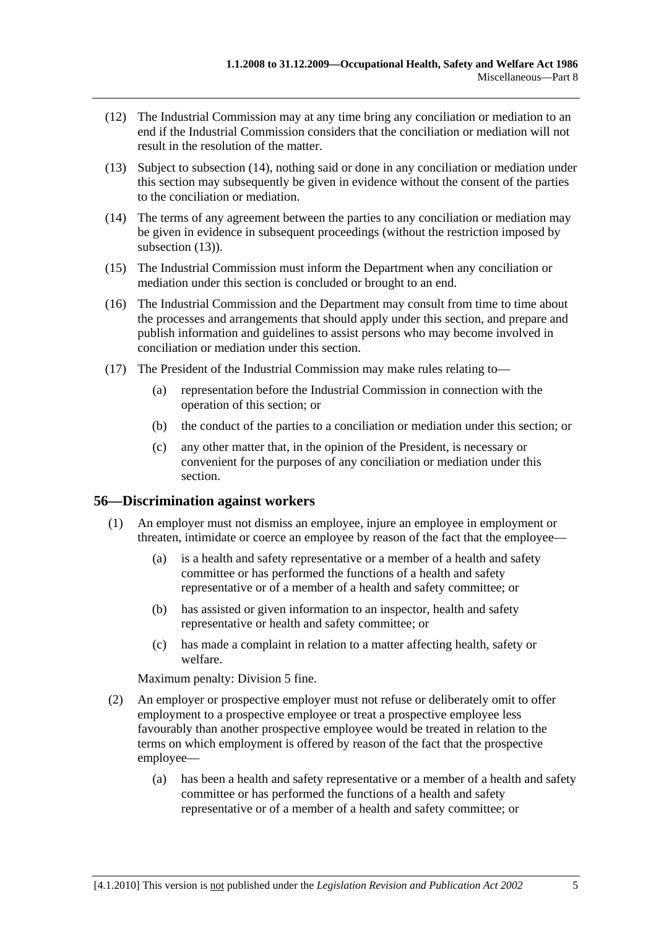- (12) The Industrial Commission may at any time bring any conciliation or mediation to an end if the Industrial Commission considers that the conciliation or mediation will not result in the resolution of the matter.
- (13) Subject to subsection (14), nothing said or done in any conciliation or mediation under this section may subsequently be given in evidence without the consent of the parties to the conciliation or mediation.
- (14) The terms of any agreement between the parties to any conciliation or mediation may be given in evidence in subsequent proceedings (without the restriction imposed by subsection  $(13)$ ).
- (15) The Industrial Commission must inform the Department when any conciliation or mediation under this section is concluded or brought to an end.
- (16) The Industrial Commission and the Department may consult from time to time about the processes and arrangements that should apply under this section, and prepare and publish information and guidelines to assist persons who may become involved in conciliation or mediation under this section.
- (17) The President of the Industrial Commission may make rules relating to—
	- (a) representation before the Industrial Commission in connection with the operation of this section; or
	- (b) the conduct of the parties to a conciliation or mediation under this section; or
	- (c) any other matter that, in the opinion of the President, is necessary or convenient for the purposes of any conciliation or mediation under this section.

### **56—Discrimination against workers**

- (1) An employer must not dismiss an employee, injure an employee in employment or threaten, intimidate or coerce an employee by reason of the fact that the employee—
	- (a) is a health and safety representative or a member of a health and safety committee or has performed the functions of a health and safety representative or of a member of a health and safety committee; or
	- (b) has assisted or given information to an inspector, health and safety representative or health and safety committee; or
	- (c) has made a complaint in relation to a matter affecting health, safety or welfare.

Maximum penalty: Division 5 fine.

- (2) An employer or prospective employer must not refuse or deliberately omit to offer employment to a prospective employee or treat a prospective employee less favourably than another prospective employee would be treated in relation to the terms on which employment is offered by reason of the fact that the prospective employee—
	- (a) has been a health and safety representative or a member of a health and safety committee or has performed the functions of a health and safety representative or of a member of a health and safety committee; or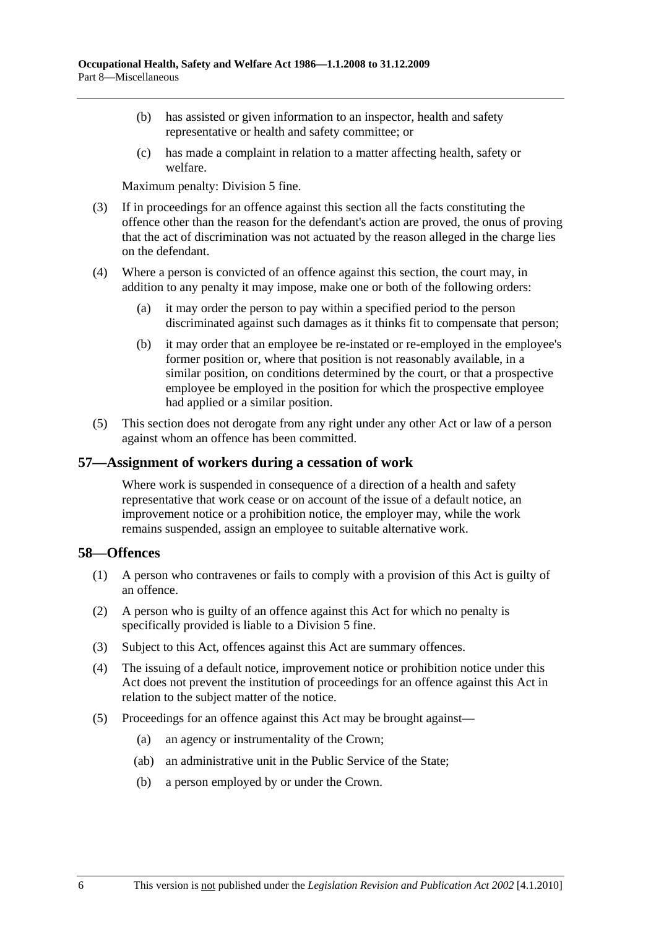- (b) has assisted or given information to an inspector, health and safety representative or health and safety committee; or
- (c) has made a complaint in relation to a matter affecting health, safety or welfare.

Maximum penalty: Division 5 fine.

- (3) If in proceedings for an offence against this section all the facts constituting the offence other than the reason for the defendant's action are proved, the onus of proving that the act of discrimination was not actuated by the reason alleged in the charge lies on the defendant.
- (4) Where a person is convicted of an offence against this section, the court may, in addition to any penalty it may impose, make one or both of the following orders:
	- (a) it may order the person to pay within a specified period to the person discriminated against such damages as it thinks fit to compensate that person;
	- (b) it may order that an employee be re-instated or re-employed in the employee's former position or, where that position is not reasonably available, in a similar position, on conditions determined by the court, or that a prospective employee be employed in the position for which the prospective employee had applied or a similar position.
- (5) This section does not derogate from any right under any other Act or law of a person against whom an offence has been committed.

### **57—Assignment of workers during a cessation of work**

Where work is suspended in consequence of a direction of a health and safety representative that work cease or on account of the issue of a default notice, an improvement notice or a prohibition notice, the employer may, while the work remains suspended, assign an employee to suitable alternative work.

### **58—Offences**

- (1) A person who contravenes or fails to comply with a provision of this Act is guilty of an offence.
- (2) A person who is guilty of an offence against this Act for which no penalty is specifically provided is liable to a Division 5 fine.
- (3) Subject to this Act, offences against this Act are summary offences.
- (4) The issuing of a default notice, improvement notice or prohibition notice under this Act does not prevent the institution of proceedings for an offence against this Act in relation to the subject matter of the notice.
- (5) Proceedings for an offence against this Act may be brought against—
	- (a) an agency or instrumentality of the Crown;
	- (ab) an administrative unit in the Public Service of the State;
	- (b) a person employed by or under the Crown.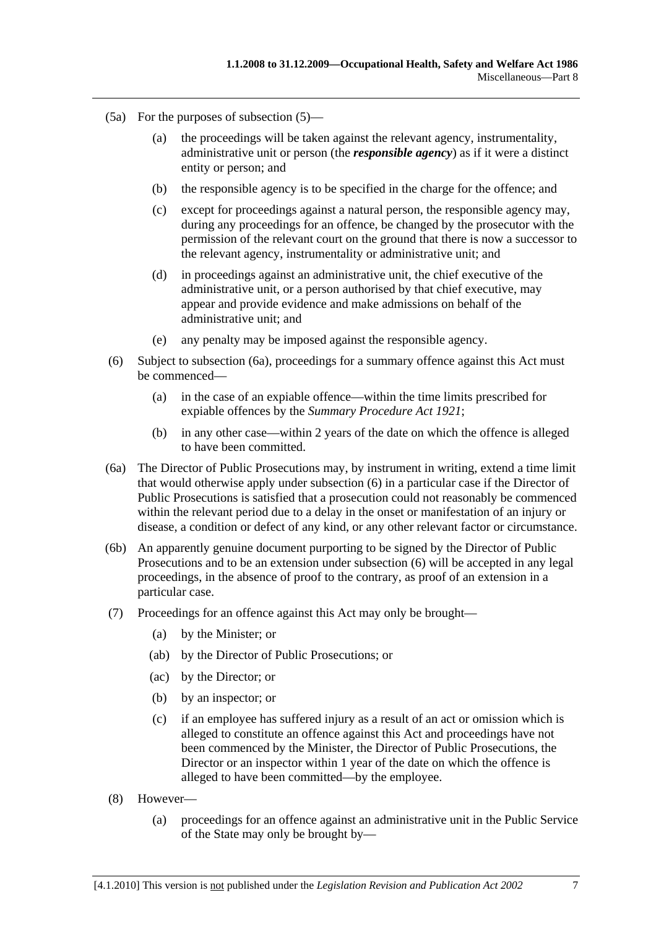- (5a) For the purposes of subsection (5)—
	- (a) the proceedings will be taken against the relevant agency, instrumentality, administrative unit or person (the *responsible agency*) as if it were a distinct entity or person; and
	- (b) the responsible agency is to be specified in the charge for the offence; and
	- (c) except for proceedings against a natural person, the responsible agency may, during any proceedings for an offence, be changed by the prosecutor with the permission of the relevant court on the ground that there is now a successor to the relevant agency, instrumentality or administrative unit; and
	- (d) in proceedings against an administrative unit, the chief executive of the administrative unit, or a person authorised by that chief executive, may appear and provide evidence and make admissions on behalf of the administrative unit; and
	- (e) any penalty may be imposed against the responsible agency.
- (6) Subject to subsection (6a), proceedings for a summary offence against this Act must be commenced—
	- (a) in the case of an expiable offence—within the time limits prescribed for expiable offences by the *Summary Procedure Act 1921*;
	- (b) in any other case—within 2 years of the date on which the offence is alleged to have been committed.
- (6a) The Director of Public Prosecutions may, by instrument in writing, extend a time limit that would otherwise apply under subsection (6) in a particular case if the Director of Public Prosecutions is satisfied that a prosecution could not reasonably be commenced within the relevant period due to a delay in the onset or manifestation of an injury or disease, a condition or defect of any kind, or any other relevant factor or circumstance.
- (6b) An apparently genuine document purporting to be signed by the Director of Public Prosecutions and to be an extension under subsection (6) will be accepted in any legal proceedings, in the absence of proof to the contrary, as proof of an extension in a particular case.
- (7) Proceedings for an offence against this Act may only be brought—
	- (a) by the Minister; or
	- (ab) by the Director of Public Prosecutions; or
	- (ac) by the Director; or
	- (b) by an inspector; or
	- (c) if an employee has suffered injury as a result of an act or omission which is alleged to constitute an offence against this Act and proceedings have not been commenced by the Minister, the Director of Public Prosecutions, the Director or an inspector within 1 year of the date on which the offence is alleged to have been committed—by the employee.
- (8) However—
	- (a) proceedings for an offence against an administrative unit in the Public Service of the State may only be brought by—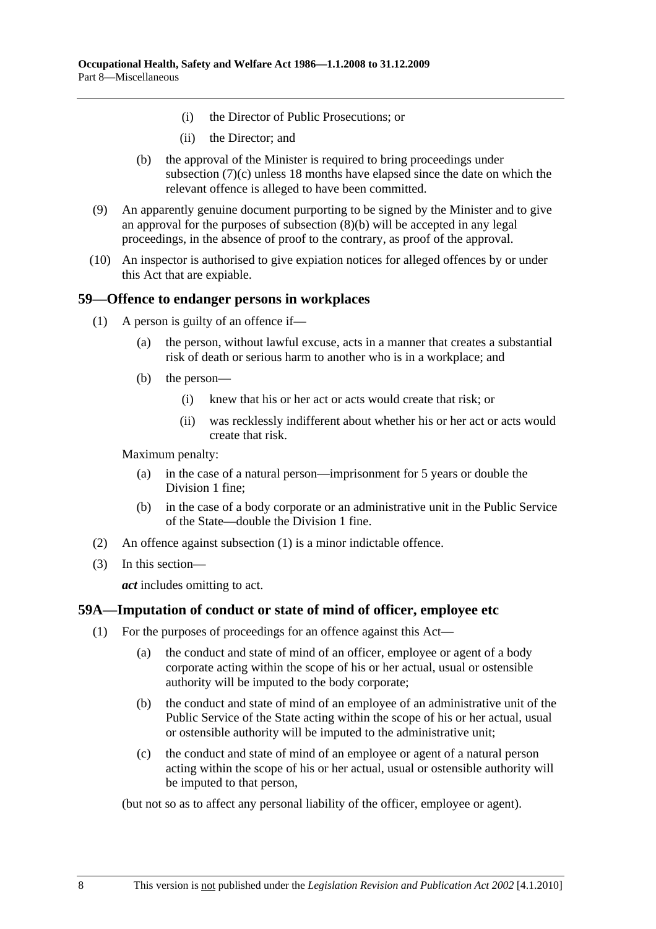- (i) the Director of Public Prosecutions; or
- (ii) the Director; and
- (b) the approval of the Minister is required to bring proceedings under subsection (7)(c) unless 18 months have elapsed since the date on which the relevant offence is alleged to have been committed.
- (9) An apparently genuine document purporting to be signed by the Minister and to give an approval for the purposes of subsection (8)(b) will be accepted in any legal proceedings, in the absence of proof to the contrary, as proof of the approval.
- (10) An inspector is authorised to give expiation notices for alleged offences by or under this Act that are expiable.

### **59—Offence to endanger persons in workplaces**

- (1) A person is guilty of an offence if—
	- (a) the person, without lawful excuse, acts in a manner that creates a substantial risk of death or serious harm to another who is in a workplace; and
	- (b) the person—
		- (i) knew that his or her act or acts would create that risk; or
		- (ii) was recklessly indifferent about whether his or her act or acts would create that risk.

Maximum penalty:

- (a) in the case of a natural person—imprisonment for 5 years or double the Division 1 fine;
- (b) in the case of a body corporate or an administrative unit in the Public Service of the State—double the Division 1 fine.
- (2) An offence against subsection (1) is a minor indictable offence.
- (3) In this section—

*act* includes omitting to act.

# **59A—Imputation of conduct or state of mind of officer, employee etc**

- (1) For the purposes of proceedings for an offence against this Act—
	- (a) the conduct and state of mind of an officer, employee or agent of a body corporate acting within the scope of his or her actual, usual or ostensible authority will be imputed to the body corporate;
	- (b) the conduct and state of mind of an employee of an administrative unit of the Public Service of the State acting within the scope of his or her actual, usual or ostensible authority will be imputed to the administrative unit;
	- (c) the conduct and state of mind of an employee or agent of a natural person acting within the scope of his or her actual, usual or ostensible authority will be imputed to that person,

(but not so as to affect any personal liability of the officer, employee or agent).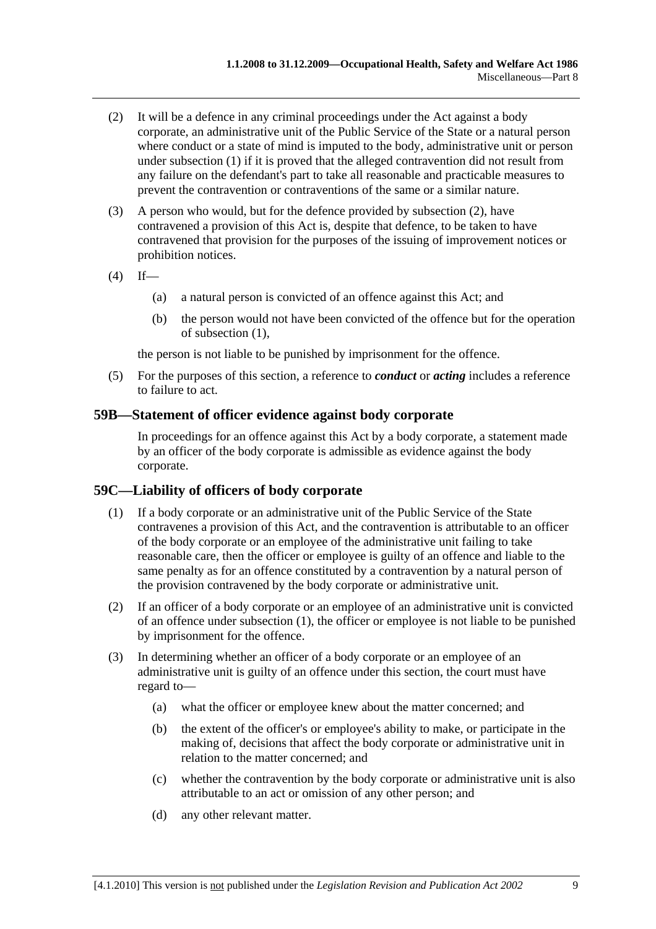- (2) It will be a defence in any criminal proceedings under the Act against a body corporate, an administrative unit of the Public Service of the State or a natural person where conduct or a state of mind is imputed to the body, administrative unit or person under subsection (1) if it is proved that the alleged contravention did not result from any failure on the defendant's part to take all reasonable and practicable measures to prevent the contravention or contraventions of the same or a similar nature.
- (3) A person who would, but for the defence provided by subsection (2), have contravened a provision of this Act is, despite that defence, to be taken to have contravened that provision for the purposes of the issuing of improvement notices or prohibition notices.
- $(4)$  If—
	- (a) a natural person is convicted of an offence against this Act; and
	- (b) the person would not have been convicted of the offence but for the operation of subsection (1),

the person is not liable to be punished by imprisonment for the offence.

 (5) For the purposes of this section, a reference to *conduct* or *acting* includes a reference to failure to act.

### **59B—Statement of officer evidence against body corporate**

In proceedings for an offence against this Act by a body corporate, a statement made by an officer of the body corporate is admissible as evidence against the body corporate.

# **59C—Liability of officers of body corporate**

- (1) If a body corporate or an administrative unit of the Public Service of the State contravenes a provision of this Act, and the contravention is attributable to an officer of the body corporate or an employee of the administrative unit failing to take reasonable care, then the officer or employee is guilty of an offence and liable to the same penalty as for an offence constituted by a contravention by a natural person of the provision contravened by the body corporate or administrative unit.
- (2) If an officer of a body corporate or an employee of an administrative unit is convicted of an offence under subsection (1), the officer or employee is not liable to be punished by imprisonment for the offence.
- (3) In determining whether an officer of a body corporate or an employee of an administrative unit is guilty of an offence under this section, the court must have regard to—
	- (a) what the officer or employee knew about the matter concerned; and
	- (b) the extent of the officer's or employee's ability to make, or participate in the making of, decisions that affect the body corporate or administrative unit in relation to the matter concerned; and
	- (c) whether the contravention by the body corporate or administrative unit is also attributable to an act or omission of any other person; and
	- (d) any other relevant matter.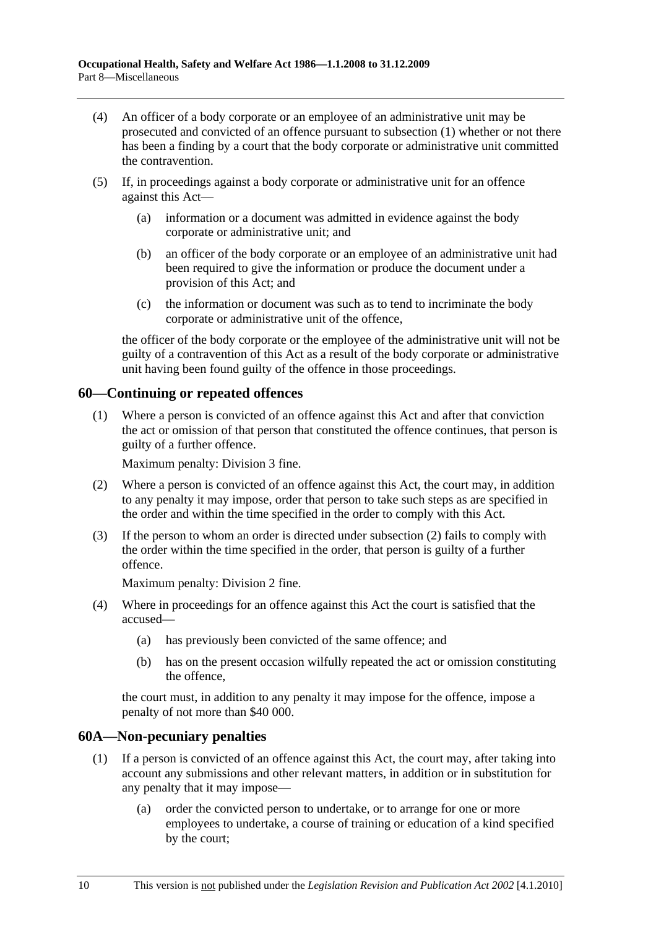- (4) An officer of a body corporate or an employee of an administrative unit may be prosecuted and convicted of an offence pursuant to subsection (1) whether or not there has been a finding by a court that the body corporate or administrative unit committed the contravention.
- (5) If, in proceedings against a body corporate or administrative unit for an offence against this Act—
	- (a) information or a document was admitted in evidence against the body corporate or administrative unit; and
	- (b) an officer of the body corporate or an employee of an administrative unit had been required to give the information or produce the document under a provision of this Act; and
	- (c) the information or document was such as to tend to incriminate the body corporate or administrative unit of the offence,

the officer of the body corporate or the employee of the administrative unit will not be guilty of a contravention of this Act as a result of the body corporate or administrative unit having been found guilty of the offence in those proceedings.

# **60—Continuing or repeated offences**

 (1) Where a person is convicted of an offence against this Act and after that conviction the act or omission of that person that constituted the offence continues, that person is guilty of a further offence.

Maximum penalty: Division 3 fine.

- (2) Where a person is convicted of an offence against this Act, the court may, in addition to any penalty it may impose, order that person to take such steps as are specified in the order and within the time specified in the order to comply with this Act.
- (3) If the person to whom an order is directed under subsection (2) fails to comply with the order within the time specified in the order, that person is guilty of a further offence.

Maximum penalty: Division 2 fine.

- (4) Where in proceedings for an offence against this Act the court is satisfied that the accused—
	- (a) has previously been convicted of the same offence; and
	- (b) has on the present occasion wilfully repeated the act or omission constituting the offence,

the court must, in addition to any penalty it may impose for the offence, impose a penalty of not more than \$40 000.

### **60A—Non-pecuniary penalties**

- (1) If a person is convicted of an offence against this Act, the court may, after taking into account any submissions and other relevant matters, in addition or in substitution for any penalty that it may impose—
	- (a) order the convicted person to undertake, or to arrange for one or more employees to undertake, a course of training or education of a kind specified by the court;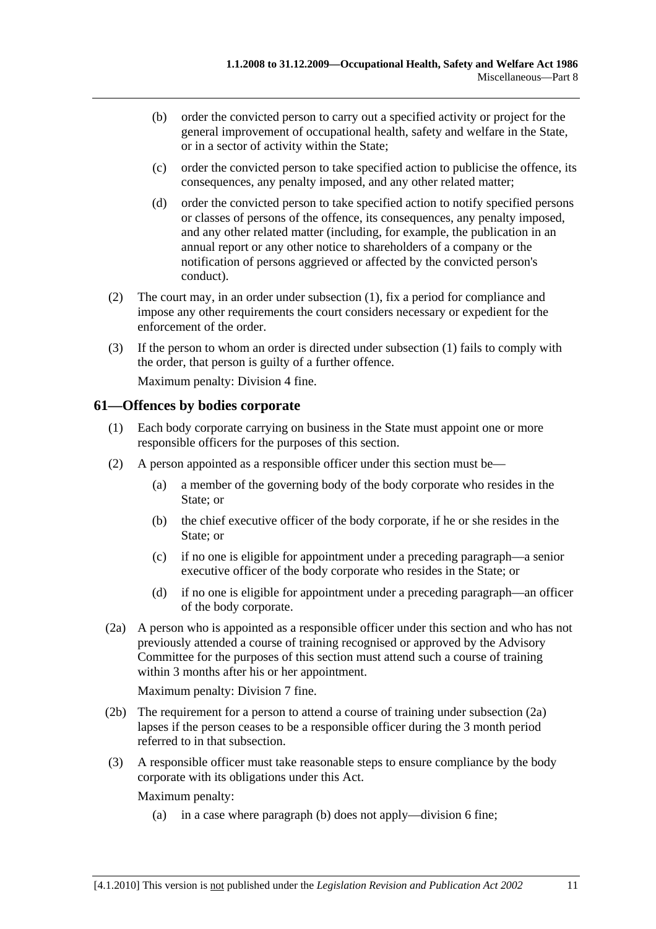- (b) order the convicted person to carry out a specified activity or project for the general improvement of occupational health, safety and welfare in the State, or in a sector of activity within the State;
- (c) order the convicted person to take specified action to publicise the offence, its consequences, any penalty imposed, and any other related matter;
- (d) order the convicted person to take specified action to notify specified persons or classes of persons of the offence, its consequences, any penalty imposed, and any other related matter (including, for example, the publication in an annual report or any other notice to shareholders of a company or the notification of persons aggrieved or affected by the convicted person's conduct).
- (2) The court may, in an order under subsection (1), fix a period for compliance and impose any other requirements the court considers necessary or expedient for the enforcement of the order.
- (3) If the person to whom an order is directed under subsection (1) fails to comply with the order, that person is guilty of a further offence.

Maximum penalty: Division 4 fine.

### **61—Offences by bodies corporate**

- (1) Each body corporate carrying on business in the State must appoint one or more responsible officers for the purposes of this section.
- (2) A person appointed as a responsible officer under this section must be—
	- (a) a member of the governing body of the body corporate who resides in the State; or
	- (b) the chief executive officer of the body corporate, if he or she resides in the State; or
	- (c) if no one is eligible for appointment under a preceding paragraph—a senior executive officer of the body corporate who resides in the State; or
	- (d) if no one is eligible for appointment under a preceding paragraph—an officer of the body corporate.
- (2a) A person who is appointed as a responsible officer under this section and who has not previously attended a course of training recognised or approved by the Advisory Committee for the purposes of this section must attend such a course of training within 3 months after his or her appointment.

Maximum penalty: Division 7 fine.

- (2b) The requirement for a person to attend a course of training under subsection (2a) lapses if the person ceases to be a responsible officer during the 3 month period referred to in that subsection.
- (3) A responsible officer must take reasonable steps to ensure compliance by the body corporate with its obligations under this Act.

Maximum penalty:

(a) in a case where paragraph (b) does not apply—division 6 fine;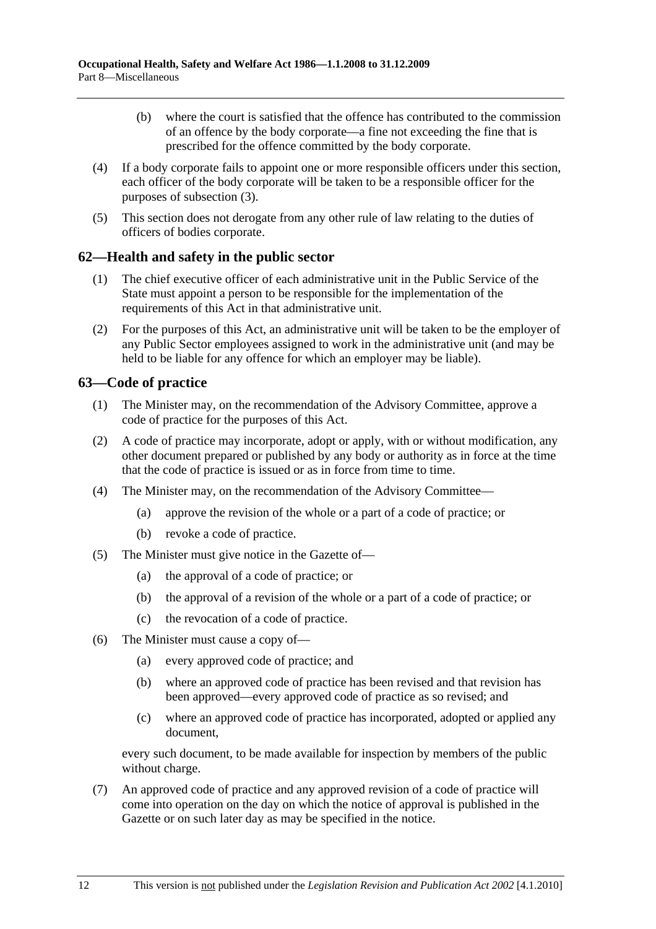- (b) where the court is satisfied that the offence has contributed to the commission of an offence by the body corporate—a fine not exceeding the fine that is prescribed for the offence committed by the body corporate.
- (4) If a body corporate fails to appoint one or more responsible officers under this section, each officer of the body corporate will be taken to be a responsible officer for the purposes of subsection (3).
- (5) This section does not derogate from any other rule of law relating to the duties of officers of bodies corporate.

### **62—Health and safety in the public sector**

- (1) The chief executive officer of each administrative unit in the Public Service of the State must appoint a person to be responsible for the implementation of the requirements of this Act in that administrative unit.
- (2) For the purposes of this Act, an administrative unit will be taken to be the employer of any Public Sector employees assigned to work in the administrative unit (and may be held to be liable for any offence for which an employer may be liable).

# **63—Code of practice**

- (1) The Minister may, on the recommendation of the Advisory Committee, approve a code of practice for the purposes of this Act.
- (2) A code of practice may incorporate, adopt or apply, with or without modification, any other document prepared or published by any body or authority as in force at the time that the code of practice is issued or as in force from time to time.
- (4) The Minister may, on the recommendation of the Advisory Committee—
	- (a) approve the revision of the whole or a part of a code of practice; or
	- (b) revoke a code of practice.
- (5) The Minister must give notice in the Gazette of—
	- (a) the approval of a code of practice; or
	- (b) the approval of a revision of the whole or a part of a code of practice; or
	- (c) the revocation of a code of practice.
- (6) The Minister must cause a copy of—
	- (a) every approved code of practice; and
	- (b) where an approved code of practice has been revised and that revision has been approved—every approved code of practice as so revised; and
	- (c) where an approved code of practice has incorporated, adopted or applied any document,

every such document, to be made available for inspection by members of the public without charge.

 (7) An approved code of practice and any approved revision of a code of practice will come into operation on the day on which the notice of approval is published in the Gazette or on such later day as may be specified in the notice.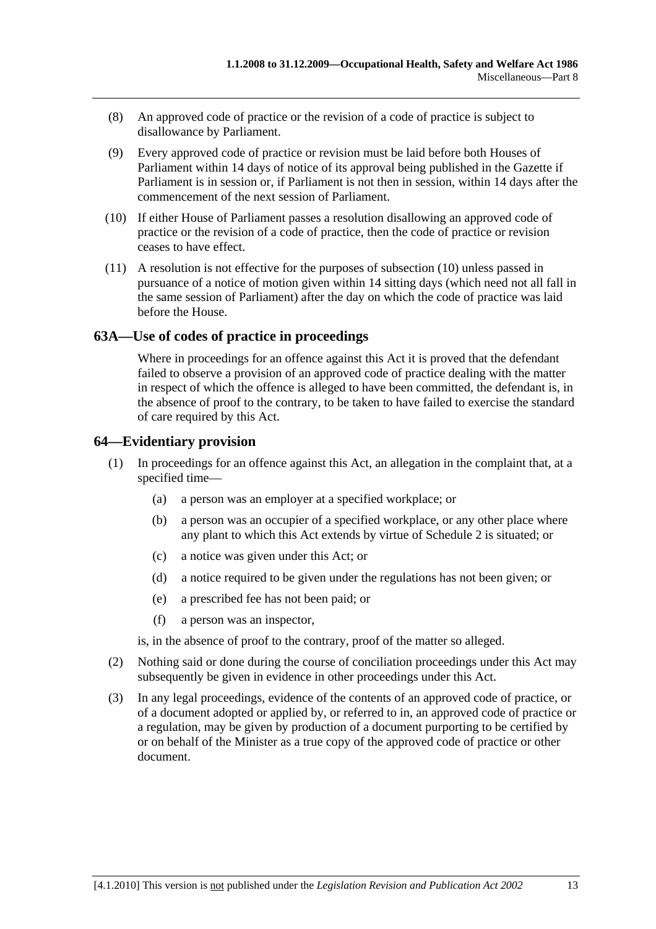- (8) An approved code of practice or the revision of a code of practice is subject to disallowance by Parliament.
- (9) Every approved code of practice or revision must be laid before both Houses of Parliament within 14 days of notice of its approval being published in the Gazette if Parliament is in session or, if Parliament is not then in session, within 14 days after the commencement of the next session of Parliament.
- (10) If either House of Parliament passes a resolution disallowing an approved code of practice or the revision of a code of practice, then the code of practice or revision ceases to have effect.
- (11) A resolution is not effective for the purposes of subsection (10) unless passed in pursuance of a notice of motion given within 14 sitting days (which need not all fall in the same session of Parliament) after the day on which the code of practice was laid before the House.

# **63A—Use of codes of practice in proceedings**

Where in proceedings for an offence against this Act it is proved that the defendant failed to observe a provision of an approved code of practice dealing with the matter in respect of which the offence is alleged to have been committed, the defendant is, in the absence of proof to the contrary, to be taken to have failed to exercise the standard of care required by this Act.

# **64—Evidentiary provision**

- (1) In proceedings for an offence against this Act, an allegation in the complaint that, at a specified time—
	- (a) a person was an employer at a specified workplace; or
	- (b) a person was an occupier of a specified workplace, or any other place where any plant to which this Act extends by virtue of Schedule 2 is situated; or
	- (c) a notice was given under this Act; or
	- (d) a notice required to be given under the regulations has not been given; or
	- (e) a prescribed fee has not been paid; or
	- (f) a person was an inspector,

is, in the absence of proof to the contrary, proof of the matter so alleged.

- (2) Nothing said or done during the course of conciliation proceedings under this Act may subsequently be given in evidence in other proceedings under this Act.
- (3) In any legal proceedings, evidence of the contents of an approved code of practice, or of a document adopted or applied by, or referred to in, an approved code of practice or a regulation, may be given by production of a document purporting to be certified by or on behalf of the Minister as a true copy of the approved code of practice or other document.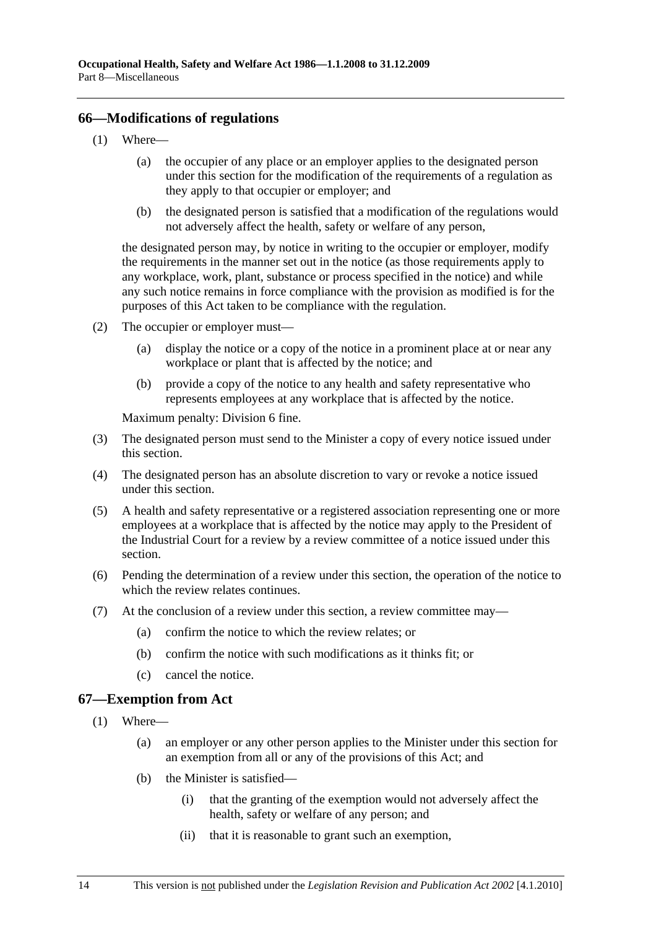### **66—Modifications of regulations**

- (1) Where—
	- (a) the occupier of any place or an employer applies to the designated person under this section for the modification of the requirements of a regulation as they apply to that occupier or employer; and
	- (b) the designated person is satisfied that a modification of the regulations would not adversely affect the health, safety or welfare of any person,

the designated person may, by notice in writing to the occupier or employer, modify the requirements in the manner set out in the notice (as those requirements apply to any workplace, work, plant, substance or process specified in the notice) and while any such notice remains in force compliance with the provision as modified is for the purposes of this Act taken to be compliance with the regulation.

- (2) The occupier or employer must—
	- (a) display the notice or a copy of the notice in a prominent place at or near any workplace or plant that is affected by the notice; and
	- (b) provide a copy of the notice to any health and safety representative who represents employees at any workplace that is affected by the notice.

Maximum penalty: Division 6 fine.

- (3) The designated person must send to the Minister a copy of every notice issued under this section.
- (4) The designated person has an absolute discretion to vary or revoke a notice issued under this section.
- (5) A health and safety representative or a registered association representing one or more employees at a workplace that is affected by the notice may apply to the President of the Industrial Court for a review by a review committee of a notice issued under this section.
- (6) Pending the determination of a review under this section, the operation of the notice to which the review relates continues.
- (7) At the conclusion of a review under this section, a review committee may—
	- (a) confirm the notice to which the review relates; or
	- (b) confirm the notice with such modifications as it thinks fit; or
	- (c) cancel the notice.

# **67—Exemption from Act**

- (1) Where—
	- (a) an employer or any other person applies to the Minister under this section for an exemption from all or any of the provisions of this Act; and
	- (b) the Minister is satisfied—
		- (i) that the granting of the exemption would not adversely affect the health, safety or welfare of any person; and
		- (ii) that it is reasonable to grant such an exemption,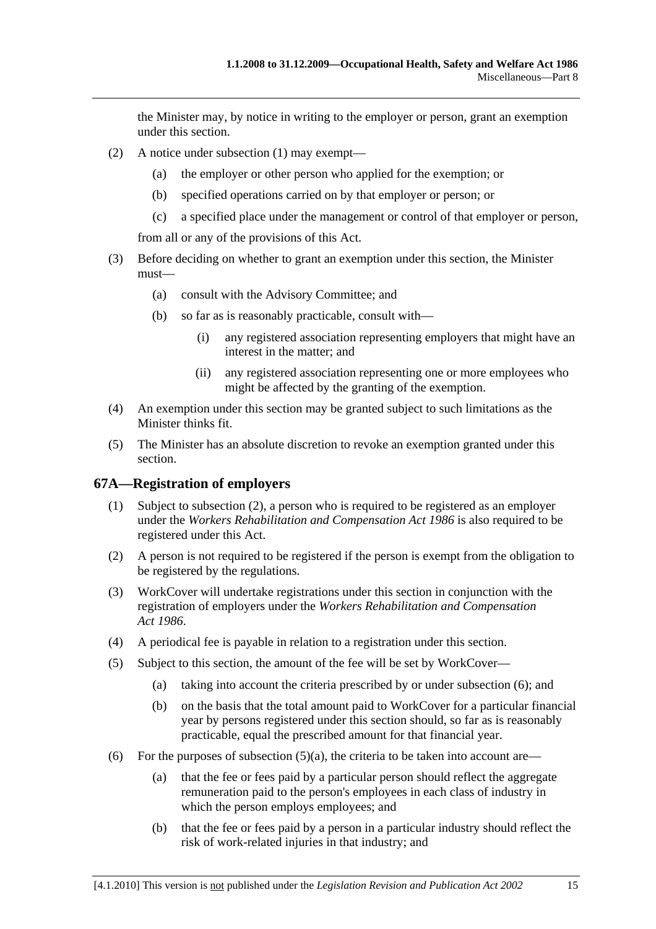the Minister may, by notice in writing to the employer or person, grant an exemption under this section.

- (2) A notice under subsection (1) may exempt—
	- (a) the employer or other person who applied for the exemption; or
	- (b) specified operations carried on by that employer or person; or
	- (c) a specified place under the management or control of that employer or person,

from all or any of the provisions of this Act.

- (3) Before deciding on whether to grant an exemption under this section, the Minister must—
	- (a) consult with the Advisory Committee; and
	- (b) so far as is reasonably practicable, consult with—
		- (i) any registered association representing employers that might have an interest in the matter; and
		- (ii) any registered association representing one or more employees who might be affected by the granting of the exemption.
- (4) An exemption under this section may be granted subject to such limitations as the Minister thinks fit.
- (5) The Minister has an absolute discretion to revoke an exemption granted under this section.

# **67A—Registration of employers**

- (1) Subject to subsection (2), a person who is required to be registered as an employer under the *Workers Rehabilitation and Compensation Act 1986* is also required to be registered under this Act.
- (2) A person is not required to be registered if the person is exempt from the obligation to be registered by the regulations.
- (3) WorkCover will undertake registrations under this section in conjunction with the registration of employers under the *Workers Rehabilitation and Compensation Act 1986*.
- (4) A periodical fee is payable in relation to a registration under this section.
- (5) Subject to this section, the amount of the fee will be set by WorkCover—
	- (a) taking into account the criteria prescribed by or under subsection (6); and
	- (b) on the basis that the total amount paid to WorkCover for a particular financial year by persons registered under this section should, so far as is reasonably practicable, equal the prescribed amount for that financial year.
- (6) For the purposes of subsection  $(5)(a)$ , the criteria to be taken into account are—
	- (a) that the fee or fees paid by a particular person should reflect the aggregate remuneration paid to the person's employees in each class of industry in which the person employs employees; and
	- (b) that the fee or fees paid by a person in a particular industry should reflect the risk of work-related injuries in that industry; and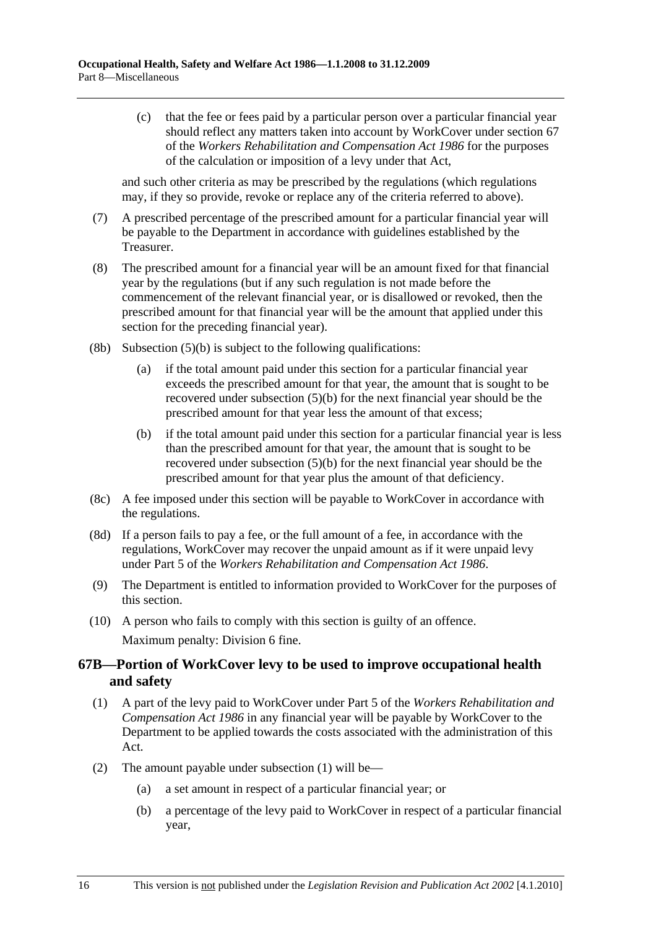(c) that the fee or fees paid by a particular person over a particular financial year should reflect any matters taken into account by WorkCover under section 67 of the *Workers Rehabilitation and Compensation Act 1986* for the purposes of the calculation or imposition of a levy under that Act,

and such other criteria as may be prescribed by the regulations (which regulations may, if they so provide, revoke or replace any of the criteria referred to above).

- (7) A prescribed percentage of the prescribed amount for a particular financial year will be payable to the Department in accordance with guidelines established by the Treasurer.
- (8) The prescribed amount for a financial year will be an amount fixed for that financial year by the regulations (but if any such regulation is not made before the commencement of the relevant financial year, or is disallowed or revoked, then the prescribed amount for that financial year will be the amount that applied under this section for the preceding financial year).
- (8b) Subsection  $(5)(b)$  is subject to the following qualifications:
	- (a) if the total amount paid under this section for a particular financial year exceeds the prescribed amount for that year, the amount that is sought to be recovered under subsection (5)(b) for the next financial year should be the prescribed amount for that year less the amount of that excess;
	- (b) if the total amount paid under this section for a particular financial year is less than the prescribed amount for that year, the amount that is sought to be recovered under subsection (5)(b) for the next financial year should be the prescribed amount for that year plus the amount of that deficiency.
- (8c) A fee imposed under this section will be payable to WorkCover in accordance with the regulations.
- (8d) If a person fails to pay a fee, or the full amount of a fee, in accordance with the regulations, WorkCover may recover the unpaid amount as if it were unpaid levy under Part 5 of the *Workers Rehabilitation and Compensation Act 1986*.
- (9) The Department is entitled to information provided to WorkCover for the purposes of this section.
- (10) A person who fails to comply with this section is guilty of an offence. Maximum penalty: Division 6 fine.

# **67B—Portion of WorkCover levy to be used to improve occupational health and safety**

- (1) A part of the levy paid to WorkCover under Part 5 of the *Workers Rehabilitation and Compensation Act 1986* in any financial year will be payable by WorkCover to the Department to be applied towards the costs associated with the administration of this Act.
- (2) The amount payable under subsection (1) will be—
	- (a) a set amount in respect of a particular financial year; or
	- (b) a percentage of the levy paid to WorkCover in respect of a particular financial year,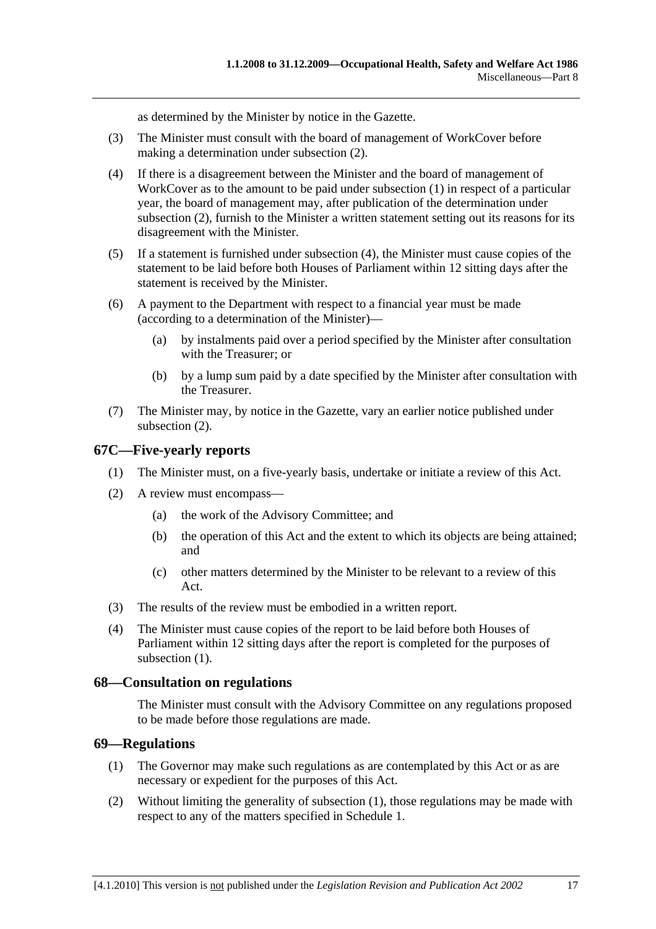as determined by the Minister by notice in the Gazette.

- (3) The Minister must consult with the board of management of WorkCover before making a determination under subsection (2).
- (4) If there is a disagreement between the Minister and the board of management of WorkCover as to the amount to be paid under subsection (1) in respect of a particular year, the board of management may, after publication of the determination under subsection (2), furnish to the Minister a written statement setting out its reasons for its disagreement with the Minister.
- (5) If a statement is furnished under subsection (4), the Minister must cause copies of the statement to be laid before both Houses of Parliament within 12 sitting days after the statement is received by the Minister.
- (6) A payment to the Department with respect to a financial year must be made (according to a determination of the Minister)—
	- (a) by instalments paid over a period specified by the Minister after consultation with the Treasurer; or
	- (b) by a lump sum paid by a date specified by the Minister after consultation with the Treasurer.
- (7) The Minister may, by notice in the Gazette, vary an earlier notice published under subsection (2).

# **67C—Five-yearly reports**

- (1) The Minister must, on a five-yearly basis, undertake or initiate a review of this Act.
- (2) A review must encompass—
	- (a) the work of the Advisory Committee; and
	- (b) the operation of this Act and the extent to which its objects are being attained; and
	- (c) other matters determined by the Minister to be relevant to a review of this A<sub>ct</sub>
- (3) The results of the review must be embodied in a written report.
- (4) The Minister must cause copies of the report to be laid before both Houses of Parliament within 12 sitting days after the report is completed for the purposes of subsection  $(1)$ .

### **68—Consultation on regulations**

The Minister must consult with the Advisory Committee on any regulations proposed to be made before those regulations are made.

### **69—Regulations**

- (1) The Governor may make such regulations as are contemplated by this Act or as are necessary or expedient for the purposes of this Act.
- (2) Without limiting the generality of subsection (1), those regulations may be made with respect to any of the matters specified in Schedule 1.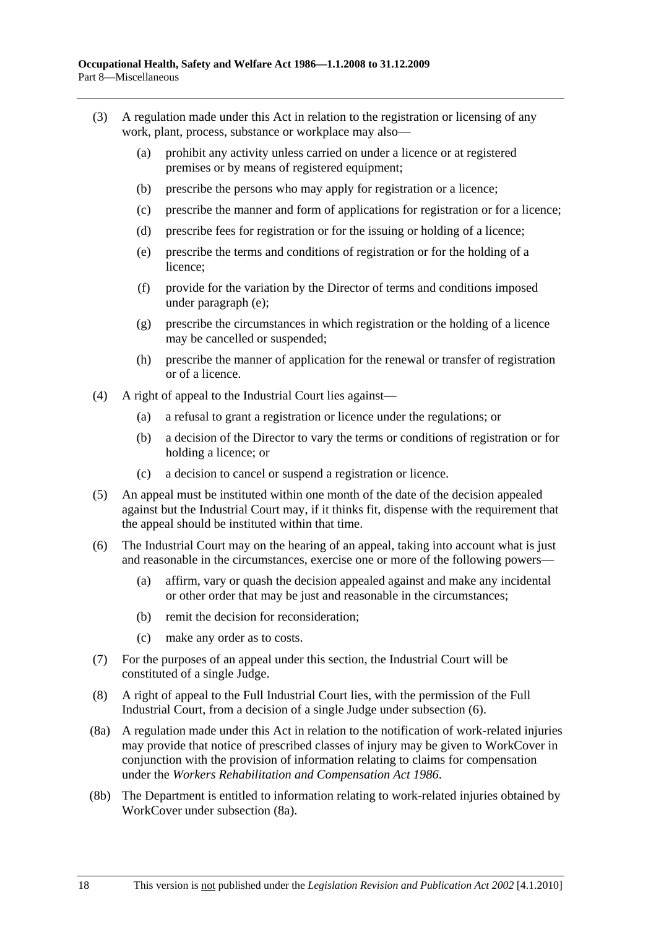- (3) A regulation made under this Act in relation to the registration or licensing of any work, plant, process, substance or workplace may also—
	- (a) prohibit any activity unless carried on under a licence or at registered premises or by means of registered equipment;
	- (b) prescribe the persons who may apply for registration or a licence;
	- (c) prescribe the manner and form of applications for registration or for a licence;
	- (d) prescribe fees for registration or for the issuing or holding of a licence;
	- (e) prescribe the terms and conditions of registration or for the holding of a licence;
	- (f) provide for the variation by the Director of terms and conditions imposed under paragraph (e);
	- (g) prescribe the circumstances in which registration or the holding of a licence may be cancelled or suspended;
	- (h) prescribe the manner of application for the renewal or transfer of registration or of a licence.
- (4) A right of appeal to the Industrial Court lies against—
	- (a) a refusal to grant a registration or licence under the regulations; or
	- (b) a decision of the Director to vary the terms or conditions of registration or for holding a licence; or
	- (c) a decision to cancel or suspend a registration or licence.
- (5) An appeal must be instituted within one month of the date of the decision appealed against but the Industrial Court may, if it thinks fit, dispense with the requirement that the appeal should be instituted within that time.
- (6) The Industrial Court may on the hearing of an appeal, taking into account what is just and reasonable in the circumstances, exercise one or more of the following powers—
	- (a) affirm, vary or quash the decision appealed against and make any incidental or other order that may be just and reasonable in the circumstances;
	- (b) remit the decision for reconsideration;
	- (c) make any order as to costs.
- (7) For the purposes of an appeal under this section, the Industrial Court will be constituted of a single Judge.
- (8) A right of appeal to the Full Industrial Court lies, with the permission of the Full Industrial Court, from a decision of a single Judge under subsection (6).
- (8a) A regulation made under this Act in relation to the notification of work-related injuries may provide that notice of prescribed classes of injury may be given to WorkCover in conjunction with the provision of information relating to claims for compensation under the *Workers Rehabilitation and Compensation Act 1986*.
- (8b) The Department is entitled to information relating to work-related injuries obtained by WorkCover under subsection (8a).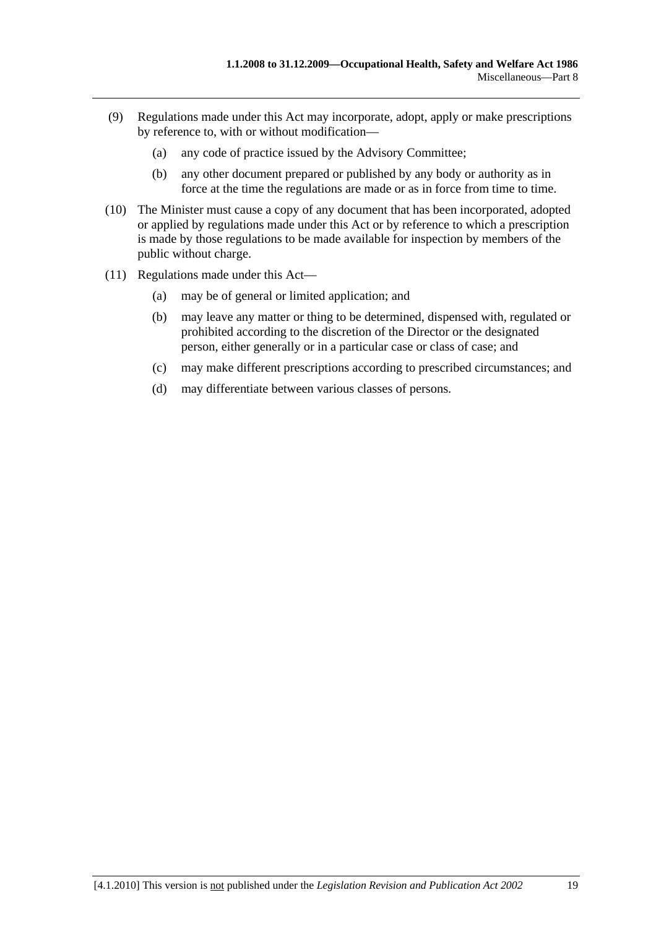- (9) Regulations made under this Act may incorporate, adopt, apply or make prescriptions by reference to, with or without modification—
	- (a) any code of practice issued by the Advisory Committee;
	- (b) any other document prepared or published by any body or authority as in force at the time the regulations are made or as in force from time to time.
- (10) The Minister must cause a copy of any document that has been incorporated, adopted or applied by regulations made under this Act or by reference to which a prescription is made by those regulations to be made available for inspection by members of the public without charge.
- (11) Regulations made under this Act—
	- (a) may be of general or limited application; and
	- (b) may leave any matter or thing to be determined, dispensed with, regulated or prohibited according to the discretion of the Director or the designated person, either generally or in a particular case or class of case; and
	- (c) may make different prescriptions according to prescribed circumstances; and
	- (d) may differentiate between various classes of persons.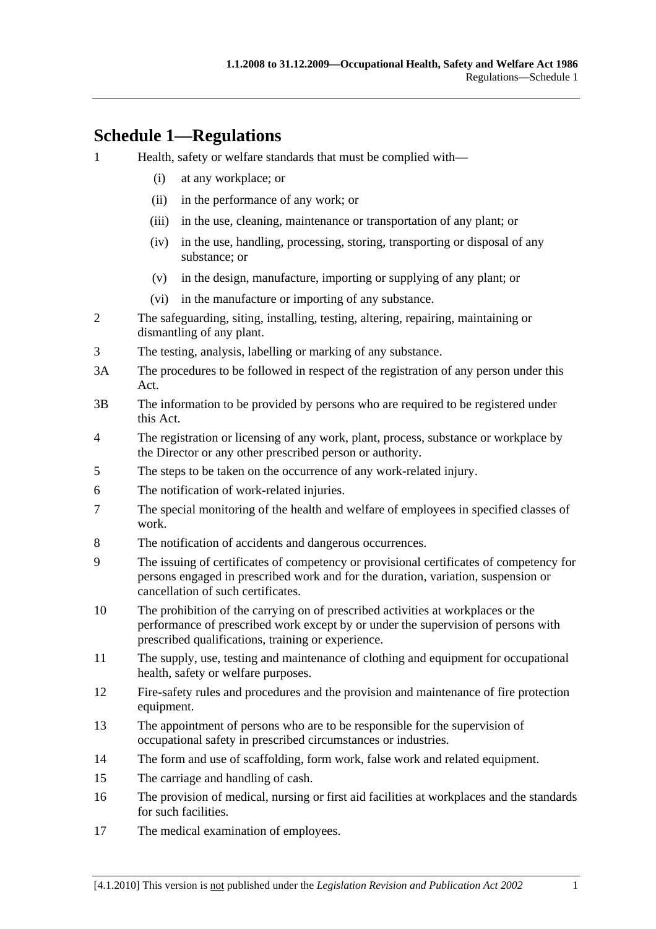# **Schedule 1—Regulations**

- 1 Health, safety or welfare standards that must be complied with—
	- (i) at any workplace; or
	- (ii) in the performance of any work; or
	- (iii) in the use, cleaning, maintenance or transportation of any plant; or
	- (iv) in the use, handling, processing, storing, transporting or disposal of any substance; or
	- (v) in the design, manufacture, importing or supplying of any plant; or
	- (vi) in the manufacture or importing of any substance.
- 2 The safeguarding, siting, installing, testing, altering, repairing, maintaining or dismantling of any plant.
- 3 The testing, analysis, labelling or marking of any substance.
- 3A The procedures to be followed in respect of the registration of any person under this Act.
- 3B The information to be provided by persons who are required to be registered under this Act.
- 4 The registration or licensing of any work, plant, process, substance or workplace by the Director or any other prescribed person or authority.
- 5 The steps to be taken on the occurrence of any work-related injury.
- 6 The notification of work-related injuries.
- 7 The special monitoring of the health and welfare of employees in specified classes of work.
- 8 The notification of accidents and dangerous occurrences.
- 9 The issuing of certificates of competency or provisional certificates of competency for persons engaged in prescribed work and for the duration, variation, suspension or cancellation of such certificates.
- 10 The prohibition of the carrying on of prescribed activities at workplaces or the performance of prescribed work except by or under the supervision of persons with prescribed qualifications, training or experience.
- 11 The supply, use, testing and maintenance of clothing and equipment for occupational health, safety or welfare purposes.
- 12 Fire-safety rules and procedures and the provision and maintenance of fire protection equipment.
- 13 The appointment of persons who are to be responsible for the supervision of occupational safety in prescribed circumstances or industries.
- 14 The form and use of scaffolding, form work, false work and related equipment.
- 15 The carriage and handling of cash.
- 16 The provision of medical, nursing or first aid facilities at workplaces and the standards for such facilities.
- 17 The medical examination of employees.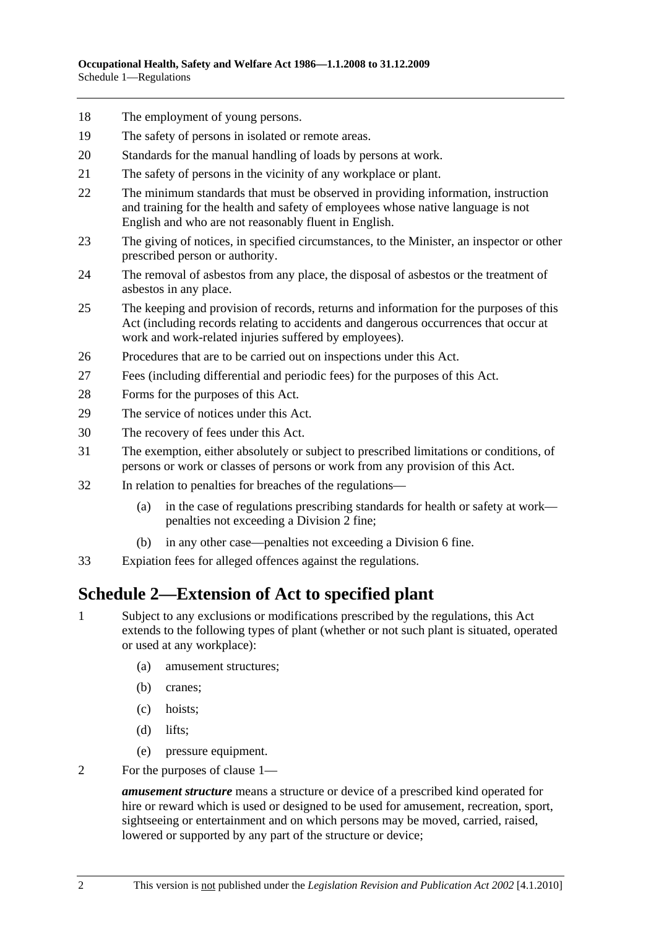- 18 The employment of young persons.
- 19 The safety of persons in isolated or remote areas.
- 20 Standards for the manual handling of loads by persons at work.
- 21 The safety of persons in the vicinity of any workplace or plant.
- 22 The minimum standards that must be observed in providing information, instruction and training for the health and safety of employees whose native language is not English and who are not reasonably fluent in English.
- 23 The giving of notices, in specified circumstances, to the Minister, an inspector or other prescribed person or authority.
- 24 The removal of asbestos from any place, the disposal of asbestos or the treatment of asbestos in any place.
- 25 The keeping and provision of records, returns and information for the purposes of this Act (including records relating to accidents and dangerous occurrences that occur at work and work-related injuries suffered by employees).
- 26 Procedures that are to be carried out on inspections under this Act.
- 27 Fees (including differential and periodic fees) for the purposes of this Act.
- 28 Forms for the purposes of this Act.
- 29 The service of notices under this Act.
- 30 The recovery of fees under this Act.
- 31 The exemption, either absolutely or subject to prescribed limitations or conditions, of persons or work or classes of persons or work from any provision of this Act.
- 32 In relation to penalties for breaches of the regulations—
	- (a) in the case of regulations prescribing standards for health or safety at work penalties not exceeding a Division 2 fine;
	- (b) in any other case—penalties not exceeding a Division 6 fine.
- 33 Expiation fees for alleged offences against the regulations.

# **Schedule 2—Extension of Act to specified plant**

- 1 Subject to any exclusions or modifications prescribed by the regulations, this Act extends to the following types of plant (whether or not such plant is situated, operated or used at any workplace):
	- (a) amusement structures;
	- (b) cranes;
	- (c) hoists;
	- (d) lifts;
	- (e) pressure equipment.
- 2 For the purposes of clause 1—

*amusement structure* means a structure or device of a prescribed kind operated for hire or reward which is used or designed to be used for amusement, recreation, sport, sightseeing or entertainment and on which persons may be moved, carried, raised, lowered or supported by any part of the structure or device;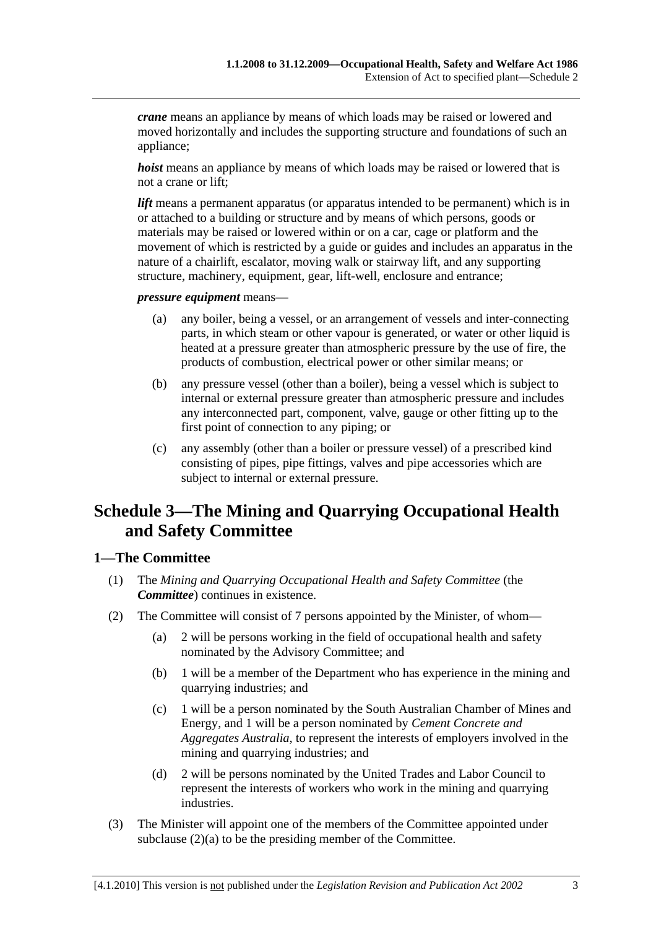*crane* means an appliance by means of which loads may be raised or lowered and moved horizontally and includes the supporting structure and foundations of such an appliance;

*hoist* means an appliance by means of which loads may be raised or lowered that is not a crane or lift;

*lift* means a permanent apparatus (or apparatus intended to be permanent) which is in or attached to a building or structure and by means of which persons, goods or materials may be raised or lowered within or on a car, cage or platform and the movement of which is restricted by a guide or guides and includes an apparatus in the nature of a chairlift, escalator, moving walk or stairway lift, and any supporting structure, machinery, equipment, gear, lift-well, enclosure and entrance;

*pressure equipment* means—

- (a) any boiler, being a vessel, or an arrangement of vessels and inter-connecting parts, in which steam or other vapour is generated, or water or other liquid is heated at a pressure greater than atmospheric pressure by the use of fire, the products of combustion, electrical power or other similar means; or
- (b) any pressure vessel (other than a boiler), being a vessel which is subject to internal or external pressure greater than atmospheric pressure and includes any interconnected part, component, valve, gauge or other fitting up to the first point of connection to any piping; or
- (c) any assembly (other than a boiler or pressure vessel) of a prescribed kind consisting of pipes, pipe fittings, valves and pipe accessories which are subject to internal or external pressure.

# **Schedule 3—The Mining and Quarrying Occupational Health and Safety Committee**

# **1—The Committee**

- (1) The *Mining and Quarrying Occupational Health and Safety Committee* (the *Committee*) continues in existence.
- (2) The Committee will consist of 7 persons appointed by the Minister, of whom—
	- (a) 2 will be persons working in the field of occupational health and safety nominated by the Advisory Committee; and
	- (b) 1 will be a member of the Department who has experience in the mining and quarrying industries; and
	- (c) 1 will be a person nominated by the South Australian Chamber of Mines and Energy, and 1 will be a person nominated by *Cement Concrete and Aggregates Australia*, to represent the interests of employers involved in the mining and quarrying industries; and
	- (d) 2 will be persons nominated by the United Trades and Labor Council to represent the interests of workers who work in the mining and quarrying industries.
- (3) The Minister will appoint one of the members of the Committee appointed under subclause (2)(a) to be the presiding member of the Committee.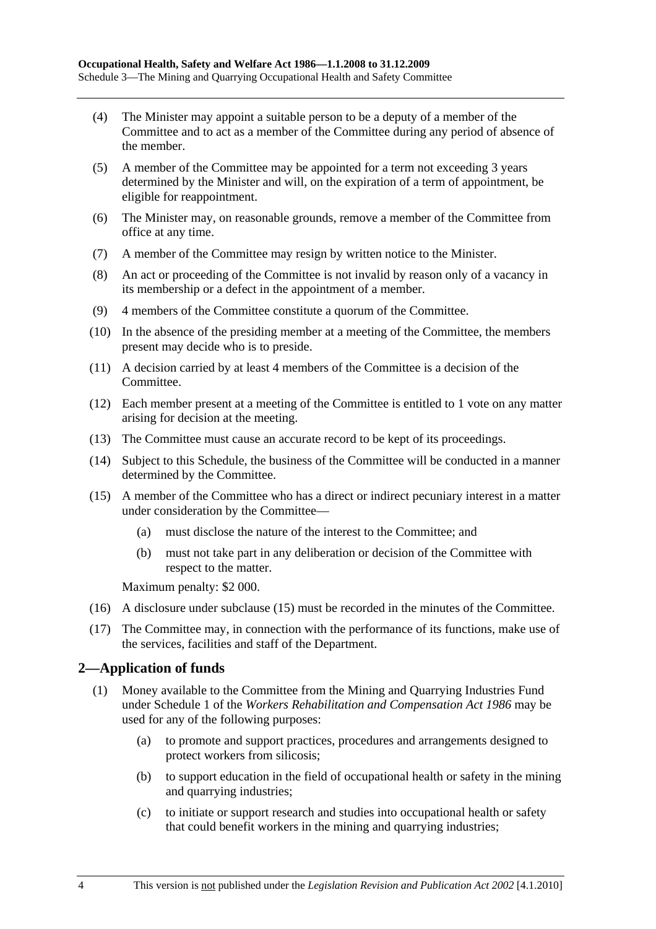- (4) The Minister may appoint a suitable person to be a deputy of a member of the Committee and to act as a member of the Committee during any period of absence of the member.
- (5) A member of the Committee may be appointed for a term not exceeding 3 years determined by the Minister and will, on the expiration of a term of appointment, be eligible for reappointment.
- (6) The Minister may, on reasonable grounds, remove a member of the Committee from office at any time.
- (7) A member of the Committee may resign by written notice to the Minister.
- (8) An act or proceeding of the Committee is not invalid by reason only of a vacancy in its membership or a defect in the appointment of a member.
- (9) 4 members of the Committee constitute a quorum of the Committee.
- (10) In the absence of the presiding member at a meeting of the Committee, the members present may decide who is to preside.
- (11) A decision carried by at least 4 members of the Committee is a decision of the Committee.
- (12) Each member present at a meeting of the Committee is entitled to 1 vote on any matter arising for decision at the meeting.
- (13) The Committee must cause an accurate record to be kept of its proceedings.
- (14) Subject to this Schedule, the business of the Committee will be conducted in a manner determined by the Committee.
- (15) A member of the Committee who has a direct or indirect pecuniary interest in a matter under consideration by the Committee—
	- (a) must disclose the nature of the interest to the Committee; and
	- (b) must not take part in any deliberation or decision of the Committee with respect to the matter.

Maximum penalty: \$2 000.

- (16) A disclosure under subclause (15) must be recorded in the minutes of the Committee.
- (17) The Committee may, in connection with the performance of its functions, make use of the services, facilities and staff of the Department.

# **2—Application of funds**

- (1) Money available to the Committee from the Mining and Quarrying Industries Fund under Schedule 1 of the *Workers Rehabilitation and Compensation Act 1986* may be used for any of the following purposes:
	- (a) to promote and support practices, procedures and arrangements designed to protect workers from silicosis;
	- (b) to support education in the field of occupational health or safety in the mining and quarrying industries;
	- (c) to initiate or support research and studies into occupational health or safety that could benefit workers in the mining and quarrying industries;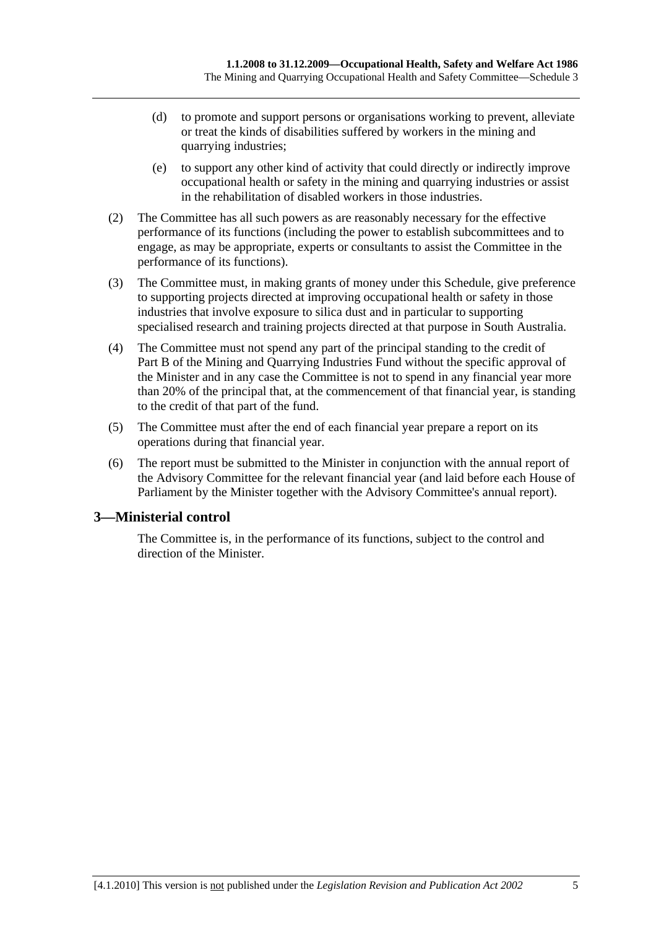- (d) to promote and support persons or organisations working to prevent, alleviate or treat the kinds of disabilities suffered by workers in the mining and quarrying industries;
- (e) to support any other kind of activity that could directly or indirectly improve occupational health or safety in the mining and quarrying industries or assist in the rehabilitation of disabled workers in those industries.
- (2) The Committee has all such powers as are reasonably necessary for the effective performance of its functions (including the power to establish subcommittees and to engage, as may be appropriate, experts or consultants to assist the Committee in the performance of its functions).
- (3) The Committee must, in making grants of money under this Schedule, give preference to supporting projects directed at improving occupational health or safety in those industries that involve exposure to silica dust and in particular to supporting specialised research and training projects directed at that purpose in South Australia.
- (4) The Committee must not spend any part of the principal standing to the credit of Part B of the Mining and Quarrying Industries Fund without the specific approval of the Minister and in any case the Committee is not to spend in any financial year more than 20% of the principal that, at the commencement of that financial year, is standing to the credit of that part of the fund.
- (5) The Committee must after the end of each financial year prepare a report on its operations during that financial year.
- (6) The report must be submitted to the Minister in conjunction with the annual report of the Advisory Committee for the relevant financial year (and laid before each House of Parliament by the Minister together with the Advisory Committee's annual report).

# **3—Ministerial control**

The Committee is, in the performance of its functions, subject to the control and direction of the Minister.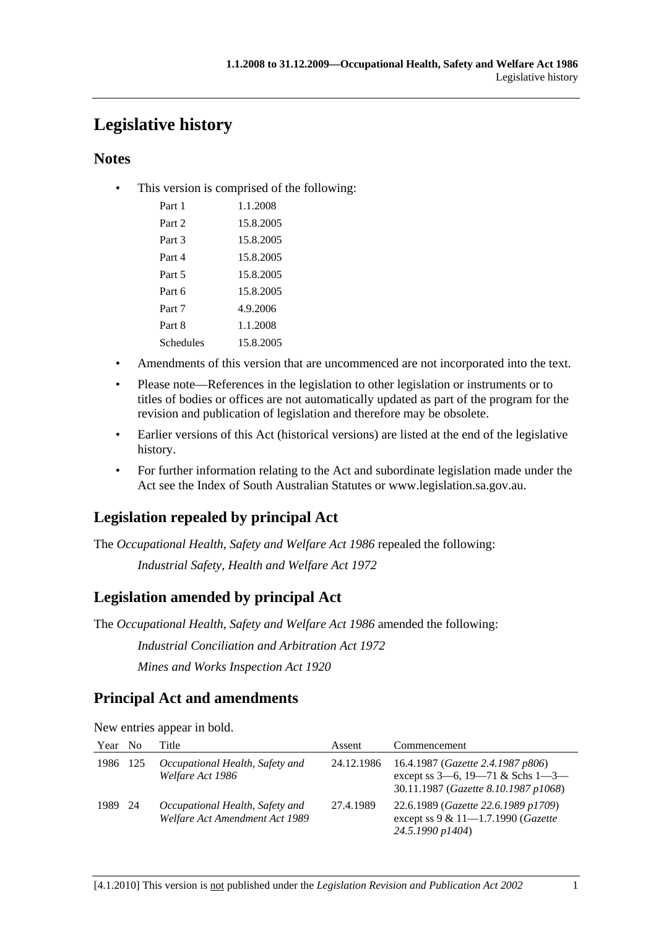# **Legislative history**

# **Notes**

• This version is comprised of the following:

| Part 1    | 1 1 2008  |
|-----------|-----------|
| Part 2    | 15.8.2005 |
| Part 3    | 15.8.2005 |
| Part 4    | 15.8.2005 |
| Part 5    | 15.8.2005 |
| Part 6    | 15.8.2005 |
| Part 7    | 4.9.2006  |
| Part 8    | 1.1.2008  |
| Schedules | 15.8.2005 |
|           |           |

- Amendments of this version that are uncommenced are not incorporated into the text.
- Please note—References in the legislation to other legislation or instruments or to titles of bodies or offices are not automatically updated as part of the program for the revision and publication of legislation and therefore may be obsolete.
- Earlier versions of this Act (historical versions) are listed at the end of the legislative history.
- For further information relating to the Act and subordinate legislation made under the Act see the Index of South Australian Statutes or www.legislation.sa.gov.au.

# **Legislation repealed by principal Act**

The *Occupational Health, Safety and Welfare Act 1986* repealed the following:

*Industrial Safety, Health and Welfare Act 1972*

# **Legislation amended by principal Act**

The *Occupational Health, Safety and Welfare Act 1986* amended the following:

*Industrial Conciliation and Arbitration Act 1972*

*Mines and Works Inspection Act 1920*

# **Principal Act and amendments**

New entries appear in bold.

| Year     | N <sub>0</sub> | Title                                                             | Assent     | Commencement                                                                                                                  |
|----------|----------------|-------------------------------------------------------------------|------------|-------------------------------------------------------------------------------------------------------------------------------|
| 1986 125 |                | Occupational Health, Safety and<br>Welfare Act 1986               | 24.12.1986 | 16.4.1987 ( <i>Gazette 2.4.1987 p806</i> )<br>except ss $3-6$ , $19-71$ & Schs $1-3-$<br>30.11.1987 (Gazette 8.10.1987 p1068) |
| 1989 24  |                | Occupational Health, Safety and<br>Welfare Act Amendment Act 1989 | 27.4.1989  | 22.6.1989 (Gazette 22.6.1989 p1709)<br>except ss $9 & 11 - 1.7.1990$ (Gazette<br>24.5.1990 p1404)                             |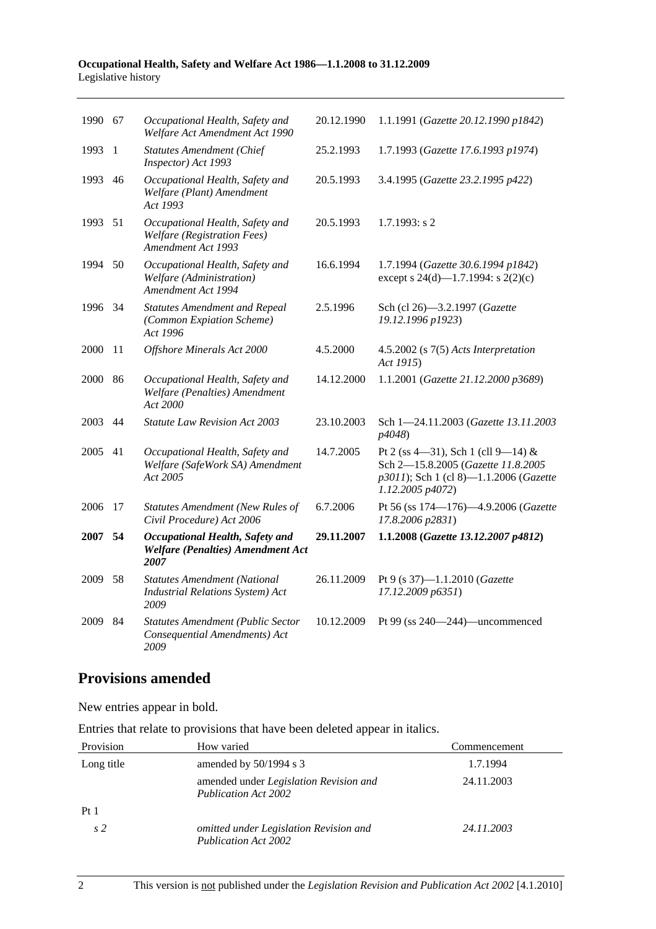#### **Occupational Health, Safety and Welfare Act 1986—1.1.2008 to 31.12.2009**  Legislative history

| 1990 | 67 | Occupational Health, Safety and<br>Welfare Act Amendment Act 1990                           | 20.12.1990 | 1.1.1991 (Gazette 20.12.1990 p1842)                                                                                                    |
|------|----|---------------------------------------------------------------------------------------------|------------|----------------------------------------------------------------------------------------------------------------------------------------|
| 1993 | -1 | <b>Statutes Amendment (Chief</b><br>Inspector) Act 1993                                     | 25.2.1993  | 1.7.1993 (Gazette 17.6.1993 p1974)                                                                                                     |
| 1993 | 46 | Occupational Health, Safety and<br>Welfare (Plant) Amendment<br>Act 1993                    | 20.5.1993  | 3.4.1995 (Gazette 23.2.1995 p422)                                                                                                      |
| 1993 | 51 | Occupational Health, Safety and<br><b>Welfare</b> (Registration Fees)<br>Amendment Act 1993 | 20.5.1993  | $1.7.1993$ : s 2                                                                                                                       |
| 1994 | 50 | Occupational Health, Safety and<br>Welfare (Administration)<br>Amendment Act 1994           | 16.6.1994  | 1.7.1994 (Gazette 30.6.1994 p1842)<br>except s 24(d)—1.7.1994: s 2(2)(c)                                                               |
| 1996 | 34 | <b>Statutes Amendment and Repeal</b><br>(Common Expiation Scheme)<br>Act 1996               | 2.5.1996   | Sch (cl 26)-3.2.1997 (Gazette<br>19.12.1996 p1923)                                                                                     |
| 2000 | 11 | Offshore Minerals Act 2000                                                                  | 4.5.2000   | 4.5.2002 (s 7(5) Acts Interpretation<br>Act 1915)                                                                                      |
| 2000 | 86 | Occupational Health, Safety and<br>Welfare (Penalties) Amendment<br>Act 2000                | 14.12.2000 | 1.1.2001 (Gazette 21.12.2000 p3689)                                                                                                    |
| 2003 | 44 | <b>Statute Law Revision Act 2003</b>                                                        | 23.10.2003 | Sch 1-24.11.2003 (Gazette 13.11.2003<br>p4048)                                                                                         |
| 2005 | 41 | Occupational Health, Safety and<br>Welfare (SafeWork SA) Amendment<br>Act 2005              | 14.7.2005  | Pt 2 (ss 4-31), Sch 1 (cll 9-14) &<br>Sch 2-15.8.2005 (Gazette 11.8.2005<br>p3011); Sch 1 (cl 8)-1.1.2006 (Gazette<br>1.12.2005 p4072) |
| 2006 | 17 | <b>Statutes Amendment (New Rules of</b><br>Civil Procedure) Act 2006                        | 6.7.2006   | Pt 56 (ss 174-176)-4.9.2006 (Gazette<br>17.8.2006 p2831)                                                                               |
| 2007 | 54 | Occupational Health, Safety and<br><b>Welfare (Penalties) Amendment Act</b><br>2007         | 29.11.2007 | 1.1.2008 (Gazette 13.12.2007 p4812)                                                                                                    |
| 2009 | 58 | <b>Statutes Amendment (National</b><br><b>Industrial Relations System)</b> Act<br>2009      | 26.11.2009 | Pt 9 (s 37)-1.1.2010 (Gazette<br>17.12.2009 p6351)                                                                                     |
| 2009 | 84 | <b>Statutes Amendment (Public Sector</b><br>Consequential Amendments) Act<br>2009           | 10.12.2009 | Pt 99 (ss 240-244)-uncommenced                                                                                                         |
|      |    |                                                                                             |            |                                                                                                                                        |

# **Provisions amended**

New entries appear in bold.

Entries that relate to provisions that have been deleted appear in italics.

| Provision       | How varied                                                            | Commencement |
|-----------------|-----------------------------------------------------------------------|--------------|
| Long title      | amended by $50/1994$ s 3                                              | 1.7.1994     |
|                 | amended under Legislation Revision and<br><b>Publication Act 2002</b> | 24.11.2003   |
| Pt <sub>1</sub> |                                                                       |              |
| s <sub>2</sub>  | omitted under Legislation Revision and<br><b>Publication Act 2002</b> | 24.11.2003   |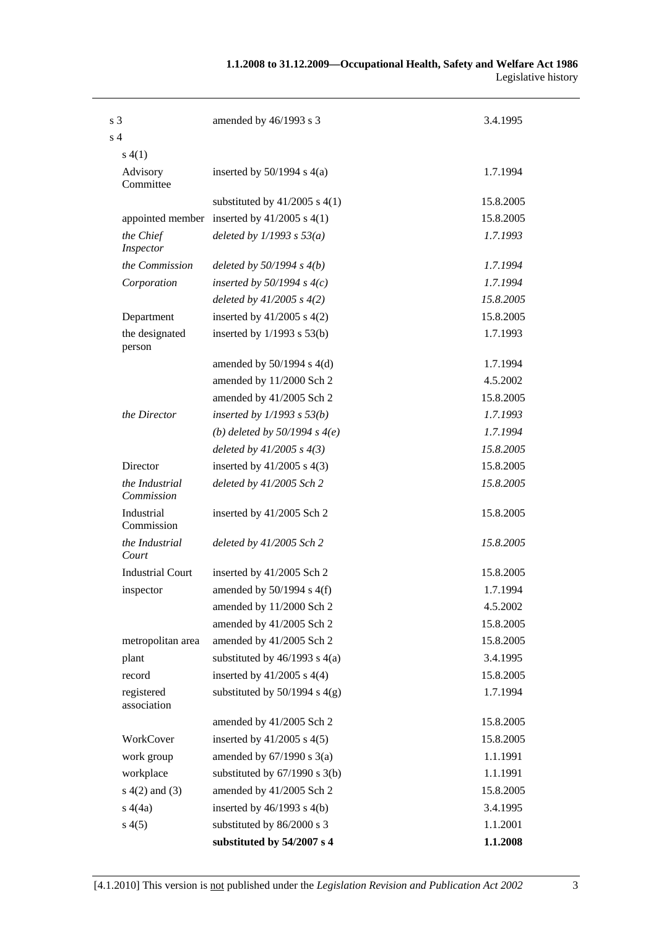| s <sub>3</sub>               | amended by 46/1993 s 3                          | 3.4.1995  |
|------------------------------|-------------------------------------------------|-----------|
| s <sub>4</sub>               |                                                 |           |
| s(4(1))                      |                                                 |           |
| Advisory<br>Committee        | inserted by $50/1994$ s $4(a)$                  | 1.7.1994  |
|                              | substituted by $41/2005$ s $4(1)$               | 15.8.2005 |
|                              | appointed member inserted by $41/2005$ s $4(1)$ | 15.8.2005 |
| the Chief<br>Inspector       | deleted by $1/1993 s 53(a)$                     | 1.7.1993  |
| the Commission               | deleted by $50/1994 s 4(b)$                     | 1.7.1994  |
| Corporation                  | inserted by $50/1994 s 4(c)$                    | 1.7.1994  |
|                              | deleted by $41/2005 s 4(2)$                     | 15.8.2005 |
| Department                   | inserted by $41/2005$ s $4(2)$                  | 15.8.2005 |
| the designated<br>person     | inserted by $1/1993$ s $53(b)$                  | 1.7.1993  |
|                              | amended by $50/1994$ s $4(d)$                   | 1.7.1994  |
|                              | amended by 11/2000 Sch 2                        | 4.5.2002  |
|                              | amended by 41/2005 Sch 2                        | 15.8.2005 |
| the Director                 | inserted by $1/1993$ s $53(b)$                  | 1.7.1993  |
|                              | (b) deleted by $50/1994 s 4(e)$                 | 1.7.1994  |
|                              | deleted by $41/2005 s 4(3)$                     | 15.8.2005 |
| Director                     | inserted by $41/2005$ s $4(3)$                  | 15.8.2005 |
| the Industrial<br>Commission | deleted by 41/2005 Sch 2                        | 15.8.2005 |
| Industrial<br>Commission     | inserted by 41/2005 Sch 2                       | 15.8.2005 |
| the Industrial<br>Court      | deleted by 41/2005 Sch 2                        | 15.8.2005 |
| <b>Industrial Court</b>      | inserted by 41/2005 Sch 2                       | 15.8.2005 |
| inspector                    | amended by 50/1994 s 4(f)                       | 1.7.1994  |
|                              | amended by 11/2000 Sch 2                        | 4.5.2002  |
|                              | amended by 41/2005 Sch 2                        | 15.8.2005 |
| metropolitan area            | amended by 41/2005 Sch 2                        | 15.8.2005 |
| plant                        | substituted by $46/1993$ s $4(a)$               | 3.4.1995  |
| record                       | inserted by $41/2005$ s $4(4)$                  | 15.8.2005 |
| registered<br>association    | substituted by $50/1994$ s $4(g)$               | 1.7.1994  |
|                              | amended by 41/2005 Sch 2                        | 15.8.2005 |
| WorkCover                    | inserted by $41/2005$ s $4(5)$                  | 15.8.2005 |
| work group                   | amended by $67/1990$ s $3(a)$                   | 1.1.1991  |
| workplace                    | substituted by $67/1990$ s $3(b)$               | 1.1.1991  |
| $s(4(2)$ and $(3)$           | amended by 41/2005 Sch 2                        | 15.8.2005 |
| s(4a)                        | inserted by $46/1993$ s $4(b)$                  | 3.4.1995  |
| s(4(5)                       | substituted by 86/2000 s 3                      | 1.1.2001  |
|                              | substituted by 54/2007 s 4                      | 1.1.2008  |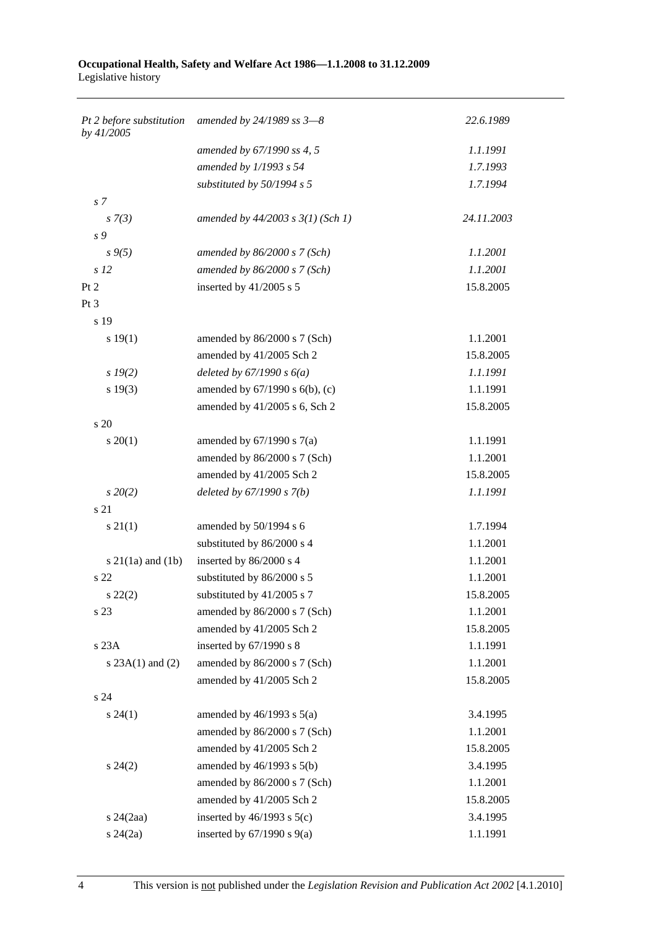#### **Occupational Health, Safety and Welfare Act 1986—1.1.2008 to 31.12.2009**  Legislative history

| Pt 2 before substitution<br>by 41/2005 | amended by $24/1989$ ss $3-8$         | 22.6.1989  |
|----------------------------------------|---------------------------------------|------------|
|                                        | amended by 67/1990 ss 4, 5            | 1.1.1991   |
|                                        | amended by 1/1993 s 54                | 1.7.1993   |
|                                        | substituted by 50/1994 s 5            | 1.7.1994   |
| s <sub>7</sub>                         |                                       |            |
| $s \, 7(3)$                            | amended by $44/2003$ s $3(1)$ (Sch 1) | 24.11.2003 |
| s 9                                    |                                       |            |
| $s \, 9(5)$                            | amended by $86/2000 s$ 7 (Sch)        | 1.1.2001   |
| s <sub>12</sub>                        | amended by $86/2000 s$ 7 (Sch)        | 1.1.2001   |
| Pt 2                                   | inserted by $41/2005$ s 5             | 15.8.2005  |
| Pt 3                                   |                                       |            |
| s 19                                   |                                       |            |
| s 19(1)                                | amended by 86/2000 s 7 (Sch)          | 1.1.2001   |
|                                        | amended by 41/2005 Sch 2              | 15.8.2005  |
| $s\,19(2)$                             | deleted by $67/1990 s 6(a)$           | 1.1.1991   |
| s 19(3)                                | amended by 67/1990 s 6(b), (c)        | 1.1.1991   |
|                                        | amended by 41/2005 s 6, Sch 2         | 15.8.2005  |
| s 20                                   |                                       |            |
| $s \, 20(1)$                           | amended by $67/1990$ s $7(a)$         | 1.1.1991   |
|                                        | amended by 86/2000 s 7 (Sch)          | 1.1.2001   |
|                                        | amended by 41/2005 Sch 2              | 15.8.2005  |
| $s\,20(2)$                             | deleted by $67/1990 s 7(b)$           | 1.1.1991   |
| s 21                                   |                                       |            |
| $s \, 21(1)$                           | amended by 50/1994 s 6                | 1.7.1994   |
|                                        | substituted by 86/2000 s 4            | 1.1.2001   |
| s $21(1a)$ and $(1b)$                  | inserted by 86/2000 s 4               | 1.1.2001   |
| s 22                                   | substituted by 86/2000 s 5            | 1.1.2001   |
| $s\,22(2)$                             | substituted by $41/2005$ s 7          | 15.8.2005  |
| s 23                                   | amended by 86/2000 s 7 (Sch)          | 1.1.2001   |
|                                        | amended by 41/2005 Sch 2              | 15.8.2005  |
| s 23A                                  | inserted by $67/1990$ s 8             | 1.1.1991   |
| s $23A(1)$ and $(2)$                   | amended by 86/2000 s 7 (Sch)          | 1.1.2001   |
|                                        | amended by 41/2005 Sch 2              | 15.8.2005  |
| s 24                                   |                                       |            |
| $s\,24(1)$                             | amended by $46/1993$ s $5(a)$         | 3.4.1995   |
|                                        | amended by 86/2000 s 7 (Sch)          | 1.1.2001   |
|                                        | amended by 41/2005 Sch 2              | 15.8.2005  |
| $s\,24(2)$                             | amended by $46/1993$ s $5(b)$         | 3.4.1995   |
|                                        | amended by 86/2000 s 7 (Sch)          | 1.1.2001   |
|                                        | amended by 41/2005 Sch 2              | 15.8.2005  |
| $s$ 24 $(2aa)$                         | inserted by $46/1993$ s $5(c)$        | 3.4.1995   |
| $s\,24(2a)$                            | inserted by $67/1990$ s $9(a)$        | 1.1.1991   |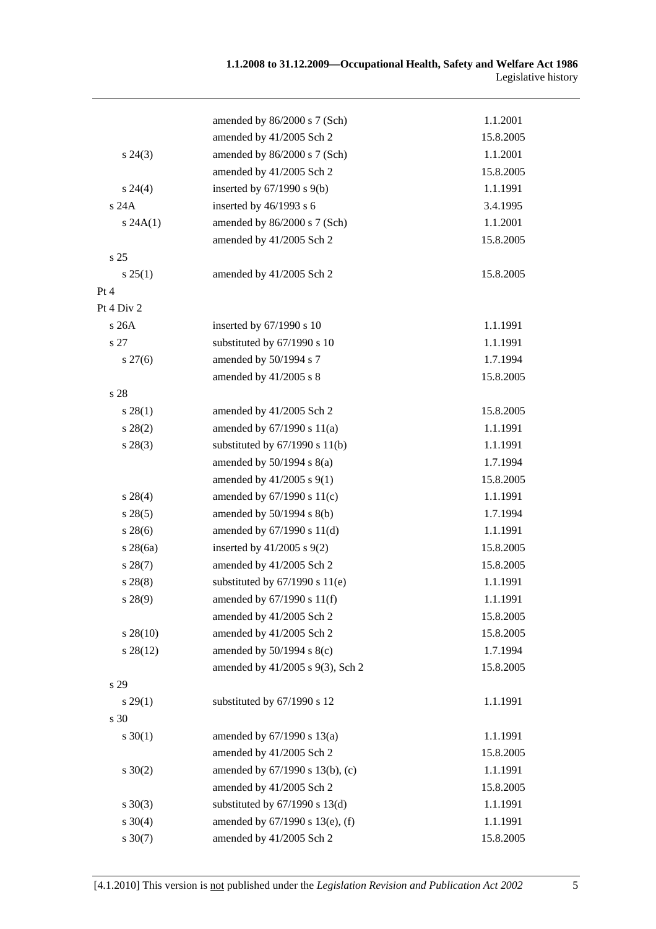|             | amended by 86/2000 s 7 (Sch)       | 1.1.2001  |
|-------------|------------------------------------|-----------|
|             | amended by 41/2005 Sch 2           | 15.8.2005 |
| $s\,24(3)$  | amended by 86/2000 s 7 (Sch)       | 1.1.2001  |
|             | amended by 41/2005 Sch 2           | 15.8.2005 |
| $s\,24(4)$  | inserted by $67/1990$ s $9(b)$     | 1.1.1991  |
| s 24A       | inserted by 46/1993 s 6            | 3.4.1995  |
| s 24A(1)    | amended by 86/2000 s 7 (Sch)       | 1.1.2001  |
|             | amended by 41/2005 Sch 2           | 15.8.2005 |
| s 25        |                                    |           |
| s 25(1)     | amended by 41/2005 Sch 2           | 15.8.2005 |
| Pt 4        |                                    |           |
| Pt 4 Div 2  |                                    |           |
| s26A        | inserted by 67/1990 s 10           | 1.1.1991  |
| s 27        | substituted by 67/1990 s 10        | 1.1.1991  |
| $s\,27(6)$  | amended by 50/1994 s 7             | 1.7.1994  |
|             | amended by 41/2005 s 8             | 15.8.2005 |
| s 28        |                                    |           |
| s 28(1)     | amended by 41/2005 Sch 2           | 15.8.2005 |
| $s\,28(2)$  | amended by $67/1990$ s $11(a)$     | 1.1.1991  |
| $s\,28(3)$  | substituted by $67/1990$ s $11(b)$ | 1.1.1991  |
|             | amended by $50/1994$ s $8(a)$      | 1.7.1994  |
|             | amended by $41/2005$ s $9(1)$      | 15.8.2005 |
| $s\,28(4)$  | amended by 67/1990 s 11(c)         | 1.1.1991  |
| s 28(5)     | amended by $50/1994$ s $8(b)$      | 1.7.1994  |
| $s\,28(6)$  | amended by 67/1990 s 11(d)         | 1.1.1991  |
| $s\,28(6a)$ | inserted by $41/2005$ s $9(2)$     | 15.8.2005 |
| $s\,28(7)$  | amended by 41/2005 Sch 2           | 15.8.2005 |
| s 28(8)     | substituted by $67/1990$ s $11(e)$ | 1.1.1991  |
| s 28(9)     | amended by $67/1990$ s $11(f)$     | 1.1.1991  |
|             | amended by 41/2005 Sch 2           | 15.8.2005 |
| $s\,28(10)$ | amended by 41/2005 Sch 2           | 15.8.2005 |
| $s\,28(12)$ | amended by $50/1994$ s $8(c)$      | 1.7.1994  |
|             | amended by 41/2005 s 9(3), Sch 2   | 15.8.2005 |
| s 29        |                                    |           |
| s 29(1)     | substituted by 67/1990 s 12        | 1.1.1991  |
| s 30        |                                    |           |
| $s \ 30(1)$ | amended by $67/1990$ s $13(a)$     | 1.1.1991  |
|             | amended by 41/2005 Sch 2           | 15.8.2005 |
| $s \ 30(2)$ | amended by 67/1990 s 13(b), (c)    | 1.1.1991  |
|             | amended by 41/2005 Sch 2           | 15.8.2005 |
| $s \ 30(3)$ | substituted by $67/1990$ s $13(d)$ | 1.1.1991  |
| $s \ 30(4)$ | amended by 67/1990 s 13(e), (f)    | 1.1.1991  |
| $s \ 30(7)$ | amended by 41/2005 Sch 2           | 15.8.2005 |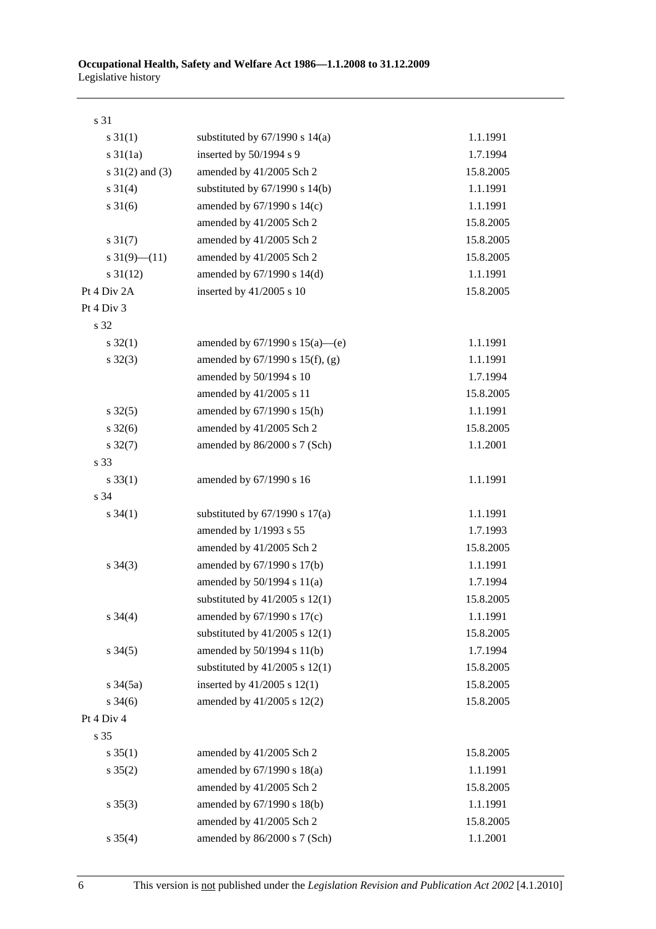| s 31                 |                                      |           |
|----------------------|--------------------------------------|-----------|
| $s \, 31(1)$         | substituted by $67/1990$ s $14(a)$   | 1.1.1991  |
| $s \frac{31}{1a}$    | inserted by 50/1994 s 9              | 1.7.1994  |
| s $31(2)$ and $(3)$  | amended by 41/2005 Sch 2             | 15.8.2005 |
| $s \ 31(4)$          | substituted by $67/1990$ s $14(b)$   | 1.1.1991  |
| $s \ 31(6)$          | amended by $67/1990$ s $14(c)$       | 1.1.1991  |
|                      | amended by 41/2005 Sch 2             | 15.8.2005 |
| $s \, 31(7)$         | amended by 41/2005 Sch 2             | 15.8.2005 |
| s $31(9)$ (11)       | amended by 41/2005 Sch 2             | 15.8.2005 |
| $s \, 31(12)$        | amended by 67/1990 s 14(d)           | 1.1.1991  |
| Pt 4 Div 2A          | inserted by $41/2005$ s 10           | 15.8.2005 |
| Pt 4 Div 3           |                                      |           |
| s 32                 |                                      |           |
| $s \, 32(1)$         | amended by $67/1990$ s $15(a)$ —(e)  | 1.1.1991  |
| $s \, 32(3)$         | amended by $67/1990$ s $15(f)$ , (g) | 1.1.1991  |
|                      | amended by 50/1994 s 10              | 1.7.1994  |
|                      | amended by 41/2005 s 11              | 15.8.2005 |
| $s \, 32(5)$         | amended by 67/1990 s 15(h)           | 1.1.1991  |
| $s \frac{32(6)}{2}$  | amended by 41/2005 Sch 2             | 15.8.2005 |
| $s \frac{32(7)}{2}$  | amended by 86/2000 s 7 (Sch)         | 1.1.2001  |
| s 33                 |                                      |           |
| $s \, 33(1)$         | amended by 67/1990 s 16              | 1.1.1991  |
| s 34                 |                                      |           |
| $s \, 34(1)$         | substituted by $67/1990$ s $17(a)$   | 1.1.1991  |
|                      | amended by 1/1993 s 55               | 1.7.1993  |
|                      | amended by 41/2005 Sch 2             | 15.8.2005 |
| $s \; 34(3)$         | amended by 67/1990 s 17(b)           | 1.1.1991  |
|                      | amended by $50/1994$ s $11(a)$       | 1.7.1994  |
|                      | substituted by $41/2005$ s $12(1)$   | 15.8.2005 |
| $s \; 34(4)$         | amended by 67/1990 s 17(c)           | 1.1.1991  |
|                      | substituted by $41/2005$ s $12(1)$   | 15.8.2005 |
| $s \; 34(5)$         | amended by $50/1994$ s $11(b)$       | 1.7.1994  |
|                      | substituted by $41/2005$ s $12(1)$   | 15.8.2005 |
| $s \frac{34(5a)}{2}$ | inserted by $41/2005$ s $12(1)$      | 15.8.2005 |
| $s \frac{34(6)}{2}$  | amended by 41/2005 s 12(2)           | 15.8.2005 |
| Pt 4 Div 4           |                                      |           |
| s 35                 |                                      |           |
| $s \; 35(1)$         | amended by 41/2005 Sch 2             | 15.8.2005 |
| $s \; 35(2)$         | amended by 67/1990 s 18(a)           | 1.1.1991  |
|                      | amended by 41/2005 Sch 2             | 15.8.2005 |
| $s \; 35(3)$         | amended by 67/1990 s 18(b)           | 1.1.1991  |
|                      | amended by 41/2005 Sch 2             | 15.8.2005 |
| $s \; 35(4)$         | amended by 86/2000 s 7 (Sch)         | 1.1.2001  |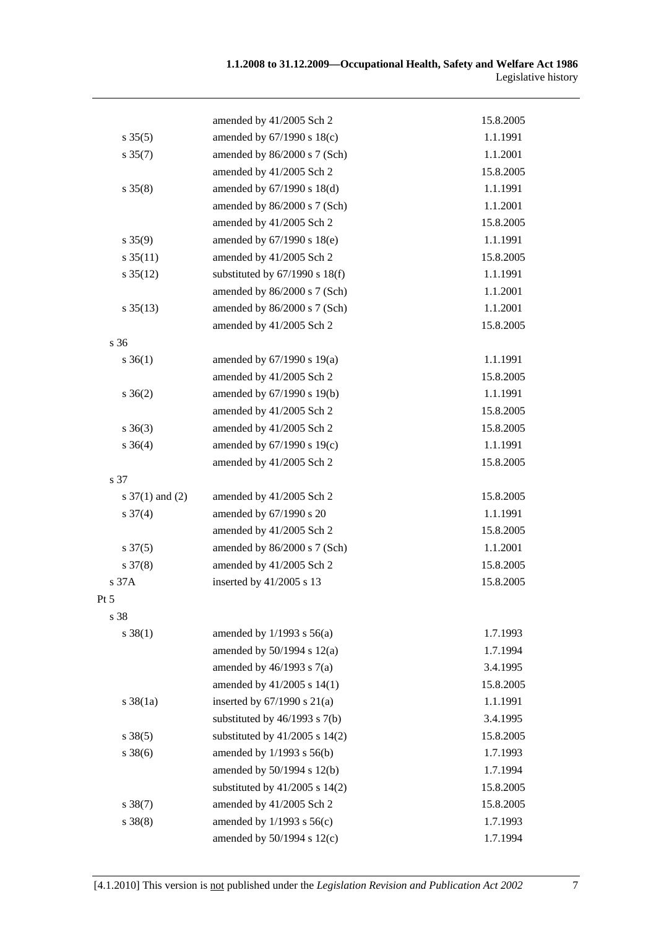|                      | amended by 41/2005 Sch 2           | 15.8.2005 |
|----------------------|------------------------------------|-----------|
| $s \, 35(5)$         | amended by 67/1990 s 18(c)         | 1.1.1991  |
| $s \, 35(7)$         | amended by 86/2000 s 7 (Sch)       | 1.1.2001  |
|                      | amended by 41/2005 Sch 2           | 15.8.2005 |
| $s \, 35(8)$         | amended by $67/1990$ s $18(d)$     | 1.1.1991  |
|                      | amended by 86/2000 s 7 (Sch)       | 1.1.2001  |
|                      | amended by 41/2005 Sch 2           | 15.8.2005 |
| $s \, 35(9)$         | amended by $67/1990$ s $18(e)$     | 1.1.1991  |
| $s \frac{35(11)}{2}$ | amended by 41/2005 Sch 2           | 15.8.2005 |
| $s \, 35(12)$        | substituted by $67/1990$ s $18(f)$ | 1.1.1991  |
|                      | amended by 86/2000 s 7 (Sch)       | 1.1.2001  |
| $s \, 35(13)$        | amended by 86/2000 s 7 (Sch)       | 1.1.2001  |
|                      | amended by 41/2005 Sch 2           | 15.8.2005 |
| s 36                 |                                    |           |
| $s \, 36(1)$         | amended by $67/1990$ s $19(a)$     | 1.1.1991  |
|                      | amended by 41/2005 Sch 2           | 15.8.2005 |
| $s \; 36(2)$         | amended by 67/1990 s 19(b)         | 1.1.1991  |
|                      | amended by 41/2005 Sch 2           | 15.8.2005 |
| $s \; 36(3)$         | amended by 41/2005 Sch 2           | 15.8.2005 |
| $s \; 36(4)$         | amended by 67/1990 s 19(c)         | 1.1.1991  |
|                      | amended by 41/2005 Sch 2           | 15.8.2005 |
| s 37                 |                                    |           |
| s $37(1)$ and (2)    | amended by 41/2005 Sch 2           | 15.8.2005 |
| $s \frac{37(4)}{4}$  | amended by 67/1990 s 20            | 1.1.1991  |
|                      | amended by 41/2005 Sch 2           | 15.8.2005 |
| $s \frac{37(5)}{2}$  | amended by 86/2000 s 7 (Sch)       | 1.1.2001  |
| $s \frac{37(8)}{8}$  | amended by 41/2005 Sch 2           | 15.8.2005 |
| s 37A                | inserted by 41/2005 s 13           | 15.8.2005 |
| Pt $5$               |                                    |           |
| s 38                 |                                    |           |
| $s \, 38(1)$         | amended by $1/1993$ s $56(a)$      | 1.7.1993  |
|                      | amended by $50/1994$ s $12(a)$     | 1.7.1994  |
|                      | amended by $46/1993$ s $7(a)$      | 3.4.1995  |
|                      | amended by 41/2005 s 14(1)         | 15.8.2005 |
| $s \, 38(1a)$        | inserted by $67/1990$ s $21(a)$    | 1.1.1991  |
|                      | substituted by $46/1993$ s $7(b)$  | 3.4.1995  |
| $s \, 38(5)$         | substituted by $41/2005$ s $14(2)$ | 15.8.2005 |
| $s \, 38(6)$         | amended by $1/1993$ s $56(b)$      | 1.7.1993  |
|                      | amended by 50/1994 s 12(b)         | 1.7.1994  |
|                      | substituted by $41/2005$ s $14(2)$ | 15.8.2005 |
| $s \, 38(7)$         | amended by 41/2005 Sch 2           | 15.8.2005 |
| $s \ 38(8)$          | amended by 1/1993 s 56(c)          | 1.7.1993  |
|                      | amended by 50/1994 s 12(c)         | 1.7.1994  |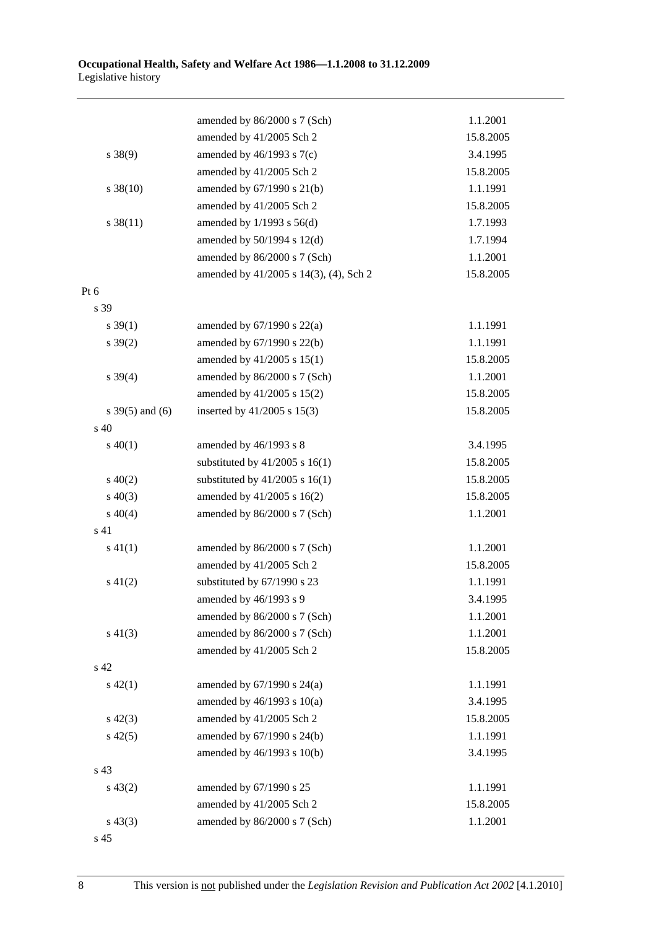|                   | amended by 86/2000 s 7 (Sch)           | 1.1.2001  |
|-------------------|----------------------------------------|-----------|
|                   | amended by 41/2005 Sch 2               | 15.8.2005 |
| $s \ 38(9)$       | amended by $46/1993$ s $7(c)$          | 3.4.1995  |
|                   | amended by 41/2005 Sch 2               | 15.8.2005 |
| $s \ 38(10)$      | amended by 67/1990 s 21(b)             | 1.1.1991  |
|                   | amended by 41/2005 Sch 2               | 15.8.2005 |
| $s \, 38(11)$     | amended by $1/1993$ s $56(d)$          | 1.7.1993  |
|                   | amended by 50/1994 s 12(d)             | 1.7.1994  |
|                   | amended by 86/2000 s 7 (Sch)           | 1.1.2001  |
|                   | amended by 41/2005 s 14(3), (4), Sch 2 | 15.8.2005 |
| Pt 6              |                                        |           |
| s 39              |                                        |           |
| $s \, 39(1)$      | amended by $67/1990$ s $22(a)$         | 1.1.1991  |
| $s \, 39(2)$      | amended by 67/1990 s 22(b)             | 1.1.1991  |
|                   | amended by 41/2005 s 15(1)             | 15.8.2005 |
| $s \, 39(4)$      | amended by 86/2000 s 7 (Sch)           | 1.1.2001  |
|                   | amended by 41/2005 s 15(2)             | 15.8.2005 |
| s $39(5)$ and (6) | inserted by $41/2005$ s $15(3)$        | 15.8.2005 |
| $\rm s$ 40        |                                        |           |
| $s\ 40(1)$        | amended by 46/1993 s 8                 | 3.4.1995  |
|                   | substituted by $41/2005$ s $16(1)$     | 15.8.2005 |
| $s\ 40(2)$        | substituted by $41/2005$ s $16(1)$     | 15.8.2005 |
| $s\ 40(3)$        | amended by 41/2005 s 16(2)             | 15.8.2005 |
| $s\ 40(4)$        | amended by 86/2000 s 7 (Sch)           | 1.1.2001  |
| s 41              |                                        |           |
| $s\ 41(1)$        | amended by 86/2000 s 7 (Sch)           | 1.1.2001  |
|                   | amended by 41/2005 Sch 2               | 15.8.2005 |
| $s\ 41(2)$        | substituted by 67/1990 s 23            | 1.1.1991  |
|                   | amended by 46/1993 s 9                 | 3.4.1995  |
|                   | amended by 86/2000 s 7 (Sch)           | 1.1.2001  |
| $s\ 41(3)$        | amended by 86/2000 s 7 (Sch)           | 1.1.2001  |
|                   | amended by 41/2005 Sch 2               | 15.8.2005 |
| s 42              |                                        |           |
| $s\ 42(1)$        | amended by $67/1990$ s $24(a)$         | 1.1.1991  |
|                   | amended by $46/1993$ s $10(a)$         | 3.4.1995  |
| $s\ 42(3)$        | amended by 41/2005 Sch 2               | 15.8.2005 |
| $s\ 42(5)$        | amended by 67/1990 s 24(b)             | 1.1.1991  |
|                   | amended by 46/1993 s 10(b)             | 3.4.1995  |
| s 43              |                                        |           |
| $s\,43(2)$        | amended by 67/1990 s 25                | 1.1.1991  |
|                   | amended by 41/2005 Sch 2               | 15.8.2005 |
| $s\,43(3)$        | amended by 86/2000 s 7 (Sch)           | 1.1.2001  |
| s 45              |                                        |           |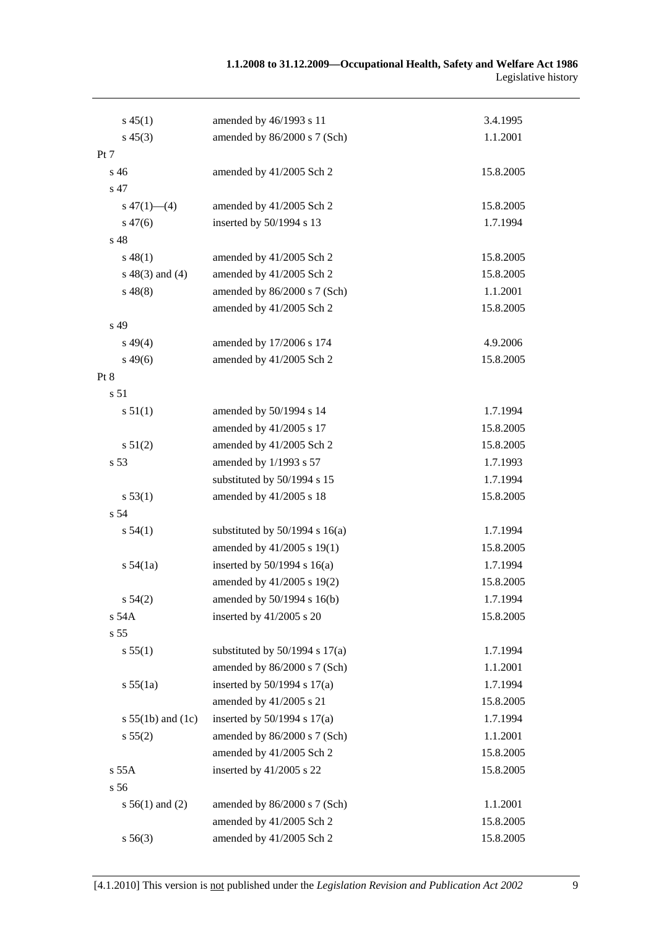| $s\,45(1)$            | amended by 46/1993 s 11            | 3.4.1995  |
|-----------------------|------------------------------------|-----------|
| $s\,45(3)$            | amended by 86/2000 s 7 (Sch)       | 1.1.2001  |
| Pt 7                  |                                    |           |
| s 46                  | amended by 41/2005 Sch 2           | 15.8.2005 |
| s 47                  |                                    |           |
| $s\ 47(1)$ (4)        | amended by 41/2005 Sch 2           | 15.8.2005 |
| $s\,47(6)$            | inserted by 50/1994 s 13           | 1.7.1994  |
| s 48                  |                                    |           |
| $s\,48(1)$            | amended by 41/2005 Sch 2           | 15.8.2005 |
| $s\ 48(3)$ and (4)    | amended by 41/2005 Sch 2           | 15.8.2005 |
| $s\,48(8)$            | amended by 86/2000 s 7 (Sch)       | 1.1.2001  |
|                       | amended by 41/2005 Sch 2           | 15.8.2005 |
| s 49                  |                                    |           |
| $s\,49(4)$            | amended by 17/2006 s 174           | 4.9.2006  |
| $s\,49(6)$            | amended by 41/2005 Sch 2           | 15.8.2005 |
| Pt 8                  |                                    |           |
| s 51                  |                                    |           |
| s 51(1)               | amended by 50/1994 s 14            | 1.7.1994  |
|                       | amended by 41/2005 s 17            | 15.8.2005 |
| s 51(2)               | amended by 41/2005 Sch 2           | 15.8.2005 |
| s 53                  | amended by 1/1993 s 57             | 1.7.1993  |
|                       | substituted by 50/1994 s 15        | 1.7.1994  |
| s 53(1)               | amended by 41/2005 s 18            | 15.8.2005 |
| s 54                  |                                    |           |
| s 54(1)               | substituted by $50/1994$ s $16(a)$ | 1.7.1994  |
|                       | amended by 41/2005 s 19(1)         | 15.8.2005 |
| s 54(1a)              | inserted by $50/1994$ s $16(a)$    | 1.7.1994  |
|                       | amended by 41/2005 s 19(2)         | 15.8.2005 |
| $s\,54(2)$            | amended by $50/1994$ s $16(b)$     | 1.7.1994  |
| s 54A                 | inserted by $41/2005$ s 20         | 15.8.2005 |
| s 55                  |                                    |           |
| s 55(1)               | substituted by $50/1994$ s $17(a)$ | 1.7.1994  |
|                       | amended by 86/2000 s 7 (Sch)       | 1.1.2001  |
| s 55(1a)              | inserted by $50/1994$ s $17(a)$    | 1.7.1994  |
|                       | amended by 41/2005 s 21            | 15.8.2005 |
| s $55(1b)$ and $(1c)$ | inserted by $50/1994$ s $17(a)$    | 1.7.1994  |
| s 55(2)               | amended by 86/2000 s 7 (Sch)       | 1.1.2001  |
|                       | amended by 41/2005 Sch 2           | 15.8.2005 |
| s 55A                 | inserted by 41/2005 s 22           | 15.8.2005 |
| s 56                  |                                    |           |
| $s 56(1)$ and (2)     | amended by 86/2000 s 7 (Sch)       | 1.1.2001  |
|                       | amended by 41/2005 Sch 2           | 15.8.2005 |
| s 56(3)               | amended by 41/2005 Sch 2           | 15.8.2005 |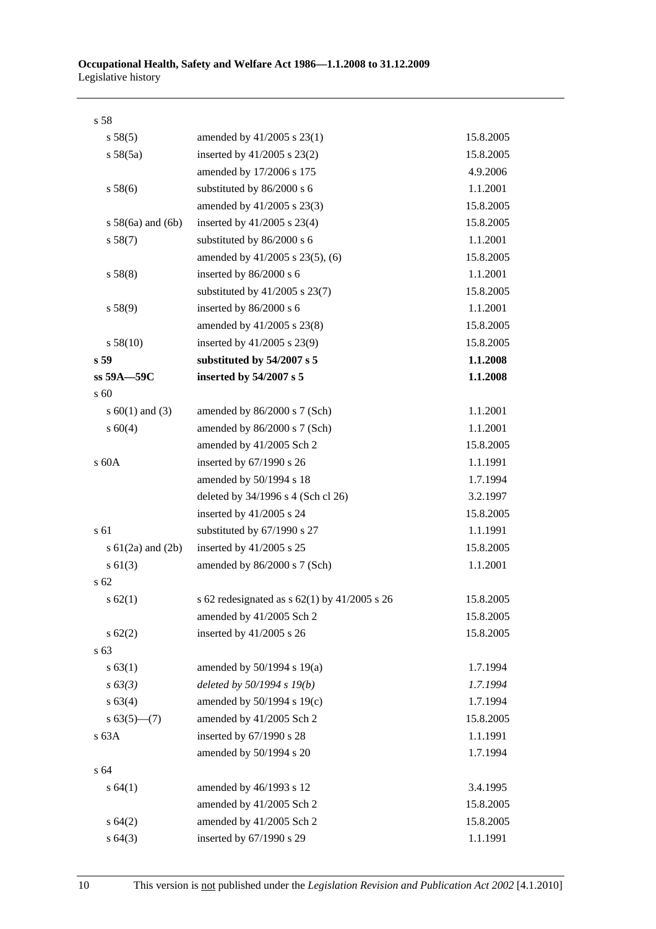| s 58                  |                                                  |           |
|-----------------------|--------------------------------------------------|-----------|
| s 58(5)               | amended by 41/2005 s 23(1)                       | 15.8.2005 |
| s 58(5a)              | inserted by 41/2005 s 23(2)                      | 15.8.2005 |
|                       | amended by 17/2006 s 175                         | 4.9.2006  |
| s 58(6)               | substituted by 86/2000 s 6                       | 1.1.2001  |
|                       | amended by 41/2005 s 23(3)                       | 15.8.2005 |
| $s$ 58(6a) and (6b)   | inserted by $41/2005$ s 23(4)                    | 15.8.2005 |
| s 58(7)               | substituted by 86/2000 s 6                       | 1.1.2001  |
|                       | amended by 41/2005 s 23(5), (6)                  | 15.8.2005 |
| s 58(8)               | inserted by 86/2000 s 6                          | 1.1.2001  |
|                       | substituted by $41/2005$ s $23(7)$               | 15.8.2005 |
| s 58(9)               | inserted by 86/2000 s 6                          | 1.1.2001  |
|                       | amended by 41/2005 s 23(8)                       | 15.8.2005 |
| s 58(10)              | inserted by 41/2005 s 23(9)                      | 15.8.2005 |
| s 59                  | substituted by 54/2007 s 5                       | 1.1.2008  |
| ss 59A-59C            | inserted by 54/2007 s 5                          | 1.1.2008  |
| s 60                  |                                                  |           |
| s $60(1)$ and $(3)$   | amended by 86/2000 s 7 (Sch)                     | 1.1.2001  |
| s 60(4)               | amended by 86/2000 s 7 (Sch)                     | 1.1.2001  |
|                       | amended by 41/2005 Sch 2                         | 15.8.2005 |
| s 60A                 | inserted by 67/1990 s 26                         | 1.1.1991  |
|                       | amended by 50/1994 s 18                          | 1.7.1994  |
|                       | deleted by 34/1996 s 4 (Sch cl 26)               | 3.2.1997  |
|                       | inserted by 41/2005 s 24                         | 15.8.2005 |
| s 61                  | substituted by 67/1990 s 27                      | 1.1.1991  |
| s $61(2a)$ and $(2b)$ | inserted by 41/2005 s 25                         | 15.8.2005 |
| $s \ 61(3)$           | amended by 86/2000 s 7 (Sch)                     | 1.1.2001  |
| s 62                  |                                                  |           |
| s 62(1)               | s 62 redesignated as s $62(1)$ by $41/2005$ s 26 | 15.8.2005 |
|                       | amended by 41/2005 Sch 2                         | 15.8.2005 |
| $s \, 62(2)$          | inserted by 41/2005 s 26                         | 15.8.2005 |
| s 63                  |                                                  |           |
| s 63(1)               | amended by $50/1994$ s $19(a)$                   | 1.7.1994  |
| $s\,63(3)$            | deleted by 50/1994 s 19(b)                       | 1.7.1994  |
| s 63(4)               | amended by 50/1994 s 19(c)                       | 1.7.1994  |
| $s 63(5)$ (7)         | amended by 41/2005 Sch 2                         | 15.8.2005 |
| s 63A                 | inserted by 67/1990 s 28                         | 1.1.1991  |
|                       | amended by 50/1994 s 20                          | 1.7.1994  |
| s <sub>64</sub>       |                                                  |           |
| s 64(1)               | amended by 46/1993 s 12                          | 3.4.1995  |
|                       | amended by 41/2005 Sch 2                         | 15.8.2005 |
| s 64(2)               | amended by 41/2005 Sch 2                         | 15.8.2005 |
| s 64(3)               | inserted by 67/1990 s 29                         | 1.1.1991  |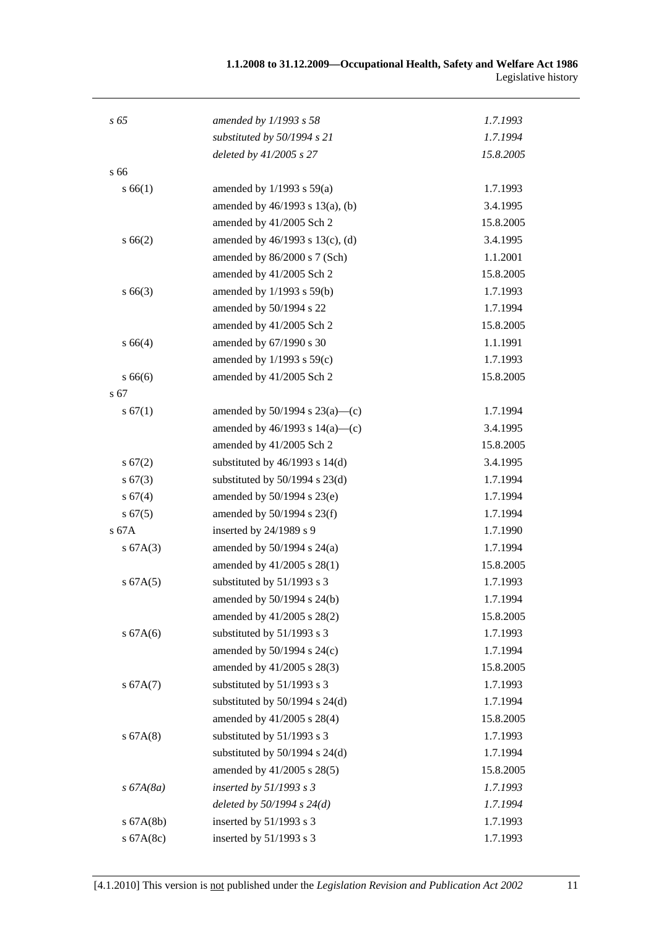| $s\,65$      | amended by 1/1993 s 58              | 1.7.1993  |
|--------------|-------------------------------------|-----------|
|              | substituted by 50/1994 s 21         | 1.7.1994  |
|              | deleted by 41/2005 s 27             | 15.8.2005 |
| s 66         |                                     |           |
| s 66(1)      | amended by $1/1993$ s $59(a)$       | 1.7.1993  |
|              | amended by 46/1993 s 13(a), (b)     | 3.4.1995  |
|              | amended by 41/2005 Sch 2            | 15.8.2005 |
| s 66(2)      | amended by 46/1993 s 13(c), (d)     | 3.4.1995  |
|              | amended by 86/2000 s 7 (Sch)        | 1.1.2001  |
|              | amended by 41/2005 Sch 2            | 15.8.2005 |
| $s\,66(3)$   | amended by 1/1993 s 59(b)           | 1.7.1993  |
|              | amended by 50/1994 s 22             | 1.7.1994  |
|              | amended by 41/2005 Sch 2            | 15.8.2005 |
| s 66(4)      | amended by 67/1990 s 30             | 1.1.1991  |
|              | amended by $1/1993$ s $59(c)$       | 1.7.1993  |
| s66(6)       | amended by 41/2005 Sch 2            | 15.8.2005 |
| s 67         |                                     |           |
| s 67(1)      | amended by $50/1994$ s $23(a)$ —(c) | 1.7.1994  |
|              | amended by $46/1993$ s $14(a)$ —(c) | 3.4.1995  |
|              | amended by 41/2005 Sch 2            | 15.8.2005 |
| s 67(2)      | substituted by $46/1993$ s $14(d)$  | 3.4.1995  |
| $s\,67(3)$   | substituted by $50/1994$ s $23(d)$  | 1.7.1994  |
| s 67(4)      | amended by 50/1994 s 23(e)          | 1.7.1994  |
| s 67(5)      | amended by $50/1994$ s $23(f)$      | 1.7.1994  |
| s 67A        | inserted by 24/1989 s 9             | 1.7.1990  |
| s 67A(3)     | amended by $50/1994$ s $24(a)$      | 1.7.1994  |
|              | amended by 41/2005 s 28(1)          | 15.8.2005 |
| s 67A(5)     | substituted by 51/1993 s 3          | 1.7.1993  |
|              | amended by 50/1994 s 24(b)          | 1.7.1994  |
|              | amended by 41/2005 s 28(2)          | 15.8.2005 |
| s 67A(6)     | substituted by 51/1993 s 3          | 1.7.1993  |
|              | amended by 50/1994 s 24(c)          | 1.7.1994  |
|              | amended by 41/2005 s 28(3)          | 15.8.2005 |
| s 67A(7)     | substituted by 51/1993 s 3          | 1.7.1993  |
|              | substituted by $50/1994$ s $24(d)$  | 1.7.1994  |
|              | amended by 41/2005 s 28(4)          | 15.8.2005 |
| s 67A(8)     | substituted by 51/1993 s 3          | 1.7.1993  |
|              | substituted by $50/1994$ s $24(d)$  | 1.7.1994  |
|              | amended by 41/2005 s 28(5)          | 15.8.2005 |
| $s\,67A(8a)$ | inserted by $51/1993$ s 3           | 1.7.1993  |
|              | deleted by $50/1994 s 24(d)$        | 1.7.1994  |
| $s$ 67A(8b)  | inserted by 51/1993 s 3             | 1.7.1993  |
| s 67A(8c)    | inserted by 51/1993 s 3             | 1.7.1993  |
|              |                                     |           |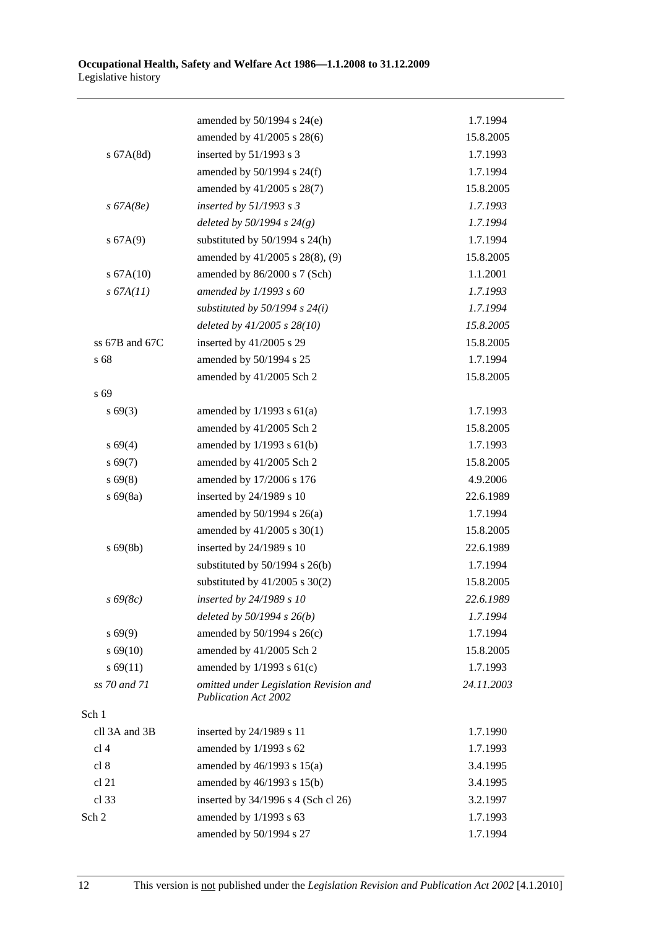|                 | amended by 50/1994 s 24(e)                                            | 1.7.1994   |
|-----------------|-----------------------------------------------------------------------|------------|
|                 | amended by 41/2005 s 28(6)                                            | 15.8.2005  |
| $s$ 67A $(8d)$  | inserted by 51/1993 s 3                                               | 1.7.1993   |
|                 | amended by $50/1994$ s $24(f)$                                        | 1.7.1994   |
|                 | amended by 41/2005 s 28(7)                                            | 15.8.2005  |
| $s\,67A(8e)$    | inserted by $51/1993 s 3$                                             | 1.7.1993   |
|                 | deleted by $50/1994 s 24(g)$                                          | 1.7.1994   |
| s 67A(9)        | substituted by $50/1994$ s $24(h)$                                    | 1.7.1994   |
|                 | amended by 41/2005 s 28(8), (9)                                       | 15.8.2005  |
| s 67A(10)       | amended by 86/2000 s 7 (Sch)                                          | 1.1.2001   |
| s 67A(11)       | amended by $1/1993 s 60$                                              | 1.7.1993   |
|                 | substituted by $50/1994$ s $24(i)$                                    | 1.7.1994   |
|                 | deleted by 41/2005 s 28(10)                                           | 15.8.2005  |
| ss 67B and 67C  | inserted by 41/2005 s 29                                              | 15.8.2005  |
| s 68            | amended by 50/1994 s 25                                               | 1.7.1994   |
|                 | amended by 41/2005 Sch 2                                              | 15.8.2005  |
| s 69            |                                                                       |            |
| $s\,69(3)$      | amended by $1/1993$ s $61(a)$                                         | 1.7.1993   |
|                 | amended by 41/2005 Sch 2                                              | 15.8.2005  |
| $s\,69(4)$      | amended by $1/1993$ s $61(b)$                                         | 1.7.1993   |
| $s\,69(7)$      | amended by 41/2005 Sch 2                                              | 15.8.2005  |
| $s\,69(8)$      | amended by 17/2006 s 176                                              | 4.9.2006   |
| $s\,69(8a)$     | inserted by 24/1989 s 10                                              | 22.6.1989  |
|                 | amended by $50/1994$ s $26(a)$                                        | 1.7.1994   |
|                 | amended by 41/2005 s 30(1)                                            | 15.8.2005  |
| $s\,69(8b)$     | inserted by 24/1989 s 10                                              | 22.6.1989  |
|                 | substituted by $50/1994$ s $26(b)$                                    | 1.7.1994   |
|                 | substituted by $41/2005$ s $30(2)$                                    | 15.8.2005  |
| $s\,69(8c)$     | inserted by 24/1989 s 10                                              | 22.6.1989  |
|                 | deleted by $50/1994 s 26(b)$                                          | 1.7.1994   |
| s 69(9)         | amended by 50/1994 s 26(c)                                            | 1.7.1994   |
| $s\,69(10)$     | amended by 41/2005 Sch 2                                              | 15.8.2005  |
| $s\,69(11)$     | amended by $1/1993$ s $61(c)$                                         | 1.7.1993   |
| ss 70 and 71    | omitted under Legislation Revision and<br><b>Publication Act 2002</b> | 24.11.2003 |
| Sch 1           |                                                                       |            |
| cll 3A and 3B   | inserted by 24/1989 s 11                                              | 1.7.1990   |
| cl <sub>4</sub> | amended by 1/1993 s 62                                                | 1.7.1993   |
| cl 8            | amended by 46/1993 s 15(a)                                            | 3.4.1995   |
| cl 21           | amended by 46/1993 s 15(b)                                            | 3.4.1995   |
| cl 33           | inserted by 34/1996 s 4 (Sch cl 26)                                   | 3.2.1997   |
| Sch 2           | amended by 1/1993 s 63                                                | 1.7.1993   |
|                 | amended by 50/1994 s 27                                               | 1.7.1994   |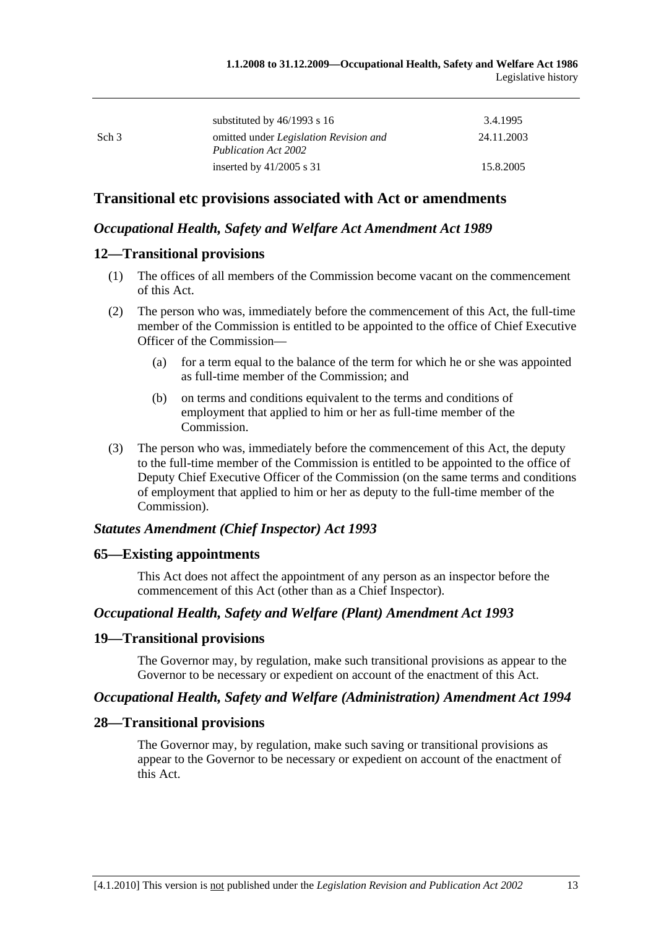|                  | substituted by $46/1993$ s 16                                                | 3.4.1995   |
|------------------|------------------------------------------------------------------------------|------------|
| Sch <sub>3</sub> | omitted under <i>Legislation Revision and</i><br><b>Publication Act 2002</b> | 24.11.2003 |
|                  | inserted by $41/2005$ s 31                                                   | 15.8.2005  |

## **Transitional etc provisions associated with Act or amendments**

#### *Occupational Health, Safety and Welfare Act Amendment Act 1989*

#### **12—Transitional provisions**

- (1) The offices of all members of the Commission become vacant on the commencement of this Act.
- (2) The person who was, immediately before the commencement of this Act, the full-time member of the Commission is entitled to be appointed to the office of Chief Executive Officer of the Commission—
	- (a) for a term equal to the balance of the term for which he or she was appointed as full-time member of the Commission; and
	- (b) on terms and conditions equivalent to the terms and conditions of employment that applied to him or her as full-time member of the Commission.
- (3) The person who was, immediately before the commencement of this Act, the deputy to the full-time member of the Commission is entitled to be appointed to the office of Deputy Chief Executive Officer of the Commission (on the same terms and conditions of employment that applied to him or her as deputy to the full-time member of the Commission).

### *Statutes Amendment (Chief Inspector) Act 1993*

#### **65—Existing appointments**

This Act does not affect the appointment of any person as an inspector before the commencement of this Act (other than as a Chief Inspector).

#### *Occupational Health, Safety and Welfare (Plant) Amendment Act 1993*

#### **19—Transitional provisions**

The Governor may, by regulation, make such transitional provisions as appear to the Governor to be necessary or expedient on account of the enactment of this Act.

#### *Occupational Health, Safety and Welfare (Administration) Amendment Act 1994*

#### **28—Transitional provisions**

The Governor may, by regulation, make such saving or transitional provisions as appear to the Governor to be necessary or expedient on account of the enactment of this Act.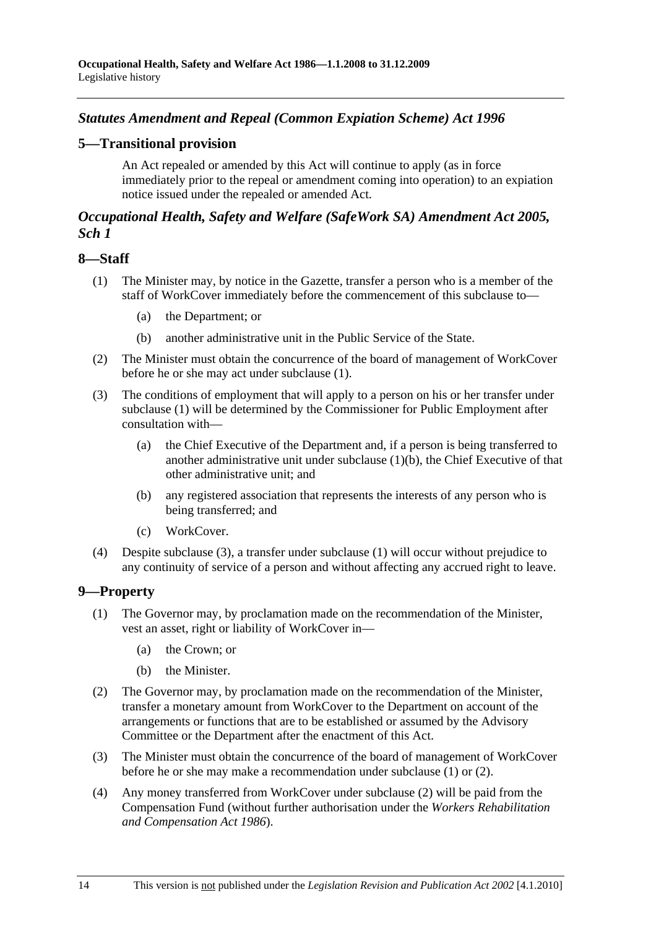# *Statutes Amendment and Repeal (Common Expiation Scheme) Act 1996*

### **5—Transitional provision**

An Act repealed or amended by this Act will continue to apply (as in force immediately prior to the repeal or amendment coming into operation) to an expiation notice issued under the repealed or amended Act.

### *Occupational Health, Safety and Welfare (SafeWork SA) Amendment Act 2005, Sch 1*

#### **8—Staff**

- (1) The Minister may, by notice in the Gazette, transfer a person who is a member of the staff of WorkCover immediately before the commencement of this subclause to—
	- (a) the Department; or
	- (b) another administrative unit in the Public Service of the State.
- (2) The Minister must obtain the concurrence of the board of management of WorkCover before he or she may act under subclause (1).
- (3) The conditions of employment that will apply to a person on his or her transfer under subclause (1) will be determined by the Commissioner for Public Employment after consultation with—
	- (a) the Chief Executive of the Department and, if a person is being transferred to another administrative unit under subclause (1)(b), the Chief Executive of that other administrative unit; and
	- (b) any registered association that represents the interests of any person who is being transferred; and
	- (c) WorkCover.
- (4) Despite subclause (3), a transfer under subclause (1) will occur without prejudice to any continuity of service of a person and without affecting any accrued right to leave.

#### **9—Property**

- (1) The Governor may, by proclamation made on the recommendation of the Minister, vest an asset, right or liability of WorkCover in—
	- (a) the Crown; or
	- (b) the Minister.
- (2) The Governor may, by proclamation made on the recommendation of the Minister, transfer a monetary amount from WorkCover to the Department on account of the arrangements or functions that are to be established or assumed by the Advisory Committee or the Department after the enactment of this Act.
- (3) The Minister must obtain the concurrence of the board of management of WorkCover before he or she may make a recommendation under subclause (1) or (2).
- (4) Any money transferred from WorkCover under subclause (2) will be paid from the Compensation Fund (without further authorisation under the *Workers Rehabilitation and Compensation Act 1986*).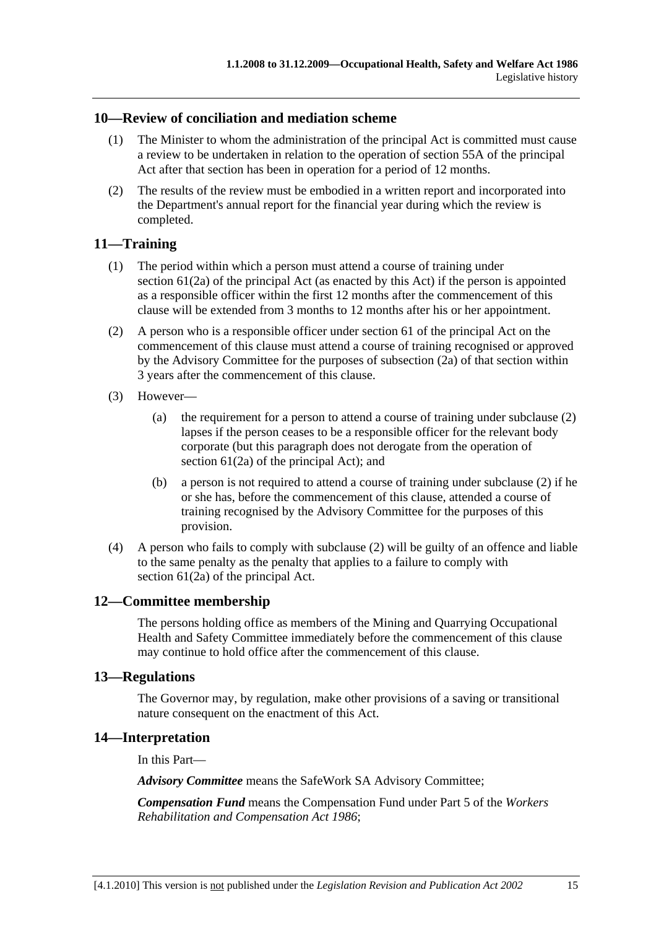# **10—Review of conciliation and mediation scheme**

- (1) The Minister to whom the administration of the principal Act is committed must cause a review to be undertaken in relation to the operation of section 55A of the principal Act after that section has been in operation for a period of 12 months.
- (2) The results of the review must be embodied in a written report and incorporated into the Department's annual report for the financial year during which the review is completed.

#### **11—Training**

- (1) The period within which a person must attend a course of training under section 61(2a) of the principal Act (as enacted by this Act) if the person is appointed as a responsible officer within the first 12 months after the commencement of this clause will be extended from 3 months to 12 months after his or her appointment.
- (2) A person who is a responsible officer under section 61 of the principal Act on the commencement of this clause must attend a course of training recognised or approved by the Advisory Committee for the purposes of subsection (2a) of that section within 3 years after the commencement of this clause.
- (3) However—
	- (a) the requirement for a person to attend a course of training under subclause (2) lapses if the person ceases to be a responsible officer for the relevant body corporate (but this paragraph does not derogate from the operation of section 61(2a) of the principal Act); and
	- (b) a person is not required to attend a course of training under subclause (2) if he or she has, before the commencement of this clause, attended a course of training recognised by the Advisory Committee for the purposes of this provision.
- (4) A person who fails to comply with subclause (2) will be guilty of an offence and liable to the same penalty as the penalty that applies to a failure to comply with section 61(2a) of the principal Act.

### **12—Committee membership**

The persons holding office as members of the Mining and Quarrying Occupational Health and Safety Committee immediately before the commencement of this clause may continue to hold office after the commencement of this clause.

#### **13—Regulations**

The Governor may, by regulation, make other provisions of a saving or transitional nature consequent on the enactment of this Act.

#### **14—Interpretation**

In this Part—

*Advisory Committee* means the SafeWork SA Advisory Committee;

*Compensation Fund* means the Compensation Fund under Part 5 of the *Workers Rehabilitation and Compensation Act 1986*;